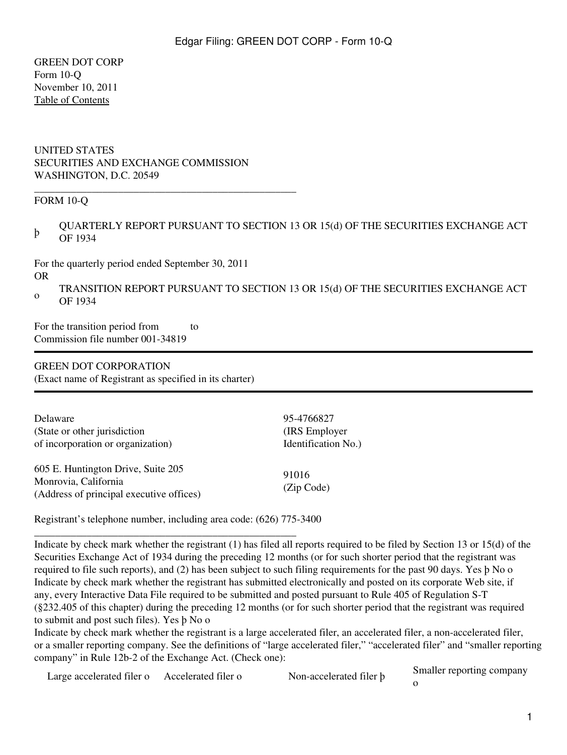GREEN DOT CORP Form 10-Q November 10, 2011 [Table of Contents](#page-2-0)

#### UNITED STATES SECURITIES AND EXCHANGE COMMISSION WASHINGTON, D.C. 20549

\_\_\_\_\_\_\_\_\_\_\_\_\_\_\_\_\_\_\_\_\_\_\_\_\_\_\_\_\_\_\_\_\_\_\_\_\_\_\_\_\_\_\_\_\_\_\_\_\_\_

#### FORM 10-Q

þ QUARTERLY REPORT PURSUANT TO SECTION 13 OR 15(d) OF THE SECURITIES EXCHANGE ACT OF 1934

For the quarterly period ended September 30, 2011 OR

o TRANSITION REPORT PURSUANT TO SECTION 13 OR 15(d) OF THE SECURITIES EXCHANGE ACT OF 1934

For the transition period from to Commission file number 001-34819

#### GREEN DOT CORPORATION

(Exact name of Registrant as specified in its charter)

| Delaware                                                                                               | 95-4766827          |
|--------------------------------------------------------------------------------------------------------|---------------------|
| (State or other jurisdiction)                                                                          | (IRS Employer)      |
| of incorporation or organization)                                                                      | Identification No.) |
| 605 E. Huntington Drive, Suite 205<br>Monrovia, California<br>(Address of principal executive offices) | 91016<br>(Zip Code) |

Registrant's telephone number, including area code: (626) 775-3400

\_\_\_\_\_\_\_\_\_\_\_\_\_\_\_\_\_\_\_\_\_\_\_\_\_\_\_\_\_\_\_\_\_\_\_\_\_\_\_\_\_\_\_\_\_\_\_\_\_\_

Indicate by check mark whether the registrant (1) has filed all reports required to be filed by Section 13 or 15(d) of the Securities Exchange Act of 1934 during the preceding 12 months (or for such shorter period that the registrant was required to file such reports), and (2) has been subject to such filing requirements for the past 90 days. Yes þ No o Indicate by check mark whether the registrant has submitted electronically and posted on its corporate Web site, if any, every Interactive Data File required to be submitted and posted pursuant to Rule 405 of Regulation S-T (§232.405 of this chapter) during the preceding 12 months (or for such shorter period that the registrant was required to submit and post such files). Yes þ No o

Indicate by check mark whether the registrant is a large accelerated filer, an accelerated filer, a non-accelerated filer, or a smaller reporting company. See the definitions of "large accelerated filer," "accelerated filer" and "smaller reporting company" in Rule 12b-2 of the Exchange Act. (Check one):

Large accelerated filer o Accelerated filer o Non-accelerated filer b Smaller reporting company

o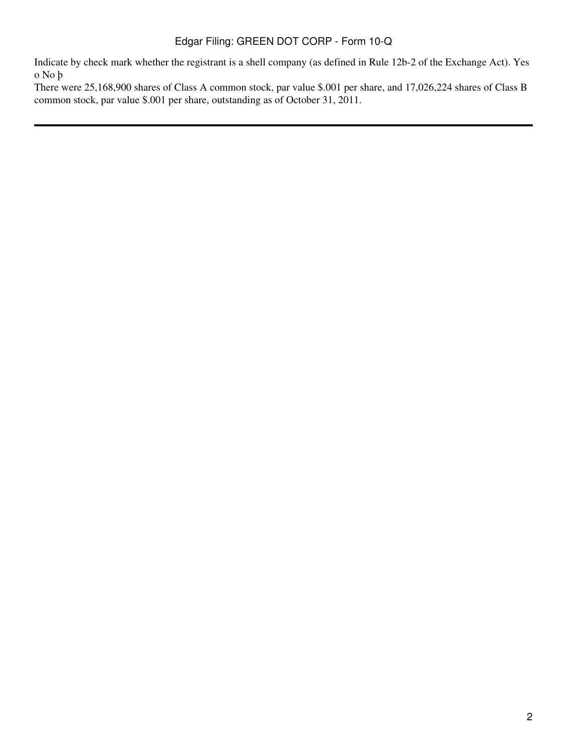Indicate by check mark whether the registrant is a shell company (as defined in Rule 12b-2 of the Exchange Act). Yes o No þ

There were 25,168,900 shares of Class A common stock, par value \$.001 per share, and 17,026,224 shares of Class B common stock, par value \$.001 per share, outstanding as of October 31, 2011.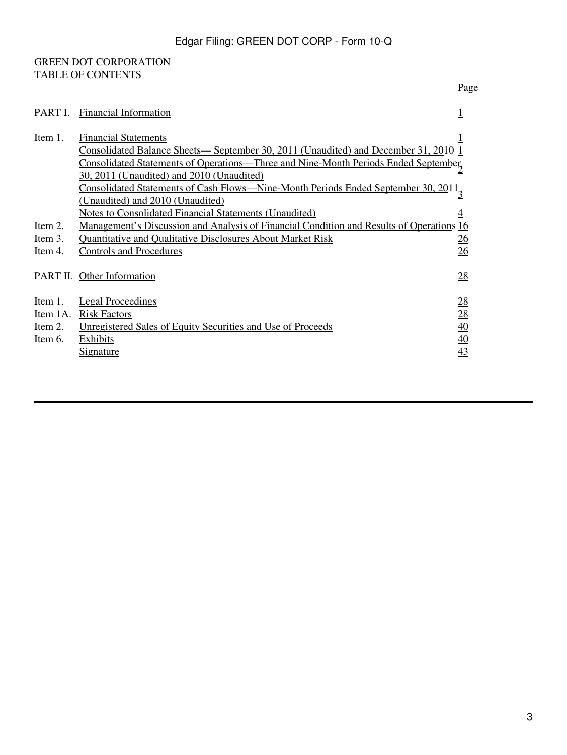## <span id="page-2-0"></span>GREEN DOT CORPORATION TABLE OF CONTENTS

| PART I.  | <b>Financial Information</b>                                                                                                                                                                                                                                 |                  |
|----------|--------------------------------------------------------------------------------------------------------------------------------------------------------------------------------------------------------------------------------------------------------------|------------------|
| Item 1.  | <b>Financial Statements</b><br><u>Consolidated Balance Sheets— September 30, 2011 (Unaudited) and December 31, 2010 1</u><br>Consolidated Statements of Operations—Three and Nine-Month Periods Ended September<br>30, 2011 (Unaudited) and 2010 (Unaudited) |                  |
|          | Consolidated Statements of Cash Flows—Nine-Month Periods Ended September 30, 2011 <sub>3</sub><br>(Unaudited) and 2010 (Unaudited)                                                                                                                           |                  |
|          | Notes to Consolidated Financial Statements (Unaudited)                                                                                                                                                                                                       |                  |
| Item 2.  | <u>Management's Discussion and Analysis of Financial Condition and Results of Operations</u>                                                                                                                                                                 | <u>16</u>        |
| Item 3.  | <b>Quantitative and Qualitative Disclosures About Market Risk</b>                                                                                                                                                                                            | <u>26</u>        |
| Item 4.  | <b>Controls and Procedures</b>                                                                                                                                                                                                                               | 26               |
| PART II. | Other Information                                                                                                                                                                                                                                            | <u>28</u>        |
| Item 1.  | <b>Legal Proceedings</b>                                                                                                                                                                                                                                     | <u>28</u>        |
| Item 1A. | <b>Risk Factors</b>                                                                                                                                                                                                                                          | 28               |
| Item 2.  | Unregistered Sales of Equity Securities and Use of Proceeds                                                                                                                                                                                                  | 40               |
| Item 6.  | <b>Exhibits</b>                                                                                                                                                                                                                                              |                  |
|          |                                                                                                                                                                                                                                                              | $\underline{40}$ |
|          | <u>Signature</u>                                                                                                                                                                                                                                             | 43               |

Page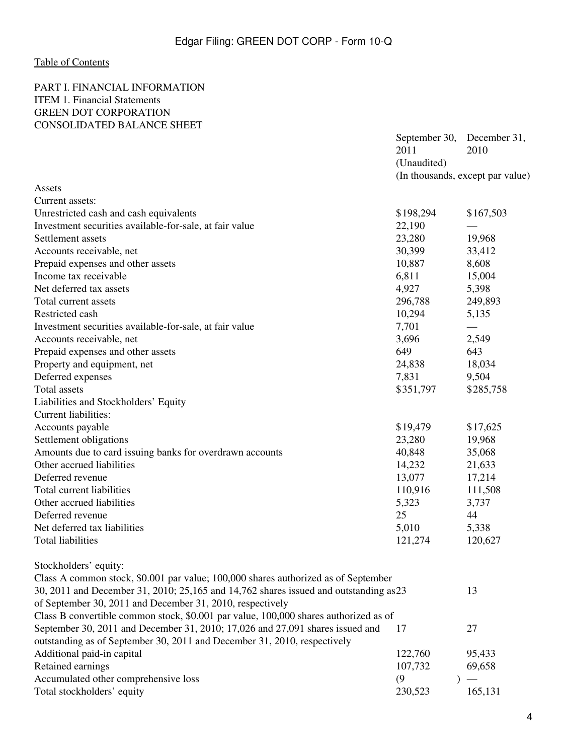## <span id="page-3-0"></span>[Table of Contents](#page-2-0)

#### <span id="page-3-2"></span><span id="page-3-1"></span>PART I. FINANCIAL INFORMATION ITEM 1. Financial Statements GREEN DOT CORPORATION CONSOLIDATED BALANCE SHEET

|                                                                                       | September 30,<br>2011 | December 31,<br>2010             |  |
|---------------------------------------------------------------------------------------|-----------------------|----------------------------------|--|
|                                                                                       | (Unaudited)           | (In thousands, except par value) |  |
| Assets                                                                                |                       |                                  |  |
| Current assets:                                                                       |                       |                                  |  |
| Unrestricted cash and cash equivalents                                                | \$198,294             | \$167,503                        |  |
| Investment securities available-for-sale, at fair value                               | 22,190                |                                  |  |
| Settlement assets                                                                     | 23,280                | 19,968                           |  |
| Accounts receivable, net                                                              | 30,399                | 33,412                           |  |
| Prepaid expenses and other assets                                                     | 10,887                | 8,608                            |  |
| Income tax receivable                                                                 | 6,811                 | 15,004                           |  |
| Net deferred tax assets                                                               | 4,927                 | 5,398                            |  |
| Total current assets                                                                  | 296,788               | 249,893                          |  |
| Restricted cash                                                                       | 10,294                | 5,135                            |  |
| Investment securities available-for-sale, at fair value                               | 7,701                 |                                  |  |
| Accounts receivable, net                                                              | 3,696                 | 2,549                            |  |
| Prepaid expenses and other assets                                                     | 649                   | 643                              |  |
| Property and equipment, net                                                           | 24,838                | 18,034                           |  |
| Deferred expenses                                                                     | 7,831                 | 9,504                            |  |
| Total assets                                                                          | \$351,797             | \$285,758                        |  |
| Liabilities and Stockholders' Equity                                                  |                       |                                  |  |
| Current liabilities:                                                                  |                       |                                  |  |
| Accounts payable                                                                      | \$19,479              | \$17,625                         |  |
| Settlement obligations                                                                | 23,280                | 19,968                           |  |
| Amounts due to card issuing banks for overdrawn accounts                              | 40,848                | 35,068                           |  |
| Other accrued liabilities                                                             | 14,232                | 21,633                           |  |
| Deferred revenue                                                                      | 13,077                | 17,214                           |  |
| Total current liabilities                                                             | 110,916               | 111,508                          |  |
| Other accrued liabilities                                                             | 5,323                 | 3,737                            |  |
| Deferred revenue                                                                      | 25                    | 44                               |  |
| Net deferred tax liabilities                                                          | 5,010                 | 5,338                            |  |
| <b>Total liabilities</b>                                                              | 121,274               | 120,627                          |  |
|                                                                                       |                       |                                  |  |
| Stockholders' equity:                                                                 |                       |                                  |  |
| Class A common stock, \$0.001 par value; 100,000 shares authorized as of September    |                       |                                  |  |
| 30, 2011 and December 31, 2010; 25,165 and 14,762 shares issued and outstanding as 23 |                       | 13                               |  |
| of September 30, 2011 and December 31, 2010, respectively                             |                       |                                  |  |
| Class B convertible common stock, \$0.001 par value, 100,000 shares authorized as of  |                       |                                  |  |
| September 30, 2011 and December 31, 2010; 17,026 and 27,091 shares issued and         | 17                    | 27                               |  |
| outstanding as of September 30, 2011 and December 31, 2010, respectively              |                       |                                  |  |
| Additional paid-in capital                                                            | 122,760               | 95,433                           |  |
| Retained earnings                                                                     | 107,732               | 69,658                           |  |
| Accumulated other comprehensive loss                                                  | (9)                   |                                  |  |
| Total stockholders' equity                                                            | 230,523               | 165,131                          |  |
|                                                                                       |                       |                                  |  |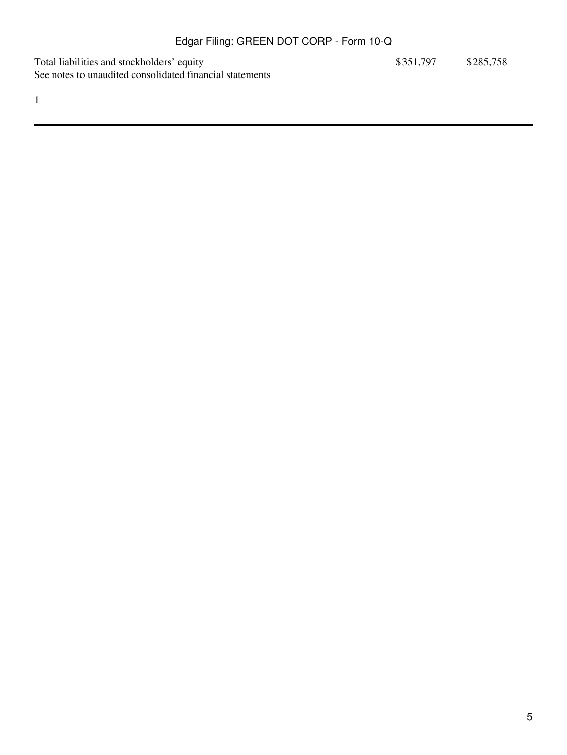Total liabilities and stockholders' equity  $$351,797$  \$285,758 See notes to unaudited consolidated financial statements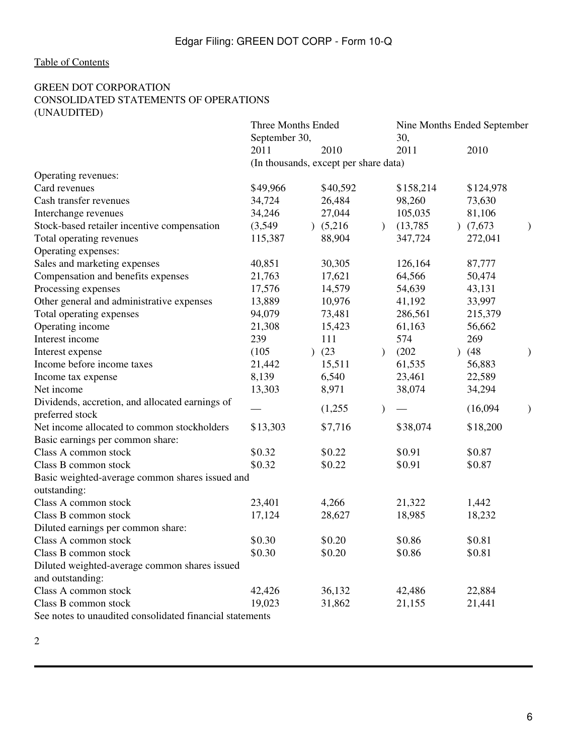## <span id="page-5-0"></span>[Table of Contents](#page-2-0)

#### GREEN DOT CORPORATION CONSOLIDATED STATEMENTS OF OPERATIONS (UNAUDITED)

|                                                                 | Three Months Ended<br>September 30,   |          |               | Nine Months Ended September<br>30, |  |           |  |
|-----------------------------------------------------------------|---------------------------------------|----------|---------------|------------------------------------|--|-----------|--|
|                                                                 | 2011                                  | 2010     |               | 2011                               |  | 2010      |  |
|                                                                 | (In thousands, except per share data) |          |               |                                    |  |           |  |
| Operating revenues:                                             |                                       |          |               |                                    |  |           |  |
| Card revenues                                                   | \$49,966                              | \$40,592 |               | \$158,214                          |  | \$124,978 |  |
| Cash transfer revenues                                          | 34,724                                | 26,484   |               | 98,260                             |  | 73,630    |  |
| Interchange revenues                                            | 34,246                                | 27,044   |               | 105,035                            |  | 81,106    |  |
| Stock-based retailer incentive compensation                     | (3,549)                               | (5,216)  | $\mathcal{L}$ | (13,785)                           |  | (7,673)   |  |
| Total operating revenues                                        | 115,387                               | 88,904   |               | 347,724                            |  | 272,041   |  |
| Operating expenses:                                             |                                       |          |               |                                    |  |           |  |
| Sales and marketing expenses                                    | 40,851                                | 30,305   |               | 126,164                            |  | 87,777    |  |
| Compensation and benefits expenses                              | 21,763                                | 17,621   |               | 64,566                             |  | 50,474    |  |
| Processing expenses                                             | 17,576                                | 14,579   |               | 54,639                             |  | 43,131    |  |
| Other general and administrative expenses                       | 13,889                                | 10,976   |               | 41,192                             |  | 33,997    |  |
| Total operating expenses                                        | 94,079                                | 73,481   |               | 286,561                            |  | 215,379   |  |
| Operating income                                                | 21,308                                | 15,423   |               | 61,163                             |  | 56,662    |  |
| Interest income                                                 | 239                                   | 111      |               | 574                                |  | 269       |  |
| Interest expense                                                | (105)                                 | (23)     | $\lambda$     | (202)                              |  | (48)      |  |
| Income before income taxes                                      | 21,442                                | 15,511   |               | 61,535                             |  | 56,883    |  |
| Income tax expense                                              | 8,139                                 | 6,540    |               | 23,461                             |  | 22,589    |  |
| Net income                                                      | 13,303                                | 8,971    |               | 38,074                             |  | 34,294    |  |
| Dividends, accretion, and allocated earnings of                 |                                       |          |               |                                    |  |           |  |
| preferred stock                                                 |                                       | (1,255)  | $\mathcal{E}$ |                                    |  | (16,094)  |  |
| Net income allocated to common stockholders                     | \$13,303                              | \$7,716  |               | \$38,074                           |  | \$18,200  |  |
| Basic earnings per common share:                                |                                       |          |               |                                    |  |           |  |
| Class A common stock                                            | \$0.32                                | \$0.22   |               | \$0.91                             |  | \$0.87    |  |
| Class B common stock                                            | \$0.32                                | \$0.22   |               | \$0.91                             |  | \$0.87    |  |
| Basic weighted-average common shares issued and<br>outstanding: |                                       |          |               |                                    |  |           |  |
| Class A common stock                                            | 23,401                                | 4,266    |               | 21,322                             |  | 1,442     |  |
| Class B common stock                                            | 17,124                                | 28,627   |               | 18,985                             |  | 18,232    |  |
| Diluted earnings per common share:                              |                                       |          |               |                                    |  |           |  |
| Class A common stock                                            | \$0.30                                | \$0.20   |               | \$0.86                             |  | \$0.81    |  |
| Class B common stock                                            | \$0.30                                | \$0.20   |               | \$0.86                             |  | \$0.81    |  |
| Diluted weighted-average common shares issued                   |                                       |          |               |                                    |  |           |  |
| and outstanding:                                                |                                       |          |               |                                    |  |           |  |
| Class A common stock                                            | 42,426                                | 36,132   |               | 42,486                             |  | 22,884    |  |
| Class B common stock                                            | 19,023                                | 31,862   |               | 21,155                             |  | 21,441    |  |
| See notes to unaudited consolidated financial statements        |                                       |          |               |                                    |  |           |  |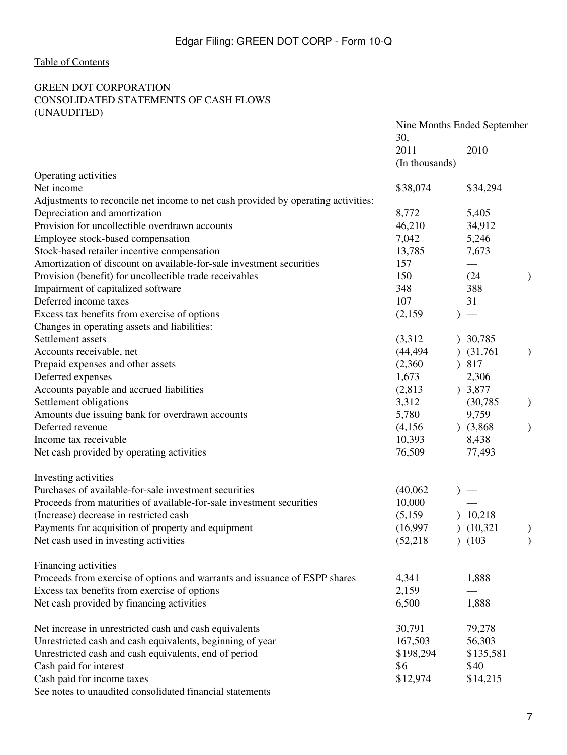## <span id="page-6-0"></span>[Table of Contents](#page-2-0)

## GREEN DOT CORPORATION CONSOLIDATED STATEMENTS OF CASH FLOWS (UNAUDITED)

|                                                                                   | Nine Months Ended September |             |  |  |
|-----------------------------------------------------------------------------------|-----------------------------|-------------|--|--|
|                                                                                   | 30,                         |             |  |  |
|                                                                                   | 2011                        | 2010        |  |  |
|                                                                                   | (In thousands)              |             |  |  |
| Operating activities                                                              |                             |             |  |  |
| Net income                                                                        | \$38,074                    | \$34,294    |  |  |
| Adjustments to reconcile net income to net cash provided by operating activities: |                             |             |  |  |
| Depreciation and amortization                                                     | 8,772                       | 5,405       |  |  |
| Provision for uncollectible overdrawn accounts                                    | 46,210                      | 34,912      |  |  |
| Employee stock-based compensation                                                 | 7,042                       | 5,246       |  |  |
| Stock-based retailer incentive compensation                                       | 13,785                      | 7,673       |  |  |
| Amortization of discount on available-for-sale investment securities              | 157                         |             |  |  |
| Provision (benefit) for uncollectible trade receivables                           | 150                         | (24)        |  |  |
| Impairment of capitalized software                                                | 348                         | 388         |  |  |
| Deferred income taxes                                                             | 107                         | 31          |  |  |
| Excess tax benefits from exercise of options                                      | (2,159)                     | $)$ —       |  |  |
| Changes in operating assets and liabilities:                                      |                             |             |  |  |
| Settlement assets                                                                 | (3,312)                     | 30,785      |  |  |
| Accounts receivable, net                                                          | (44, 494)                   | (31,761)    |  |  |
| Prepaid expenses and other assets                                                 | (2,360)                     | 817         |  |  |
| Deferred expenses                                                                 | 1,673                       | 2,306       |  |  |
| Accounts payable and accrued liabilities                                          | (2,813)                     | ) 3,877     |  |  |
| Settlement obligations                                                            | 3,312                       | (30, 785)   |  |  |
| Amounts due issuing bank for overdrawn accounts                                   | 5,780                       | 9,759       |  |  |
| Deferred revenue                                                                  | (4,156)                     | $)$ (3,868) |  |  |
| Income tax receivable                                                             | 10,393                      | 8,438       |  |  |
| Net cash provided by operating activities                                         | 76,509                      | 77,493      |  |  |
|                                                                                   |                             |             |  |  |
| Investing activities                                                              |                             |             |  |  |
| Purchases of available-for-sale investment securities                             | (40,062)                    | $)$ —       |  |  |
| Proceeds from maturities of available-for-sale investment securities              | 10,000                      |             |  |  |
| (Increase) decrease in restricted cash                                            | (5,159)                     | 10,218      |  |  |
| Payments for acquisition of property and equipment                                | (16,997)                    | (10,321)    |  |  |
| Net cash used in investing activities                                             | (52, 218)                   | (103)       |  |  |
|                                                                                   |                             |             |  |  |
| Financing activities                                                              |                             |             |  |  |
| Proceeds from exercise of options and warrants and issuance of ESPP shares        | 4,341                       | 1,888       |  |  |
| Excess tax benefits from exercise of options                                      | 2,159                       |             |  |  |
| Net cash provided by financing activities                                         | 6,500                       | 1,888       |  |  |
|                                                                                   |                             |             |  |  |
| Net increase in unrestricted cash and cash equivalents                            | 30,791                      | 79,278      |  |  |
| Unrestricted cash and cash equivalents, beginning of year                         | 167,503                     | 56,303      |  |  |
| Unrestricted cash and cash equivalents, end of period                             | \$198,294                   | \$135,581   |  |  |
| Cash paid for interest                                                            | \$6                         | \$40        |  |  |
| Cash paid for income taxes                                                        | \$12,974                    | \$14,215    |  |  |
| See notes to unaudited consolidated financial statements                          |                             |             |  |  |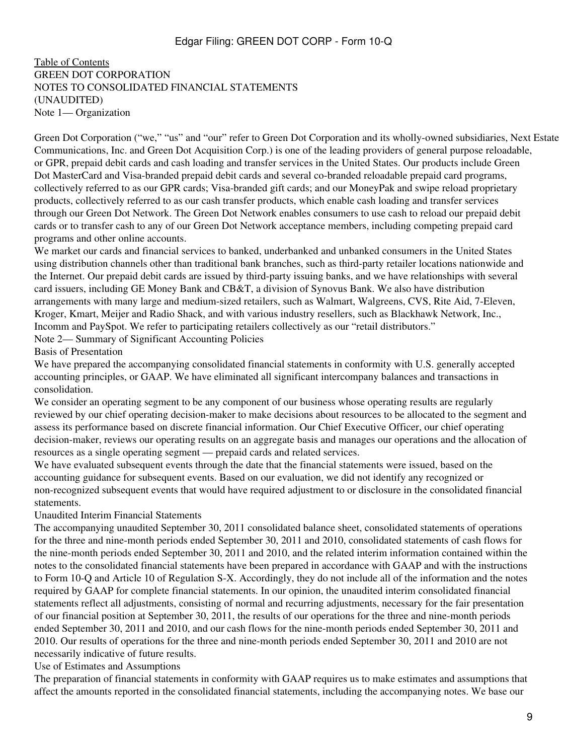<span id="page-8-0"></span>[Table of Contents](#page-2-0) GREEN DOT CORPORATION NOTES TO CONSOLIDATED FINANCIAL STATEMENTS (UNAUDITED) Note 1— Organization

Green Dot Corporation ("we," "us" and "our" refer to Green Dot Corporation and its wholly-owned subsidiaries, Next Estate Communications, Inc. and Green Dot Acquisition Corp.) is one of the leading providers of general purpose reloadable, or GPR, prepaid debit cards and cash loading and transfer services in the United States. Our products include Green Dot MasterCard and Visa-branded prepaid debit cards and several co-branded reloadable prepaid card programs, collectively referred to as our GPR cards; Visa-branded gift cards; and our MoneyPak and swipe reload proprietary products, collectively referred to as our cash transfer products, which enable cash loading and transfer services through our Green Dot Network. The Green Dot Network enables consumers to use cash to reload our prepaid debit cards or to transfer cash to any of our Green Dot Network acceptance members, including competing prepaid card programs and other online accounts.

We market our cards and financial services to banked, underbanked and unbanked consumers in the United States using distribution channels other than traditional bank branches, such as third-party retailer locations nationwide and the Internet. Our prepaid debit cards are issued by third-party issuing banks, and we have relationships with several card issuers, including GE Money Bank and CB&T, a division of Synovus Bank. We also have distribution arrangements with many large and medium-sized retailers, such as Walmart, Walgreens, CVS, Rite Aid, 7-Eleven, Kroger, Kmart, Meijer and Radio Shack, and with various industry resellers, such as Blackhawk Network, Inc., Incomm and PaySpot. We refer to participating retailers collectively as our "retail distributors."

Note 2— Summary of Significant Accounting Policies

Basis of Presentation

We have prepared the accompanying consolidated financial statements in conformity with U.S. generally accepted accounting principles, or GAAP. We have eliminated all significant intercompany balances and transactions in consolidation.

We consider an operating segment to be any component of our business whose operating results are regularly reviewed by our chief operating decision-maker to make decisions about resources to be allocated to the segment and assess its performance based on discrete financial information. Our Chief Executive Officer, our chief operating decision-maker, reviews our operating results on an aggregate basis and manages our operations and the allocation of resources as a single operating segment — prepaid cards and related services.

We have evaluated subsequent events through the date that the financial statements were issued, based on the accounting guidance for subsequent events. Based on our evaluation, we did not identify any recognized or non-recognized subsequent events that would have required adjustment to or disclosure in the consolidated financial statements.

Unaudited Interim Financial Statements

The accompanying unaudited September 30, 2011 consolidated balance sheet, consolidated statements of operations for the three and nine-month periods ended September 30, 2011 and 2010, consolidated statements of cash flows for the nine-month periods ended September 30, 2011 and 2010, and the related interim information contained within the notes to the consolidated financial statements have been prepared in accordance with GAAP and with the instructions to Form 10-Q and Article 10 of Regulation S-X. Accordingly, they do not include all of the information and the notes required by GAAP for complete financial statements. In our opinion, the unaudited interim consolidated financial statements reflect all adjustments, consisting of normal and recurring adjustments, necessary for the fair presentation of our financial position at September 30, 2011, the results of our operations for the three and nine-month periods ended September 30, 2011 and 2010, and our cash flows for the nine-month periods ended September 30, 2011 and 2010. Our results of operations for the three and nine-month periods ended September 30, 2011 and 2010 are not necessarily indicative of future results.

Use of Estimates and Assumptions

The preparation of financial statements in conformity with GAAP requires us to make estimates and assumptions that affect the amounts reported in the consolidated financial statements, including the accompanying notes. We base our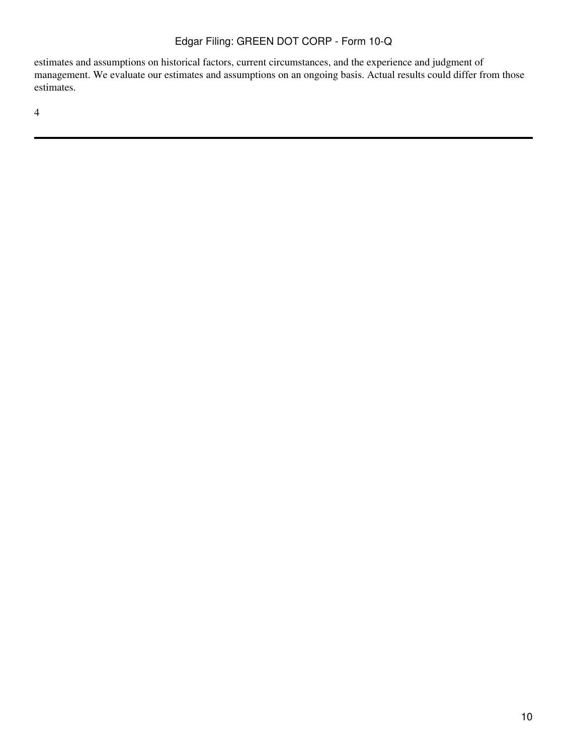estimates and assumptions on historical factors, current circumstances, and the experience and judgment of management. We evaluate our estimates and assumptions on an ongoing basis. Actual results could differ from those estimates.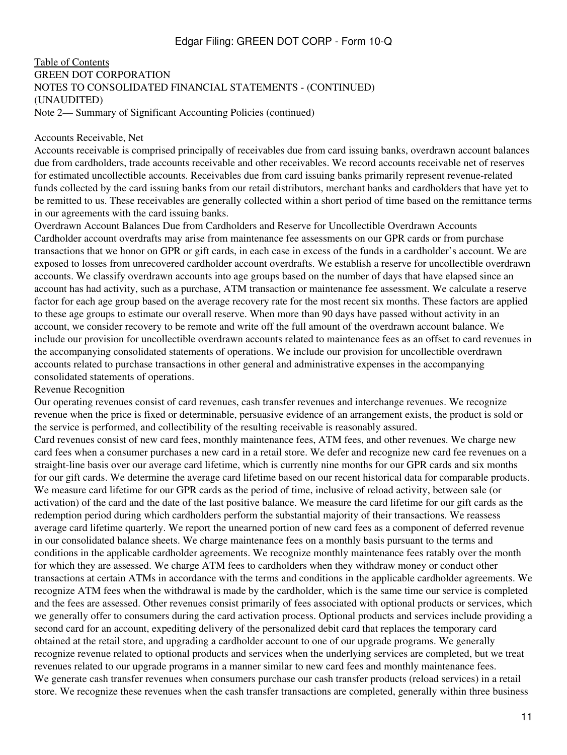#### [Table of Contents](#page-2-0) GREEN DOT CORPORATION NOTES TO CONSOLIDATED FINANCIAL STATEMENTS - (CONTINUED) (UNAUDITED) Note 2— Summary of Significant Accounting Policies (continued)

#### Accounts Receivable, Net

Accounts receivable is comprised principally of receivables due from card issuing banks, overdrawn account balances due from cardholders, trade accounts receivable and other receivables. We record accounts receivable net of reserves for estimated uncollectible accounts. Receivables due from card issuing banks primarily represent revenue-related funds collected by the card issuing banks from our retail distributors, merchant banks and cardholders that have yet to be remitted to us. These receivables are generally collected within a short period of time based on the remittance terms in our agreements with the card issuing banks.

Overdrawn Account Balances Due from Cardholders and Reserve for Uncollectible Overdrawn Accounts Cardholder account overdrafts may arise from maintenance fee assessments on our GPR cards or from purchase transactions that we honor on GPR or gift cards, in each case in excess of the funds in a cardholder's account. We are exposed to losses from unrecovered cardholder account overdrafts. We establish a reserve for uncollectible overdrawn accounts. We classify overdrawn accounts into age groups based on the number of days that have elapsed since an account has had activity, such as a purchase, ATM transaction or maintenance fee assessment. We calculate a reserve factor for each age group based on the average recovery rate for the most recent six months. These factors are applied to these age groups to estimate our overall reserve. When more than 90 days have passed without activity in an account, we consider recovery to be remote and write off the full amount of the overdrawn account balance. We include our provision for uncollectible overdrawn accounts related to maintenance fees as an offset to card revenues in the accompanying consolidated statements of operations. We include our provision for uncollectible overdrawn accounts related to purchase transactions in other general and administrative expenses in the accompanying consolidated statements of operations.

#### Revenue Recognition

Our operating revenues consist of card revenues, cash transfer revenues and interchange revenues. We recognize revenue when the price is fixed or determinable, persuasive evidence of an arrangement exists, the product is sold or the service is performed, and collectibility of the resulting receivable is reasonably assured.

Card revenues consist of new card fees, monthly maintenance fees, ATM fees, and other revenues. We charge new card fees when a consumer purchases a new card in a retail store. We defer and recognize new card fee revenues on a straight-line basis over our average card lifetime, which is currently nine months for our GPR cards and six months for our gift cards. We determine the average card lifetime based on our recent historical data for comparable products. We measure card lifetime for our GPR cards as the period of time, inclusive of reload activity, between sale (or activation) of the card and the date of the last positive balance. We measure the card lifetime for our gift cards as the redemption period during which cardholders perform the substantial majority of their transactions. We reassess average card lifetime quarterly. We report the unearned portion of new card fees as a component of deferred revenue in our consolidated balance sheets. We charge maintenance fees on a monthly basis pursuant to the terms and conditions in the applicable cardholder agreements. We recognize monthly maintenance fees ratably over the month for which they are assessed. We charge ATM fees to cardholders when they withdraw money or conduct other transactions at certain ATMs in accordance with the terms and conditions in the applicable cardholder agreements. We recognize ATM fees when the withdrawal is made by the cardholder, which is the same time our service is completed and the fees are assessed. Other revenues consist primarily of fees associated with optional products or services, which we generally offer to consumers during the card activation process. Optional products and services include providing a second card for an account, expediting delivery of the personalized debit card that replaces the temporary card obtained at the retail store, and upgrading a cardholder account to one of our upgrade programs. We generally recognize revenue related to optional products and services when the underlying services are completed, but we treat revenues related to our upgrade programs in a manner similar to new card fees and monthly maintenance fees. We generate cash transfer revenues when consumers purchase our cash transfer products (reload services) in a retail store. We recognize these revenues when the cash transfer transactions are completed, generally within three business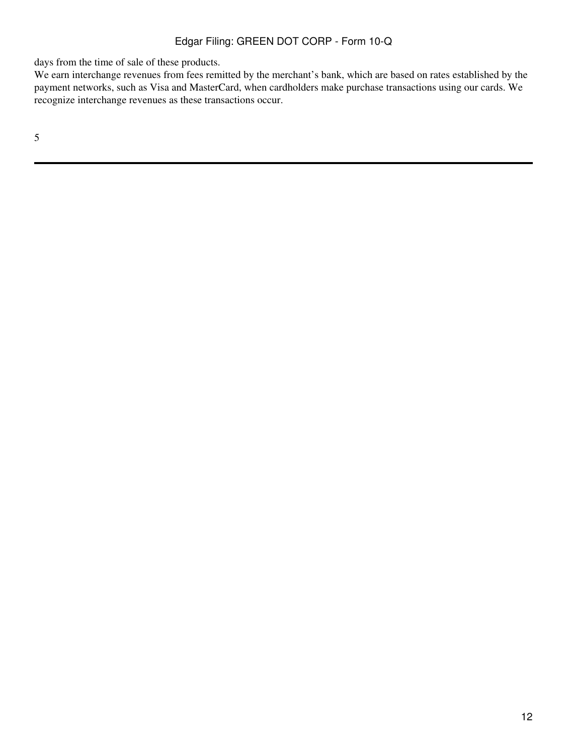days from the time of sale of these products.

We earn interchange revenues from fees remitted by the merchant's bank, which are based on rates established by the payment networks, such as Visa and MasterCard, when cardholders make purchase transactions using our cards. We recognize interchange revenues as these transactions occur.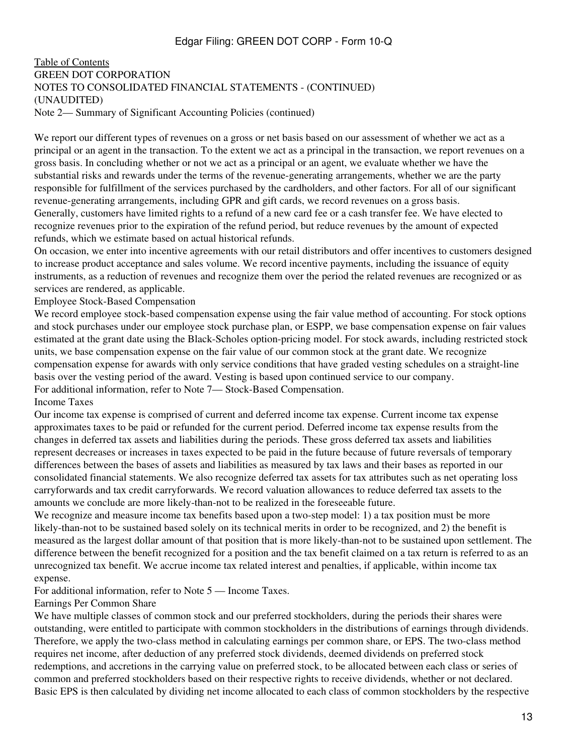#### [Table of Contents](#page-2-0) GREEN DOT CORPORATION NOTES TO CONSOLIDATED FINANCIAL STATEMENTS - (CONTINUED) (UNAUDITED) Note 2— Summary of Significant Accounting Policies (continued)

We report our different types of revenues on a gross or net basis based on our assessment of whether we act as a principal or an agent in the transaction. To the extent we act as a principal in the transaction, we report revenues on a gross basis. In concluding whether or not we act as a principal or an agent, we evaluate whether we have the substantial risks and rewards under the terms of the revenue-generating arrangements, whether we are the party responsible for fulfillment of the services purchased by the cardholders, and other factors. For all of our significant revenue-generating arrangements, including GPR and gift cards, we record revenues on a gross basis. Generally, customers have limited rights to a refund of a new card fee or a cash transfer fee. We have elected to recognize revenues prior to the expiration of the refund period, but reduce revenues by the amount of expected refunds, which we estimate based on actual historical refunds.

On occasion, we enter into incentive agreements with our retail distributors and offer incentives to customers designed to increase product acceptance and sales volume. We record incentive payments, including the issuance of equity instruments, as a reduction of revenues and recognize them over the period the related revenues are recognized or as services are rendered, as applicable.

Employee Stock-Based Compensation

We record employee stock-based compensation expense using the fair value method of accounting. For stock options and stock purchases under our employee stock purchase plan, or ESPP, we base compensation expense on fair values estimated at the grant date using the Black-Scholes option-pricing model. For stock awards, including restricted stock units, we base compensation expense on the fair value of our common stock at the grant date. We recognize compensation expense for awards with only service conditions that have graded vesting schedules on a straight-line basis over the vesting period of the award. Vesting is based upon continued service to our company. For additional information, refer to Note 7— Stock-Based Compensation. Income Taxes

Our income tax expense is comprised of current and deferred income tax expense. Current income tax expense approximates taxes to be paid or refunded for the current period. Deferred income tax expense results from the changes in deferred tax assets and liabilities during the periods. These gross deferred tax assets and liabilities represent decreases or increases in taxes expected to be paid in the future because of future reversals of temporary differences between the bases of assets and liabilities as measured by tax laws and their bases as reported in our consolidated financial statements. We also recognize deferred tax assets for tax attributes such as net operating loss carryforwards and tax credit carryforwards. We record valuation allowances to reduce deferred tax assets to the amounts we conclude are more likely-than-not to be realized in the foreseeable future.

We recognize and measure income tax benefits based upon a two-step model: 1) a tax position must be more likely-than-not to be sustained based solely on its technical merits in order to be recognized, and 2) the benefit is measured as the largest dollar amount of that position that is more likely-than-not to be sustained upon settlement. The difference between the benefit recognized for a position and the tax benefit claimed on a tax return is referred to as an unrecognized tax benefit. We accrue income tax related interest and penalties, if applicable, within income tax expense.

For additional information, refer to Note 5 — Income Taxes.

#### Earnings Per Common Share

We have multiple classes of common stock and our preferred stockholders, during the periods their shares were outstanding, were entitled to participate with common stockholders in the distributions of earnings through dividends. Therefore, we apply the two-class method in calculating earnings per common share, or EPS. The two-class method requires net income, after deduction of any preferred stock dividends, deemed dividends on preferred stock redemptions, and accretions in the carrying value on preferred stock, to be allocated between each class or series of common and preferred stockholders based on their respective rights to receive dividends, whether or not declared. Basic EPS is then calculated by dividing net income allocated to each class of common stockholders by the respective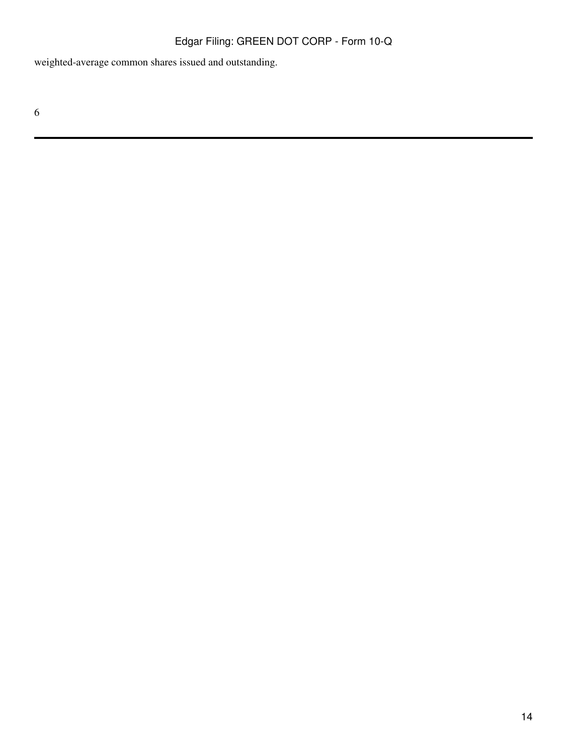weighted-average common shares issued and outstanding.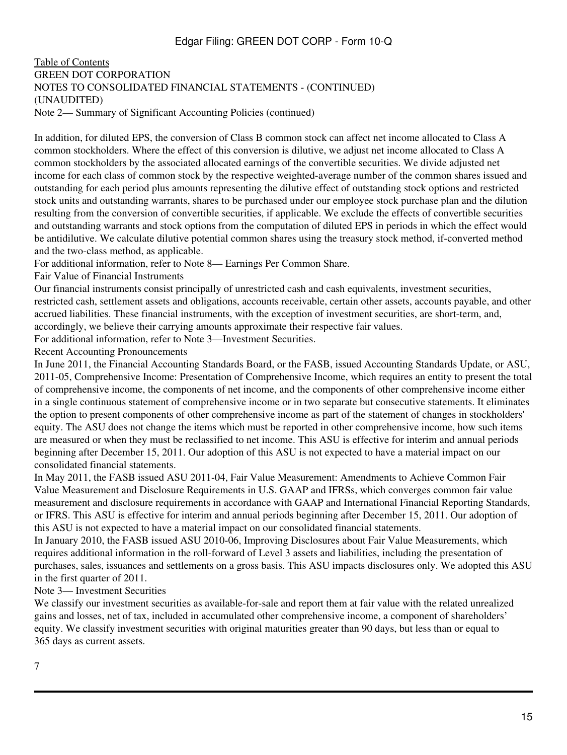#### [Table of Contents](#page-2-0) GREEN DOT CORPORATION NOTES TO CONSOLIDATED FINANCIAL STATEMENTS - (CONTINUED) (UNAUDITED) Note 2— Summary of Significant Accounting Policies (continued)

In addition, for diluted EPS, the conversion of Class B common stock can affect net income allocated to Class A common stockholders. Where the effect of this conversion is dilutive, we adjust net income allocated to Class A common stockholders by the associated allocated earnings of the convertible securities. We divide adjusted net income for each class of common stock by the respective weighted-average number of the common shares issued and outstanding for each period plus amounts representing the dilutive effect of outstanding stock options and restricted stock units and outstanding warrants, shares to be purchased under our employee stock purchase plan and the dilution resulting from the conversion of convertible securities, if applicable. We exclude the effects of convertible securities and outstanding warrants and stock options from the computation of diluted EPS in periods in which the effect would be antidilutive. We calculate dilutive potential common shares using the treasury stock method, if-converted method and the two-class method, as applicable.

For additional information, refer to Note 8— Earnings Per Common Share.

Fair Value of Financial Instruments

Our financial instruments consist principally of unrestricted cash and cash equivalents, investment securities, restricted cash, settlement assets and obligations, accounts receivable, certain other assets, accounts payable, and other accrued liabilities. These financial instruments, with the exception of investment securities, are short-term, and, accordingly, we believe their carrying amounts approximate their respective fair values.

For additional information, refer to Note 3—Investment Securities.

Recent Accounting Pronouncements

In June 2011, the Financial Accounting Standards Board, or the FASB, issued Accounting Standards Update, or ASU, 2011-05, Comprehensive Income: Presentation of Comprehensive Income, which requires an entity to present the total of comprehensive income, the components of net income, and the components of other comprehensive income either in a single continuous statement of comprehensive income or in two separate but consecutive statements. It eliminates the option to present components of other comprehensive income as part of the statement of changes in stockholders' equity. The ASU does not change the items which must be reported in other comprehensive income, how such items are measured or when they must be reclassified to net income. This ASU is effective for interim and annual periods beginning after December 15, 2011. Our adoption of this ASU is not expected to have a material impact on our consolidated financial statements.

In May 2011, the FASB issued ASU 2011-04, Fair Value Measurement: Amendments to Achieve Common Fair Value Measurement and Disclosure Requirements in U.S. GAAP and IFRSs, which converges common fair value measurement and disclosure requirements in accordance with GAAP and International Financial Reporting Standards, or IFRS. This ASU is effective for interim and annual periods beginning after December 15, 2011. Our adoption of this ASU is not expected to have a material impact on our consolidated financial statements.

In January 2010, the FASB issued ASU 2010-06, Improving Disclosures about Fair Value Measurements, which requires additional information in the roll-forward of Level 3 assets and liabilities, including the presentation of purchases, sales, issuances and settlements on a gross basis. This ASU impacts disclosures only. We adopted this ASU in the first quarter of 2011.

## Note 3— Investment Securities

We classify our investment securities as available-for-sale and report them at fair value with the related unrealized gains and losses, net of tax, included in accumulated other comprehensive income, a component of shareholders' equity. We classify investment securities with original maturities greater than 90 days, but less than or equal to 365 days as current assets.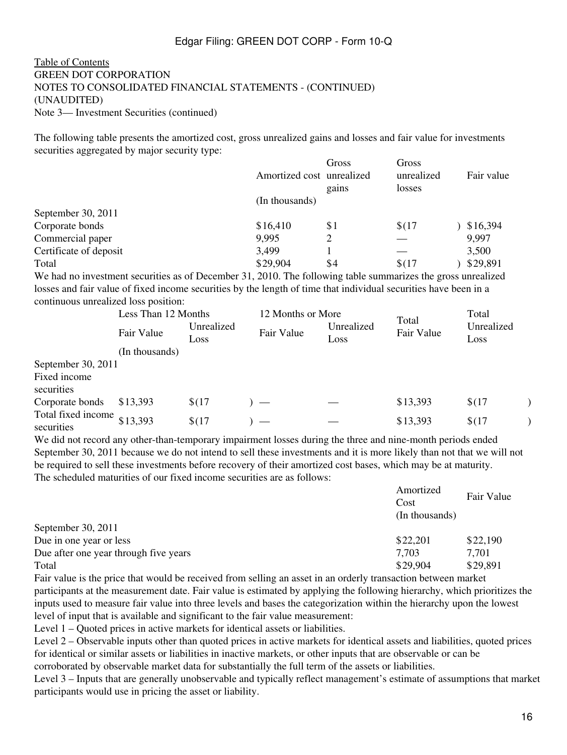#### [Table of Contents](#page-2-0) GREEN DOT CORPORATION NOTES TO CONSOLIDATED FINANCIAL STATEMENTS - (CONTINUED) (UNAUDITED) Note 3— Investment Securities (continued)

The following table presents the amortized cost, gross unrealized gains and losses and fair value for investments securities aggregated by major security type:

|                                                                                                              | Amortized cost unrealized | Gross<br>gains | Gross<br>unrealized<br>losses | Fair value |
|--------------------------------------------------------------------------------------------------------------|---------------------------|----------------|-------------------------------|------------|
|                                                                                                              | (In thousands)            |                |                               |            |
| September 30, 2011                                                                                           |                           |                |                               |            |
| Corporate bonds                                                                                              | \$16,410                  | \$1            | \$(17)                        | \$16,394   |
| Commercial paper                                                                                             | 9,995                     |                |                               | 9,997      |
| Certificate of deposit                                                                                       | 3.499                     |                |                               | 3,500      |
| Total                                                                                                        | \$29,904                  | \$4            | \$(17)                        | \$29,891   |
| We had no investment securities as of December 21, 2010. The following table summerizes the gross unrealized |                           |                |                               |            |

We had no investment securities as of December 31, 2010. The following table summarizes the gross unrealized losses and fair value of fixed income securities by the length of time that individual securities have been in a continuous unrealized loss position:

|                                            | Less Than 12 Months |                    | 12 Months or More |                    | Total    | Total              |  |
|--------------------------------------------|---------------------|--------------------|-------------------|--------------------|----------|--------------------|--|
|                                            | Fair Value          | Unrealized<br>Loss | Fair Value        | Unrealized<br>Loss |          | Unrealized<br>Loss |  |
|                                            | (In thousands)      |                    |                   |                    |          |                    |  |
| September 30, 2011                         |                     |                    |                   |                    |          |                    |  |
| Fixed income<br>securities                 |                     |                    |                   |                    |          |                    |  |
| Corporate bonds                            | \$13,393            | \$(17)             |                   |                    | \$13,393 | \$(17)             |  |
| Total fixed income $$13,393$<br>securities |                     | \$(17)             |                   |                    | \$13,393 | \$(17)             |  |

We did not record any other-than-temporary impairment losses during the three and nine-month periods ended September 30, 2011 because we do not intend to sell these investments and it is more likely than not that we will not be required to sell these investments before recovery of their amortized cost bases, which may be at maturity. The scheduled maturities of our fixed income securities are as follows:

|                                       | Amortized<br>Cost<br>(In thousands) | Fair Value |
|---------------------------------------|-------------------------------------|------------|
| September 30, 2011                    |                                     |            |
| Due in one year or less               | \$22,201                            | \$22,190   |
| Due after one year through five years | 7,703                               | 7,701      |
| Total                                 | \$29,904                            | \$29,891   |

Fair value is the price that would be received from selling an asset in an orderly transaction between market participants at the measurement date. Fair value is estimated by applying the following hierarchy, which prioritizes the inputs used to measure fair value into three levels and bases the categorization within the hierarchy upon the lowest level of input that is available and significant to the fair value measurement:

Level 1 – Quoted prices in active markets for identical assets or liabilities.

Level 2 – Observable inputs other than quoted prices in active markets for identical assets and liabilities, quoted prices for identical or similar assets or liabilities in inactive markets, or other inputs that are observable or can be corroborated by observable market data for substantially the full term of the assets or liabilities.

Level 3 – Inputs that are generally unobservable and typically reflect management's estimate of assumptions that market participants would use in pricing the asset or liability.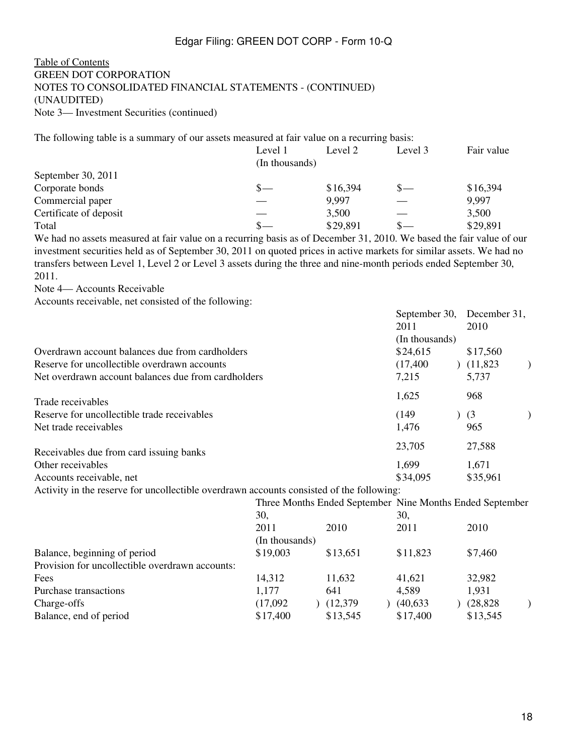#### [Table of Contents](#page-2-0) GREEN DOT CORPORATION NOTES TO CONSOLIDATED FINANCIAL STATEMENTS - (CONTINUED) (UNAUDITED) Note 3— Investment Securities (continued)

The following table is a summary of our assets measured at fair value on a recurring basis:

|                        | Level 1        | Level 2  | Level 3 | Fair value |
|------------------------|----------------|----------|---------|------------|
|                        | (In thousands) |          |         |            |
| September 30, $2011$   |                |          |         |            |
| Corporate bonds        | S —            | \$16,394 | $S-$    | \$16,394   |
| Commercial paper       |                | 9,997    |         | 9,997      |
| Certificate of deposit |                | 3,500    |         | 3,500      |
| Total                  |                | \$29,891 | $\sim$  | \$29,891   |

We had no assets measured at fair value on a recurring basis as of December 31, 2010. We based the fair value of our investment securities held as of September 30, 2011 on quoted prices in active markets for similar assets. We had no transfers between Level 1, Level 2 or Level 3 assets during the three and nine-month periods ended September 30, 2011.

Note 4— Accounts Receivable

Accounts receivable, net consisted of the following:

|                                                     | September 30,  | December 31, |  |
|-----------------------------------------------------|----------------|--------------|--|
|                                                     | 2011           | 2010         |  |
|                                                     | (In thousands) |              |  |
| Overdrawn account balances due from cardholders     | \$24,615       | \$17,560     |  |
| Reserve for uncollectible overdrawn accounts        | (17, 400)      | (11,823)     |  |
| Net overdrawn account balances due from cardholders | 7,215          | 5,737        |  |
| Trade receivables                                   | 1,625          | 968          |  |
| Reserve for uncollectible trade receivables         | (149)          | (3)          |  |
| Net trade receivables                               | 1,476          | 965          |  |
| Receivables due from card issuing banks             | 23,705         | 27,588       |  |
| Other receivables                                   | 1,699          | 1,671        |  |
| Accounts receivable, net                            | \$34,095       | \$35,961     |  |
|                                                     |                |              |  |

Activity in the reserve for uncollectible overdrawn accounts consisted of the following:

|                                                 | Three Months Ended September Nine Months Ended September |  |          |  |           |  |           |  |
|-------------------------------------------------|----------------------------------------------------------|--|----------|--|-----------|--|-----------|--|
|                                                 | 30.                                                      |  | 30,      |  |           |  |           |  |
|                                                 | 2011                                                     |  | 2010     |  | 2011      |  | 2010      |  |
|                                                 | (In thousands)                                           |  |          |  |           |  |           |  |
| Balance, beginning of period                    | \$19,003                                                 |  | \$13,651 |  | \$11,823  |  | \$7,460   |  |
| Provision for uncollectible overdrawn accounts: |                                                          |  |          |  |           |  |           |  |
| Fees                                            | 14,312                                                   |  | 11,632   |  | 41,621    |  | 32,982    |  |
| Purchase transactions                           | 1,177                                                    |  | 641      |  | 4,589     |  | 1,931     |  |
| Charge-offs                                     | (17,092)                                                 |  | (12,379) |  | (40, 633) |  | (28, 828) |  |
| Balance, end of period                          | \$17,400                                                 |  | \$13,545 |  | \$17,400  |  | \$13,545  |  |
|                                                 |                                                          |  |          |  |           |  |           |  |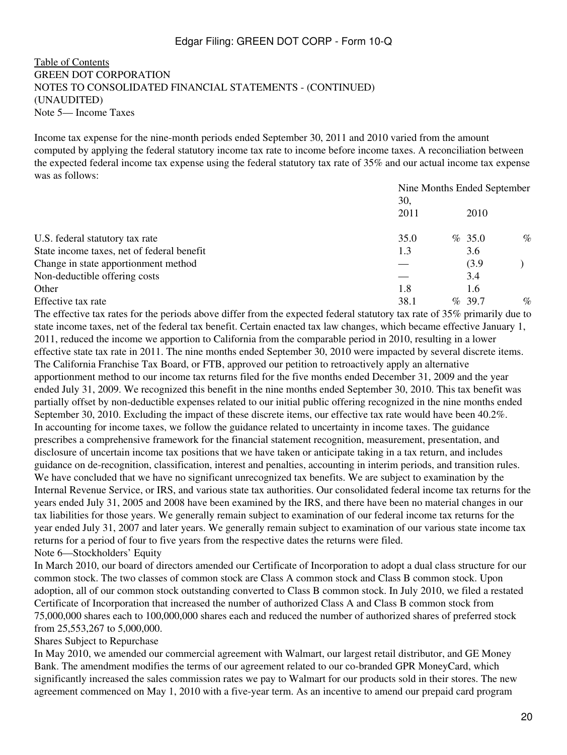[Table of Contents](#page-2-0) GREEN DOT CORPORATION NOTES TO CONSOLIDATED FINANCIAL STATEMENTS - (CONTINUED) (UNAUDITED) Note 5— Income Taxes

Income tax expense for the nine-month periods ended September 30, 2011 and 2010 varied from the amount computed by applying the federal statutory income tax rate to income before income taxes. A reconciliation between the expected federal income tax expense using the federal statutory tax rate of 35% and our actual income tax expense was as follows:

|                                            | Nine Months Ended September |  |           |      |  |  |
|--------------------------------------------|-----------------------------|--|-----------|------|--|--|
|                                            | 30,                         |  |           |      |  |  |
|                                            | 2011                        |  | 2010      |      |  |  |
| U.S. federal statutory tax rate            | 35.0                        |  | $\%$ 35.0 | $\%$ |  |  |
| State income taxes, net of federal benefit | 1.3                         |  | 3.6       |      |  |  |
| Change in state apportionment method       |                             |  | (3.9)     |      |  |  |
| Non-deductible offering costs              |                             |  | 3.4       |      |  |  |
| Other                                      | 1.8                         |  | 1.6       |      |  |  |
| Effective tax rate                         | 38.1                        |  | $\%$ 39.7 | $\%$ |  |  |

The effective tax rates for the periods above differ from the expected federal statutory tax rate of 35% primarily due to state income taxes, net of the federal tax benefit. Certain enacted tax law changes, which became effective January 1, 2011, reduced the income we apportion to California from the comparable period in 2010, resulting in a lower effective state tax rate in 2011. The nine months ended September 30, 2010 were impacted by several discrete items. The California Franchise Tax Board, or FTB, approved our petition to retroactively apply an alternative apportionment method to our income tax returns filed for the five months ended December 31, 2009 and the year ended July 31, 2009. We recognized this benefit in the nine months ended September 30, 2010. This tax benefit was partially offset by non-deductible expenses related to our initial public offering recognized in the nine months ended September 30, 2010. Excluding the impact of these discrete items, our effective tax rate would have been 40.2%. In accounting for income taxes, we follow the guidance related to uncertainty in income taxes. The guidance prescribes a comprehensive framework for the financial statement recognition, measurement, presentation, and disclosure of uncertain income tax positions that we have taken or anticipate taking in a tax return, and includes guidance on de-recognition, classification, interest and penalties, accounting in interim periods, and transition rules. We have concluded that we have no significant unrecognized tax benefits. We are subject to examination by the Internal Revenue Service, or IRS, and various state tax authorities. Our consolidated federal income tax returns for the years ended July 31, 2005 and 2008 have been examined by the IRS, and there have been no material changes in our tax liabilities for those years. We generally remain subject to examination of our federal income tax returns for the year ended July 31, 2007 and later years. We generally remain subject to examination of our various state income tax returns for a period of four to five years from the respective dates the returns were filed. Note 6—Stockholders' Equity

In March 2010, our board of directors amended our Certificate of Incorporation to adopt a dual class structure for our common stock. The two classes of common stock are Class A common stock and Class B common stock. Upon adoption, all of our common stock outstanding converted to Class B common stock. In July 2010, we filed a restated Certificate of Incorporation that increased the number of authorized Class A and Class B common stock from 75,000,000 shares each to 100,000,000 shares each and reduced the number of authorized shares of preferred stock from 25,553,267 to 5,000,000.

#### Shares Subject to Repurchase

In May 2010, we amended our commercial agreement with Walmart, our largest retail distributor, and GE Money Bank. The amendment modifies the terms of our agreement related to our co-branded GPR MoneyCard, which significantly increased the sales commission rates we pay to Walmart for our products sold in their stores. The new agreement commenced on May 1, 2010 with a five-year term. As an incentive to amend our prepaid card program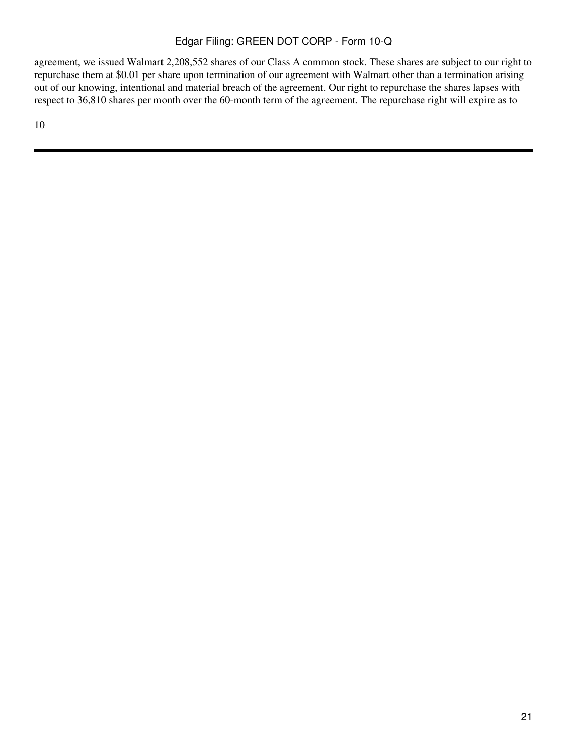agreement, we issued Walmart 2,208,552 shares of our Class A common stock. These shares are subject to our right to repurchase them at \$0.01 per share upon termination of our agreement with Walmart other than a termination arising out of our knowing, intentional and material breach of the agreement. Our right to repurchase the shares lapses with respect to 36,810 shares per month over the 60-month term of the agreement. The repurchase right will expire as to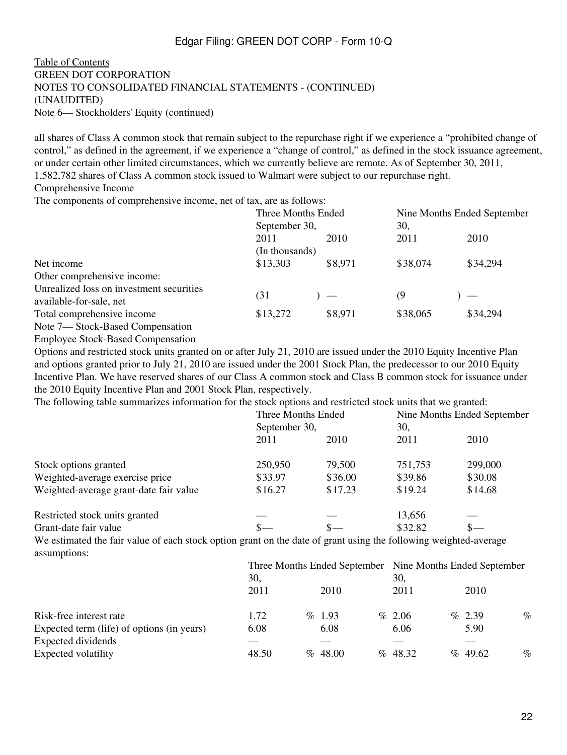#### [Table of Contents](#page-2-0) GREEN DOT CORPORATION NOTES TO CONSOLIDATED FINANCIAL STATEMENTS - (CONTINUED) (UNAUDITED) Note 6— Stockholders' Equity (continued)

all shares of Class A common stock that remain subject to the repurchase right if we experience a "prohibited change of control," as defined in the agreement, if we experience a "change of control," as defined in the stock issuance agreement, or under certain other limited circumstances, which we currently believe are remote. As of September 30, 2011, 1,582,782 shares of Class A common stock issued to Walmart were subject to our repurchase right.

Comprehensive Income

The components of comprehensive income, net of tax, are as follows:

|                                          | Three Months Ended |         | Nine Months Ended September |          |  |  |  |
|------------------------------------------|--------------------|---------|-----------------------------|----------|--|--|--|
|                                          | September 30,      |         | 30,                         |          |  |  |  |
|                                          | 2011               | 2010    | 2011                        | 2010     |  |  |  |
|                                          | (In thousands)     |         |                             |          |  |  |  |
| Net income                               | \$13,303           | \$8,971 | \$38,074                    | \$34,294 |  |  |  |
| Other comprehensive income:              |                    |         |                             |          |  |  |  |
| Unrealized loss on investment securities |                    |         |                             |          |  |  |  |
| available-for-sale, net                  | (31                |         | (9                          |          |  |  |  |
| Total comprehensive income               | \$13,272           | \$8,971 | \$38,065                    | \$34,294 |  |  |  |
| Note 7— Stock-Based Compensation         |                    |         |                             |          |  |  |  |
| <b>Employee Stock-Based Compensation</b> |                    |         |                             |          |  |  |  |

Options and restricted stock units granted on or after July 21, 2010 are issued under the 2010 Equity Incentive Plan and options granted prior to July 21, 2010 are issued under the 2001 Stock Plan, the predecessor to our 2010 Equity Incentive Plan. We have reserved shares of our Class A common stock and Class B common stock for issuance under the 2010 Equity Incentive Plan and 2001 Stock Plan, respectively.

The following table summarizes information for the stock options and restricted stock units that we granted:

|                                        | Three Months Ended<br>September 30, |         | Nine Months Ended September<br>30, |         |  |
|----------------------------------------|-------------------------------------|---------|------------------------------------|---------|--|
|                                        | 2011                                | 2010    | 2011                               | 2010    |  |
| Stock options granted                  | 250,950                             | 79,500  | 751,753                            | 299,000 |  |
| Weighted-average exercise price        | \$33.97                             | \$36.00 | \$39.86                            | \$30.08 |  |
| Weighted-average grant-date fair value | \$16.27                             | \$17.23 | \$19.24                            | \$14.68 |  |
| Restricted stock units granted         |                                     |         | 13,656                             |         |  |
| Grant-date fair value                  |                                     |         | \$32.82                            |         |  |

We estimated the fair value of each stock option grant on the date of grant using the following weighted-average assumptions:

|                                            | Three Months Ended September Nine Months Ended September |  |            |     |         |  |            |      |
|--------------------------------------------|----------------------------------------------------------|--|------------|-----|---------|--|------------|------|
|                                            | 30,                                                      |  |            | 30, |         |  |            |      |
|                                            | 2011                                                     |  | 2010       |     | 2011    |  | 2010       |      |
| Risk-free interest rate                    | 1.72                                                     |  | $\%$ 1.93  |     | % 2.06  |  | $\%$ 2.39  | $\%$ |
| Expected term (life) of options (in years) | 6.08                                                     |  | 6.08       |     | 6.06    |  | 5.90       |      |
| Expected dividends                         |                                                          |  |            |     |         |  |            |      |
| Expected volatility                        | 48.50                                                    |  | $\%$ 48.00 |     | % 48.32 |  | $\%$ 49.62 | $\%$ |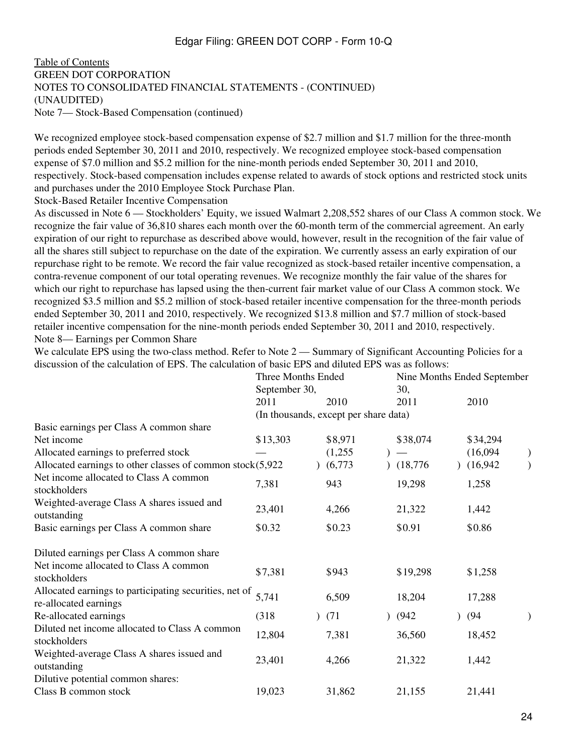[Table of Contents](#page-2-0) GREEN DOT CORPORATION NOTES TO CONSOLIDATED FINANCIAL STATEMENTS - (CONTINUED) (UNAUDITED) Note 7— Stock-Based Compensation (continued)

We recognized employee stock-based compensation expense of \$2.7 million and \$1.7 million for the three-month periods ended September 30, 2011 and 2010, respectively. We recognized employee stock-based compensation expense of \$7.0 million and \$5.2 million for the nine-month periods ended September 30, 2011 and 2010, respectively. Stock-based compensation includes expense related to awards of stock options and restricted stock units and purchases under the 2010 Employee Stock Purchase Plan.

Stock-Based Retailer Incentive Compensation

As discussed in Note 6 — Stockholders' Equity, we issued Walmart 2,208,552 shares of our Class A common stock. We recognize the fair value of 36,810 shares each month over the 60-month term of the commercial agreement. An early expiration of our right to repurchase as described above would, however, result in the recognition of the fair value of all the shares still subject to repurchase on the date of the expiration. We currently assess an early expiration of our repurchase right to be remote. We record the fair value recognized as stock-based retailer incentive compensation, a contra-revenue component of our total operating revenues. We recognize monthly the fair value of the shares for which our right to repurchase has lapsed using the then-current fair market value of our Class A common stock. We recognized \$3.5 million and \$5.2 million of stock-based retailer incentive compensation for the three-month periods ended September 30, 2011 and 2010, respectively. We recognized \$13.8 million and \$7.7 million of stock-based retailer incentive compensation for the nine-month periods ended September 30, 2011 and 2010, respectively. Note 8— Earnings per Common Share

We calculate EPS using the two-class method. Refer to Note 2 — Summary of Significant Accounting Policies for a discussion of the calculation of EPS. The calculation of basic EPS and diluted EPS was as follows:

|                                                                                 | Three Months Ended<br>September 30, |                                       | Nine Months Ended September<br>30, |                           |  |
|---------------------------------------------------------------------------------|-------------------------------------|---------------------------------------|------------------------------------|---------------------------|--|
|                                                                                 | 2011                                | 2010                                  | 2011                               | 2010                      |  |
|                                                                                 |                                     | (In thousands, except per share data) |                                    |                           |  |
| Basic earnings per Class A common share                                         |                                     |                                       |                                    |                           |  |
| Net income                                                                      | \$13,303                            | \$8,971                               | \$38,074                           | \$34,294                  |  |
| Allocated earnings to preferred stock                                           |                                     | (1,255)                               |                                    | (16,094)<br>$\mathcal{E}$ |  |
| Allocated earnings to other classes of common stock $(5,922)$                   |                                     | (6,773)                               | (18, 776)                          | (16,942)                  |  |
| Net income allocated to Class A common<br>stockholders                          | 7,381                               | 943                                   | 19,298                             | 1,258                     |  |
| Weighted-average Class A shares issued and<br>outstanding                       | 23,401                              | 4,266                                 | 21,322                             | 1,442                     |  |
| Basic earnings per Class A common share                                         | \$0.32                              | \$0.23                                | \$0.91                             | \$0.86                    |  |
| Diluted earnings per Class A common share                                       |                                     |                                       |                                    |                           |  |
| Net income allocated to Class A common<br>stockholders                          | \$7,381                             | \$943                                 | \$19,298                           | \$1,258                   |  |
| Allocated earnings to participating securities, net of<br>re-allocated earnings | 5,741                               | 6,509                                 | 18,204                             | 17,288                    |  |
| Re-allocated earnings                                                           | (318)                               | (71)                                  | (942)<br>$\mathcal{L}$             | (94)                      |  |
| Diluted net income allocated to Class A common<br>stockholders                  | 12,804                              | 7,381                                 | 36,560                             | 18,452                    |  |
| Weighted-average Class A shares issued and<br>outstanding                       | 23,401                              | 4,266                                 | 21,322                             | 1,442                     |  |
| Dilutive potential common shares:                                               |                                     |                                       |                                    |                           |  |
| Class B common stock                                                            | 19,023                              | 31,862                                | 21,155                             | 21,441                    |  |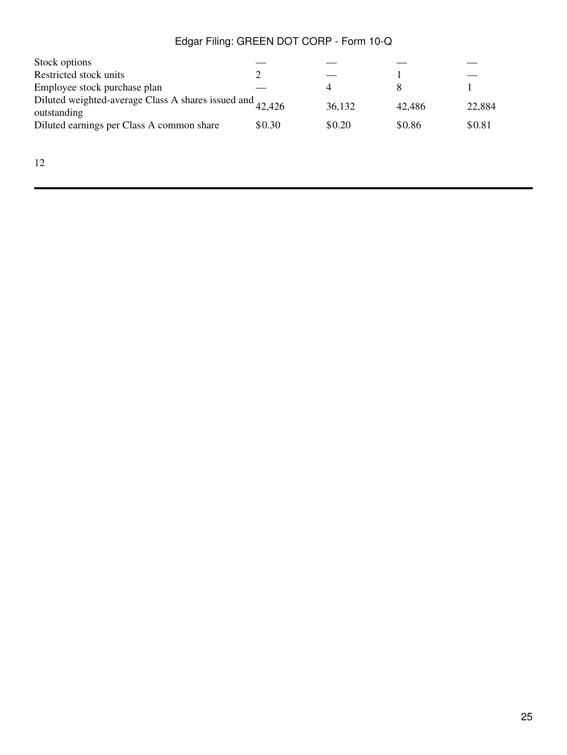| Stock options                                                            |        |        |        |        |
|--------------------------------------------------------------------------|--------|--------|--------|--------|
| Restricted stock units                                                   |        |        |        |        |
| Employee stock purchase plan                                             |        |        |        |        |
| Diluted weighted-average Class A shares issued and 42,426<br>outstanding |        | 36,132 | 42.486 | 22,884 |
| Diluted earnings per Class A common share                                | \$0.30 | \$0.20 | \$0.86 | \$0.81 |
|                                                                          |        |        |        |        |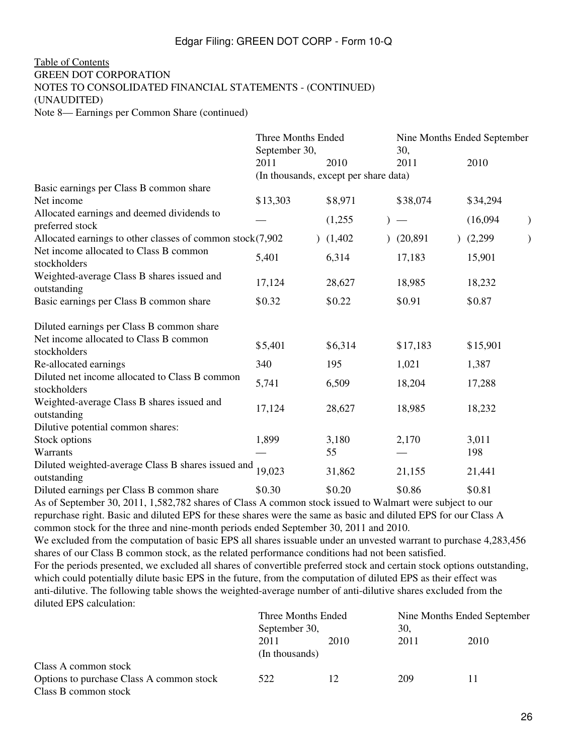#### [Table of Contents](#page-2-0) GREEN DOT CORPORATION NOTES TO CONSOLIDATED FINANCIAL STATEMENTS - (CONTINUED) (UNAUDITED) Note 8— Earnings per Common Share (continued)

|                                                                   | <b>Three Months Ended</b> | Nine Months Ended September           |           |  |          |  |
|-------------------------------------------------------------------|---------------------------|---------------------------------------|-----------|--|----------|--|
|                                                                   | September 30,             |                                       | 30,       |  |          |  |
|                                                                   | 2011                      | 2010                                  | 2011      |  | 2010     |  |
|                                                                   |                           | (In thousands, except per share data) |           |  |          |  |
| Basic earnings per Class B common share                           |                           |                                       |           |  |          |  |
| Net income                                                        | \$13,303                  | \$8,971                               | \$38,074  |  | \$34,294 |  |
| Allocated earnings and deemed dividends to<br>preferred stock     |                           | (1,255)                               |           |  | (16,094) |  |
| Allocated earnings to other classes of common stock(7,902         |                           | (1,402)                               | (20, 891) |  | (2,299)  |  |
| Net income allocated to Class B common<br>stockholders            | 5,401                     | 6,314                                 | 17,183    |  | 15,901   |  |
| Weighted-average Class B shares issued and<br>outstanding         | 17,124                    | 28,627                                | 18,985    |  | 18,232   |  |
| Basic earnings per Class B common share                           | \$0.32                    | \$0.22                                | \$0.91    |  | \$0.87   |  |
| Diluted earnings per Class B common share                         |                           |                                       |           |  |          |  |
| Net income allocated to Class B common<br>stockholders            | \$5,401                   | \$6,314                               | \$17,183  |  | \$15,901 |  |
| Re-allocated earnings                                             | 340                       | 195                                   | 1,021     |  | 1,387    |  |
| Diluted net income allocated to Class B common<br>stockholders    | 5,741                     | 6,509                                 | 18,204    |  | 17,288   |  |
| Weighted-average Class B shares issued and<br>outstanding         | 17,124                    | 28,627                                | 18,985    |  | 18,232   |  |
| Dilutive potential common shares:                                 |                           |                                       |           |  |          |  |
| Stock options                                                     | 1,899                     | 3,180                                 | 2,170     |  | 3,011    |  |
| Warrants                                                          |                           | 55                                    |           |  | 198      |  |
| Diluted weighted-average Class B shares issued and<br>outstanding | 19,023                    | 31,862                                | 21,155    |  | 21,441   |  |
| Diluted earnings per Class B common share                         | \$0.30                    | \$0.20                                | \$0.86    |  | \$0.81   |  |
| $1.60 \pm 1.00.0011 + 500.7021$<br>$\sim$ $\sim$ $\sim$ $\sim$    |                           | $\mathbf{1}$ $\mathbf{1}$             |           |  |          |  |

As of September 30, 2011, 1,582,782 shares of Class A common stock issued to Walmart were subject to our repurchase right. Basic and diluted EPS for these shares were the same as basic and diluted EPS for our Class A common stock for the three and nine-month periods ended September 30, 2011 and 2010.

We excluded from the computation of basic EPS all shares issuable under an unvested warrant to purchase 4,283,456 shares of our Class B common stock, as the related performance conditions had not been satisfied.

For the periods presented, we excluded all shares of convertible preferred stock and certain stock options outstanding, which could potentially dilute basic EPS in the future, from the computation of diluted EPS as their effect was anti-dilutive. The following table shows the weighted-average number of anti-dilutive shares excluded from the diluted EPS calculation:

|                                          | Three Months Ended<br>September 30, |      | Nine Months Ended September |      |  |
|------------------------------------------|-------------------------------------|------|-----------------------------|------|--|
|                                          |                                     |      | 30,                         |      |  |
|                                          | 2011<br>(In thousands)              | 2010 | 2011                        | 2010 |  |
| Class A common stock                     |                                     |      |                             |      |  |
| Options to purchase Class A common stock | 522                                 |      | 209                         |      |  |
| Class B common stock                     |                                     |      |                             |      |  |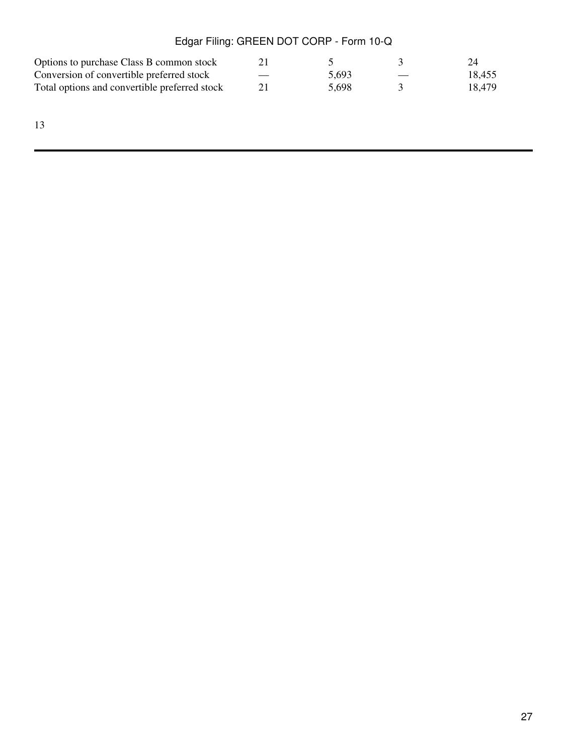| Options to purchase Class B common stock      |       |                          | 24     |
|-----------------------------------------------|-------|--------------------------|--------|
| Conversion of convertible preferred stock     | 5.693 | $\overline{\phantom{a}}$ | 18,455 |
| Total options and convertible preferred stock | 5.698 |                          | 18.479 |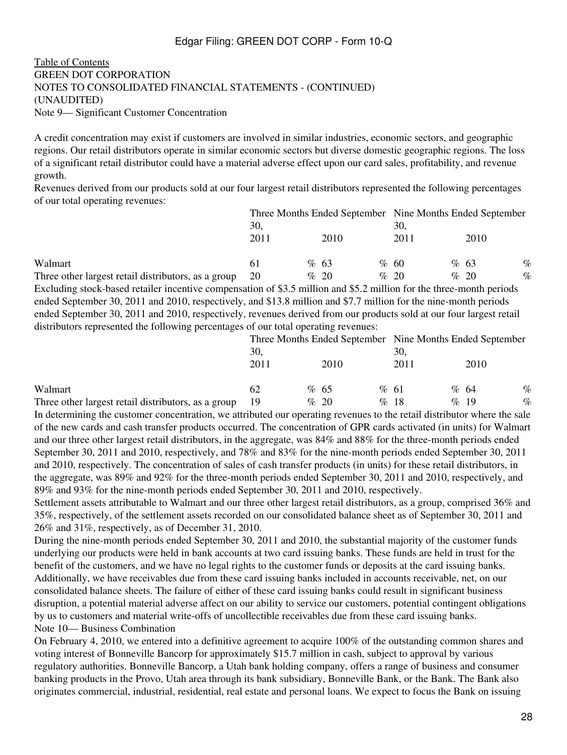[Table of Contents](#page-2-0) GREEN DOT CORPORATION NOTES TO CONSOLIDATED FINANCIAL STATEMENTS - (CONTINUED) (UNAUDITED) Note 9— Significant Customer Concentration

A credit concentration may exist if customers are involved in similar industries, economic sectors, and geographic regions. Our retail distributors operate in similar economic sectors but diverse domestic geographic regions. The loss of a significant retail distributor could have a material adverse effect upon our card sales, profitability, and revenue growth.

Revenues derived from our products sold at our four largest retail distributors represented the following percentages of our total operating revenues:

|                                                     | Three Months Ended September Nine Months Ended September |  |      |  |      |  |         |      |
|-----------------------------------------------------|----------------------------------------------------------|--|------|--|------|--|---------|------|
|                                                     | 30.                                                      |  |      |  | 30.  |  |         |      |
|                                                     | 2011                                                     |  | 2010 |  | 2011 |  | 2010    |      |
| Walmart                                             |                                                          |  | %63  |  | % 60 |  | %63     | $\%$ |
| Three other largest retail distributors, as a group | 20                                                       |  | % 20 |  | % 20 |  | $\%$ 20 | $\%$ |
|                                                     | $\alpha$ $\sim$ $\alpha$                                 |  |      |  |      |  |         |      |

Excluding stock-based retailer incentive compensation of \$3.5 million and \$5.2 million for the three-month periods ended September 30, 2011 and 2010, respectively, and \$13.8 million and \$7.7 million for the nine-month periods ended September 30, 2011 and 2010, respectively, revenues derived from our products sold at our four largest retail distributors represented the following percentages of our total operating revenues:

|                                                     | Three Months Ended September Nine Months Ended September |  |         |  |      |  |         |      |
|-----------------------------------------------------|----------------------------------------------------------|--|---------|--|------|--|---------|------|
|                                                     | 30.                                                      |  |         |  | 30.  |  |         |      |
|                                                     | 2011                                                     |  | 2010    |  | 2011 |  | 2010    |      |
| Walmart                                             | 62                                                       |  | % 65    |  | % 61 |  | %64     | $\%$ |
| Three other largest retail distributors, as a group | 19                                                       |  | $\%$ 20 |  | %18  |  | $\%$ 19 | $\%$ |

In determining the customer concentration, we attributed our operating revenues to the retail distributor where the sale of the new cards and cash transfer products occurred. The concentration of GPR cards activated (in units) for Walmart and our three other largest retail distributors, in the aggregate, was 84% and 88% for the three-month periods ended September 30, 2011 and 2010, respectively, and 78% and 83% for the nine-month periods ended September 30, 2011 and 2010, respectively. The concentration of sales of cash transfer products (in units) for these retail distributors, in the aggregate, was 89% and 92% for the three-month periods ended September 30, 2011 and 2010, respectively, and 89% and 93% for the nine-month periods ended September 30, 2011 and 2010, respectively.

Settlement assets attributable to Walmart and our three other largest retail distributors, as a group, comprised 36% and 35%, respectively, of the settlement assets recorded on our consolidated balance sheet as of September 30, 2011 and 26% and 31%, respectively, as of December 31, 2010.

During the nine-month periods ended September 30, 2011 and 2010, the substantial majority of the customer funds underlying our products were held in bank accounts at two card issuing banks. These funds are held in trust for the benefit of the customers, and we have no legal rights to the customer funds or deposits at the card issuing banks. Additionally, we have receivables due from these card issuing banks included in accounts receivable, net, on our consolidated balance sheets. The failure of either of these card issuing banks could result in significant business disruption, a potential material adverse affect on our ability to service our customers, potential contingent obligations by us to customers and material write-offs of uncollectible receivables due from these card issuing banks. Note 10— Business Combination

On February 4, 2010, we entered into a definitive agreement to acquire 100% of the outstanding common shares and voting interest of Bonneville Bancorp for approximately \$15.7 million in cash, subject to approval by various regulatory authorities. Bonneville Bancorp, a Utah bank holding company, offers a range of business and consumer banking products in the Provo, Utah area through its bank subsidiary, Bonneville Bank, or the Bank. The Bank also originates commercial, industrial, residential, real estate and personal loans. We expect to focus the Bank on issuing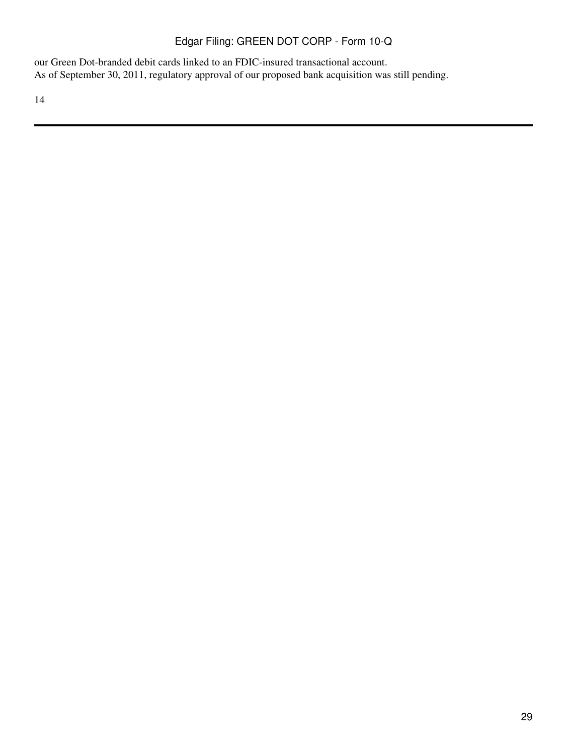our Green Dot-branded debit cards linked to an FDIC-insured transactional account. As of September 30, 2011, regulatory approval of our proposed bank acquisition was still pending.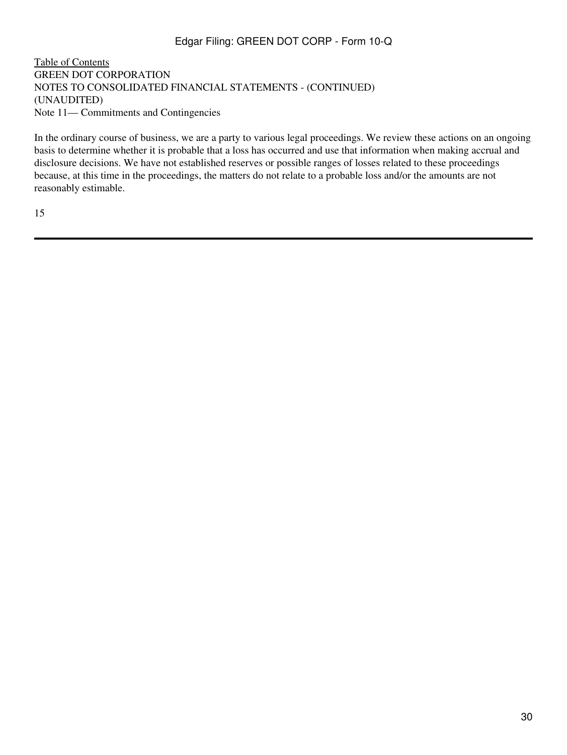[Table of Contents](#page-2-0) GREEN DOT CORPORATION NOTES TO CONSOLIDATED FINANCIAL STATEMENTS - (CONTINUED) (UNAUDITED) Note 11— Commitments and Contingencies

In the ordinary course of business, we are a party to various legal proceedings. We review these actions on an ongoing basis to determine whether it is probable that a loss has occurred and use that information when making accrual and disclosure decisions. We have not established reserves or possible ranges of losses related to these proceedings because, at this time in the proceedings, the matters do not relate to a probable loss and/or the amounts are not reasonably estimable.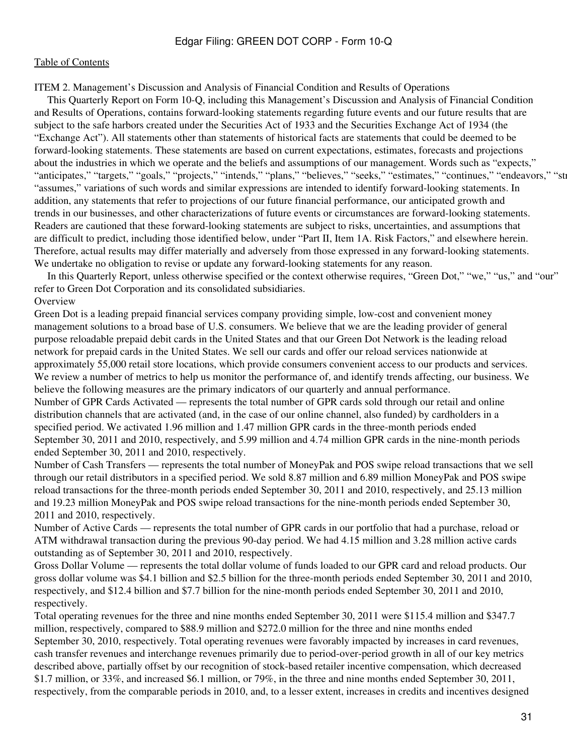#### <span id="page-30-0"></span>[Table of Contents](#page-2-0)

ITEM 2. Management's Discussion and Analysis of Financial Condition and Results of Operations

 This Quarterly Report on Form 10-Q, including this Management's Discussion and Analysis of Financial Condition and Results of Operations, contains forward-looking statements regarding future events and our future results that are subject to the safe harbors created under the Securities Act of 1933 and the Securities Exchange Act of 1934 (the "Exchange Act"). All statements other than statements of historical facts are statements that could be deemed to be forward-looking statements. These statements are based on current expectations, estimates, forecasts and projections about the industries in which we operate and the beliefs and assumptions of our management. Words such as "expects," "anticipates," "targets," "goals," "projects," "intends," "plans," "believes," "seeks," "estimates," "continues," "endeavors," "str "assumes," variations of such words and similar expressions are intended to identify forward-looking statements. In addition, any statements that refer to projections of our future financial performance, our anticipated growth and trends in our businesses, and other characterizations of future events or circumstances are forward-looking statements. Readers are cautioned that these forward-looking statements are subject to risks, uncertainties, and assumptions that are difficult to predict, including those identified below, under "Part II, Item 1A. Risk Factors," and elsewhere herein. Therefore, actual results may differ materially and adversely from those expressed in any forward-looking statements. We undertake no obligation to revise or update any forward-looking statements for any reason.

 In this Quarterly Report, unless otherwise specified or the context otherwise requires, "Green Dot," "we," "us," and "our" refer to Green Dot Corporation and its consolidated subsidiaries. **Overview** 

Green Dot is a leading prepaid financial services company providing simple, low-cost and convenient money management solutions to a broad base of U.S. consumers. We believe that we are the leading provider of general purpose reloadable prepaid debit cards in the United States and that our Green Dot Network is the leading reload network for prepaid cards in the United States. We sell our cards and offer our reload services nationwide at approximately 55,000 retail store locations, which provide consumers convenient access to our products and services. We review a number of metrics to help us monitor the performance of, and identify trends affecting, our business. We believe the following measures are the primary indicators of our quarterly and annual performance. Number of GPR Cards Activated — represents the total number of GPR cards sold through our retail and online distribution channels that are activated (and, in the case of our online channel, also funded) by cardholders in a specified period. We activated 1.96 million and 1.47 million GPR cards in the three-month periods ended September 30, 2011 and 2010, respectively, and 5.99 million and 4.74 million GPR cards in the nine-month periods ended September 30, 2011 and 2010, respectively.

Number of Cash Transfers — represents the total number of MoneyPak and POS swipe reload transactions that we sell through our retail distributors in a specified period. We sold 8.87 million and 6.89 million MoneyPak and POS swipe reload transactions for the three-month periods ended September 30, 2011 and 2010, respectively, and 25.13 million and 19.23 million MoneyPak and POS swipe reload transactions for the nine-month periods ended September 30, 2011 and 2010, respectively.

Number of Active Cards — represents the total number of GPR cards in our portfolio that had a purchase, reload or ATM withdrawal transaction during the previous 90-day period. We had 4.15 million and 3.28 million active cards outstanding as of September 30, 2011 and 2010, respectively.

Gross Dollar Volume — represents the total dollar volume of funds loaded to our GPR card and reload products. Our gross dollar volume was \$4.1 billion and \$2.5 billion for the three-month periods ended September 30, 2011 and 2010, respectively, and \$12.4 billion and \$7.7 billion for the nine-month periods ended September 30, 2011 and 2010, respectively.

Total operating revenues for the three and nine months ended September 30, 2011 were \$115.4 million and \$347.7 million, respectively, compared to \$88.9 million and \$272.0 million for the three and nine months ended September 30, 2010, respectively. Total operating revenues were favorably impacted by increases in card revenues, cash transfer revenues and interchange revenues primarily due to period-over-period growth in all of our key metrics described above, partially offset by our recognition of stock-based retailer incentive compensation, which decreased \$1.7 million, or 33%, and increased \$6.1 million, or 79%, in the three and nine months ended September 30, 2011, respectively, from the comparable periods in 2010, and, to a lesser extent, increases in credits and incentives designed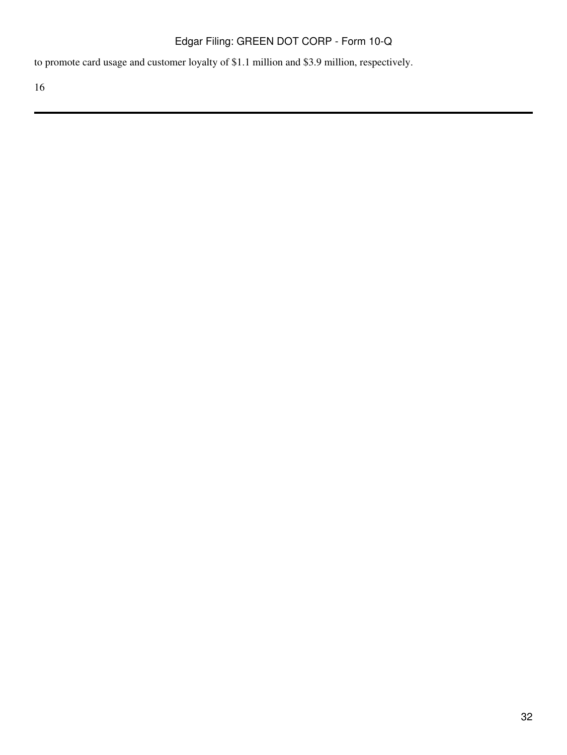to promote card usage and customer loyalty of \$1.1 million and \$3.9 million, respectively.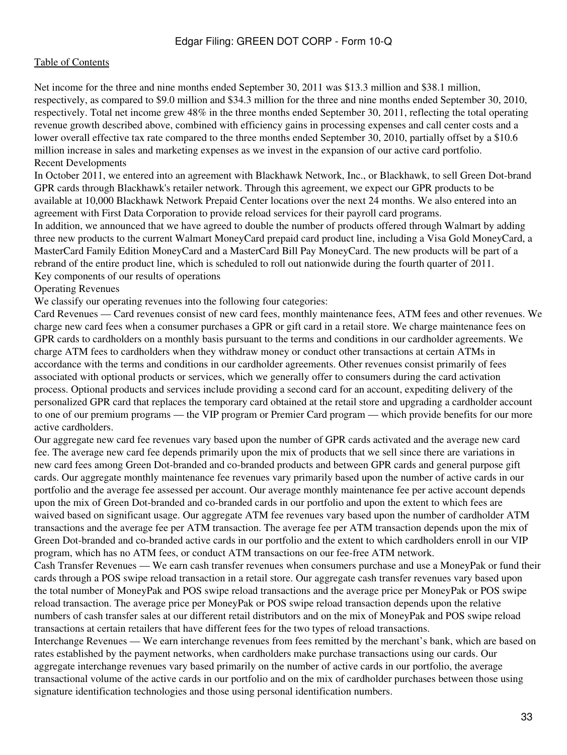#### [Table of Contents](#page-2-0)

Net income for the three and nine months ended September 30, 2011 was \$13.3 million and \$38.1 million, respectively, as compared to \$9.0 million and \$34.3 million for the three and nine months ended September 30, 2010, respectively. Total net income grew 48% in the three months ended September 30, 2011, reflecting the total operating revenue growth described above, combined with efficiency gains in processing expenses and call center costs and a lower overall effective tax rate compared to the three months ended September 30, 2010, partially offset by a \$10.6 million increase in sales and marketing expenses as we invest in the expansion of our active card portfolio. Recent Developments

In October 2011, we entered into an agreement with Blackhawk Network, Inc., or Blackhawk, to sell Green Dot-brand GPR cards through Blackhawk's retailer network. Through this agreement, we expect our GPR products to be available at 10,000 Blackhawk Network Prepaid Center locations over the next 24 months. We also entered into an agreement with First Data Corporation to provide reload services for their payroll card programs.

In addition, we announced that we have agreed to double the number of products offered through Walmart by adding three new products to the current Walmart MoneyCard prepaid card product line, including a Visa Gold MoneyCard, a MasterCard Family Edition MoneyCard and a MasterCard Bill Pay MoneyCard. The new products will be part of a rebrand of the entire product line, which is scheduled to roll out nationwide during the fourth quarter of 2011. Key components of our results of operations

Operating Revenues

We classify our operating revenues into the following four categories:

Card Revenues — Card revenues consist of new card fees, monthly maintenance fees, ATM fees and other revenues. We charge new card fees when a consumer purchases a GPR or gift card in a retail store. We charge maintenance fees on GPR cards to cardholders on a monthly basis pursuant to the terms and conditions in our cardholder agreements. We charge ATM fees to cardholders when they withdraw money or conduct other transactions at certain ATMs in accordance with the terms and conditions in our cardholder agreements. Other revenues consist primarily of fees associated with optional products or services, which we generally offer to consumers during the card activation process. Optional products and services include providing a second card for an account, expediting delivery of the personalized GPR card that replaces the temporary card obtained at the retail store and upgrading a cardholder account to one of our premium programs — the VIP program or Premier Card program — which provide benefits for our more active cardholders.

Our aggregate new card fee revenues vary based upon the number of GPR cards activated and the average new card fee. The average new card fee depends primarily upon the mix of products that we sell since there are variations in new card fees among Green Dot-branded and co-branded products and between GPR cards and general purpose gift cards. Our aggregate monthly maintenance fee revenues vary primarily based upon the number of active cards in our portfolio and the average fee assessed per account. Our average monthly maintenance fee per active account depends upon the mix of Green Dot-branded and co-branded cards in our portfolio and upon the extent to which fees are waived based on significant usage. Our aggregate ATM fee revenues vary based upon the number of cardholder ATM transactions and the average fee per ATM transaction. The average fee per ATM transaction depends upon the mix of Green Dot-branded and co-branded active cards in our portfolio and the extent to which cardholders enroll in our VIP program, which has no ATM fees, or conduct ATM transactions on our fee-free ATM network.

Cash Transfer Revenues — We earn cash transfer revenues when consumers purchase and use a MoneyPak or fund their cards through a POS swipe reload transaction in a retail store. Our aggregate cash transfer revenues vary based upon the total number of MoneyPak and POS swipe reload transactions and the average price per MoneyPak or POS swipe reload transaction. The average price per MoneyPak or POS swipe reload transaction depends upon the relative numbers of cash transfer sales at our different retail distributors and on the mix of MoneyPak and POS swipe reload transactions at certain retailers that have different fees for the two types of reload transactions.

Interchange Revenues — We earn interchange revenues from fees remitted by the merchant's bank, which are based on rates established by the payment networks, when cardholders make purchase transactions using our cards. Our aggregate interchange revenues vary based primarily on the number of active cards in our portfolio, the average transactional volume of the active cards in our portfolio and on the mix of cardholder purchases between those using signature identification technologies and those using personal identification numbers.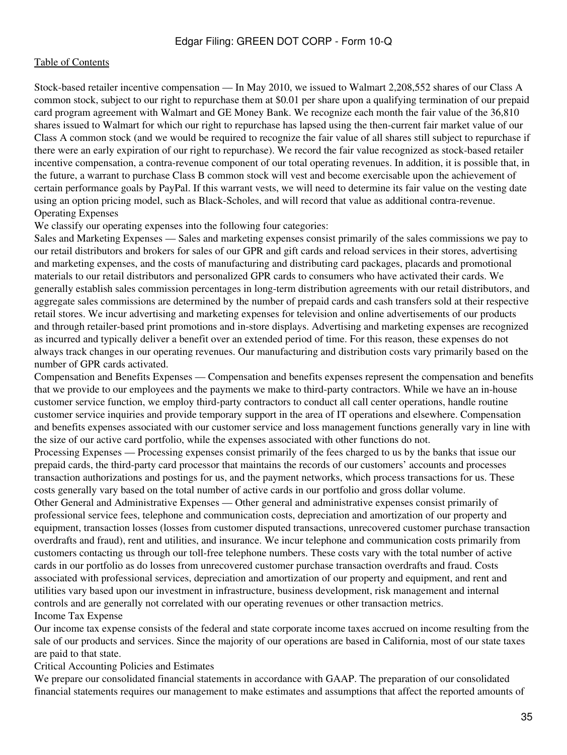#### [Table of Contents](#page-2-0)

Stock-based retailer incentive compensation — In May 2010, we issued to Walmart 2,208,552 shares of our Class A common stock, subject to our right to repurchase them at \$0.01 per share upon a qualifying termination of our prepaid card program agreement with Walmart and GE Money Bank. We recognize each month the fair value of the 36,810 shares issued to Walmart for which our right to repurchase has lapsed using the then-current fair market value of our Class A common stock (and we would be required to recognize the fair value of all shares still subject to repurchase if there were an early expiration of our right to repurchase). We record the fair value recognized as stock-based retailer incentive compensation, a contra-revenue component of our total operating revenues. In addition, it is possible that, in the future, a warrant to purchase Class B common stock will vest and become exercisable upon the achievement of certain performance goals by PayPal. If this warrant vests, we will need to determine its fair value on the vesting date using an option pricing model, such as Black-Scholes, and will record that value as additional contra-revenue. Operating Expenses

We classify our operating expenses into the following four categories:

Sales and Marketing Expenses — Sales and marketing expenses consist primarily of the sales commissions we pay to our retail distributors and brokers for sales of our GPR and gift cards and reload services in their stores, advertising and marketing expenses, and the costs of manufacturing and distributing card packages, placards and promotional materials to our retail distributors and personalized GPR cards to consumers who have activated their cards. We generally establish sales commission percentages in long-term distribution agreements with our retail distributors, and aggregate sales commissions are determined by the number of prepaid cards and cash transfers sold at their respective retail stores. We incur advertising and marketing expenses for television and online advertisements of our products and through retailer-based print promotions and in-store displays. Advertising and marketing expenses are recognized as incurred and typically deliver a benefit over an extended period of time. For this reason, these expenses do not always track changes in our operating revenues. Our manufacturing and distribution costs vary primarily based on the number of GPR cards activated.

Compensation and Benefits Expenses — Compensation and benefits expenses represent the compensation and benefits that we provide to our employees and the payments we make to third-party contractors. While we have an in-house customer service function, we employ third-party contractors to conduct all call center operations, handle routine customer service inquiries and provide temporary support in the area of IT operations and elsewhere. Compensation and benefits expenses associated with our customer service and loss management functions generally vary in line with the size of our active card portfolio, while the expenses associated with other functions do not.

Processing Expenses — Processing expenses consist primarily of the fees charged to us by the banks that issue our prepaid cards, the third-party card processor that maintains the records of our customers' accounts and processes transaction authorizations and postings for us, and the payment networks, which process transactions for us. These costs generally vary based on the total number of active cards in our portfolio and gross dollar volume.

Other General and Administrative Expenses — Other general and administrative expenses consist primarily of professional service fees, telephone and communication costs, depreciation and amortization of our property and equipment, transaction losses (losses from customer disputed transactions, unrecovered customer purchase transaction overdrafts and fraud), rent and utilities, and insurance. We incur telephone and communication costs primarily from customers contacting us through our toll-free telephone numbers. These costs vary with the total number of active cards in our portfolio as do losses from unrecovered customer purchase transaction overdrafts and fraud. Costs associated with professional services, depreciation and amortization of our property and equipment, and rent and utilities vary based upon our investment in infrastructure, business development, risk management and internal controls and are generally not correlated with our operating revenues or other transaction metrics. Income Tax Expense

Our income tax expense consists of the federal and state corporate income taxes accrued on income resulting from the sale of our products and services. Since the majority of our operations are based in California, most of our state taxes are paid to that state.

Critical Accounting Policies and Estimates

We prepare our consolidated financial statements in accordance with GAAP. The preparation of our consolidated financial statements requires our management to make estimates and assumptions that affect the reported amounts of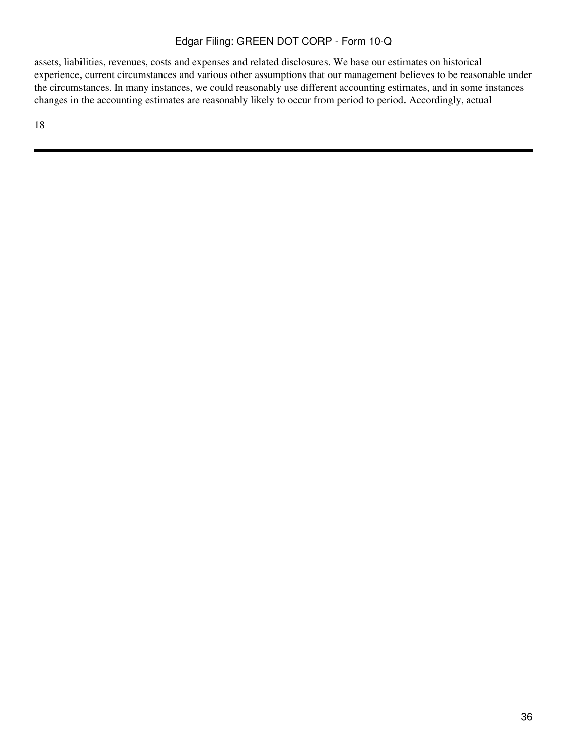assets, liabilities, revenues, costs and expenses and related disclosures. We base our estimates on historical experience, current circumstances and various other assumptions that our management believes to be reasonable under the circumstances. In many instances, we could reasonably use different accounting estimates, and in some instances changes in the accounting estimates are reasonably likely to occur from period to period. Accordingly, actual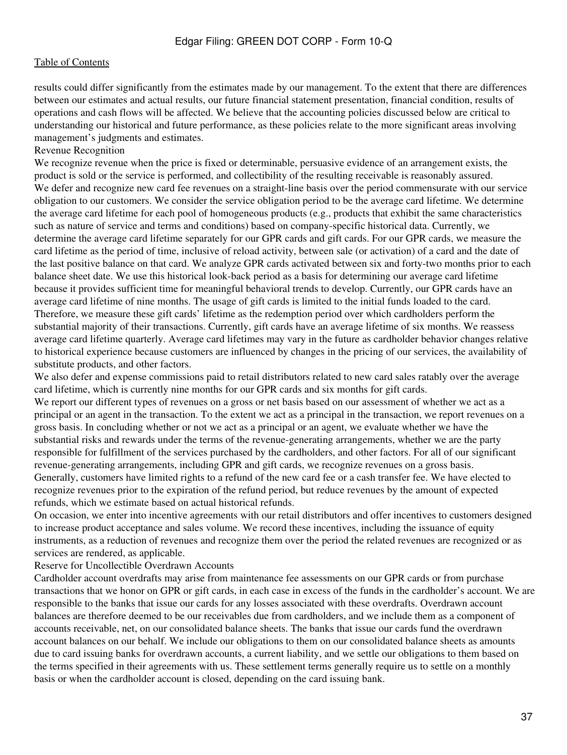results could differ significantly from the estimates made by our management. To the extent that there are differences between our estimates and actual results, our future financial statement presentation, financial condition, results of operations and cash flows will be affected. We believe that the accounting policies discussed below are critical to understanding our historical and future performance, as these policies relate to the more significant areas involving management's judgments and estimates.

#### Revenue Recognition

We recognize revenue when the price is fixed or determinable, persuasive evidence of an arrangement exists, the product is sold or the service is performed, and collectibility of the resulting receivable is reasonably assured. We defer and recognize new card fee revenues on a straight-line basis over the period commensurate with our service obligation to our customers. We consider the service obligation period to be the average card lifetime. We determine the average card lifetime for each pool of homogeneous products (e.g., products that exhibit the same characteristics such as nature of service and terms and conditions) based on company-specific historical data. Currently, we determine the average card lifetime separately for our GPR cards and gift cards. For our GPR cards, we measure the card lifetime as the period of time, inclusive of reload activity, between sale (or activation) of a card and the date of the last positive balance on that card. We analyze GPR cards activated between six and forty-two months prior to each balance sheet date. We use this historical look-back period as a basis for determining our average card lifetime because it provides sufficient time for meaningful behavioral trends to develop. Currently, our GPR cards have an average card lifetime of nine months. The usage of gift cards is limited to the initial funds loaded to the card. Therefore, we measure these gift cards' lifetime as the redemption period over which cardholders perform the substantial majority of their transactions. Currently, gift cards have an average lifetime of six months. We reassess average card lifetime quarterly. Average card lifetimes may vary in the future as cardholder behavior changes relative to historical experience because customers are influenced by changes in the pricing of our services, the availability of substitute products, and other factors.

We also defer and expense commissions paid to retail distributors related to new card sales ratably over the average card lifetime, which is currently nine months for our GPR cards and six months for gift cards.

We report our different types of revenues on a gross or net basis based on our assessment of whether we act as a principal or an agent in the transaction. To the extent we act as a principal in the transaction, we report revenues on a gross basis. In concluding whether or not we act as a principal or an agent, we evaluate whether we have the substantial risks and rewards under the terms of the revenue-generating arrangements, whether we are the party responsible for fulfillment of the services purchased by the cardholders, and other factors. For all of our significant revenue-generating arrangements, including GPR and gift cards, we recognize revenues on a gross basis. Generally, customers have limited rights to a refund of the new card fee or a cash transfer fee. We have elected to recognize revenues prior to the expiration of the refund period, but reduce revenues by the amount of expected refunds, which we estimate based on actual historical refunds.

On occasion, we enter into incentive agreements with our retail distributors and offer incentives to customers designed to increase product acceptance and sales volume. We record these incentives, including the issuance of equity instruments, as a reduction of revenues and recognize them over the period the related revenues are recognized or as services are rendered, as applicable.

Reserve for Uncollectible Overdrawn Accounts

Cardholder account overdrafts may arise from maintenance fee assessments on our GPR cards or from purchase transactions that we honor on GPR or gift cards, in each case in excess of the funds in the cardholder's account. We are responsible to the banks that issue our cards for any losses associated with these overdrafts. Overdrawn account balances are therefore deemed to be our receivables due from cardholders, and we include them as a component of accounts receivable, net, on our consolidated balance sheets. The banks that issue our cards fund the overdrawn account balances on our behalf. We include our obligations to them on our consolidated balance sheets as amounts due to card issuing banks for overdrawn accounts, a current liability, and we settle our obligations to them based on the terms specified in their agreements with us. These settlement terms generally require us to settle on a monthly basis or when the cardholder account is closed, depending on the card issuing bank.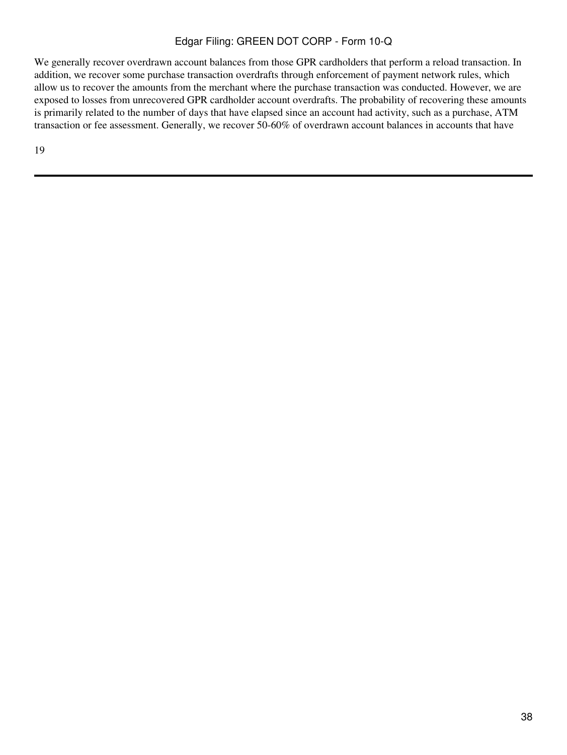We generally recover overdrawn account balances from those GPR cardholders that perform a reload transaction. In addition, we recover some purchase transaction overdrafts through enforcement of payment network rules, which allow us to recover the amounts from the merchant where the purchase transaction was conducted. However, we are exposed to losses from unrecovered GPR cardholder account overdrafts. The probability of recovering these amounts is primarily related to the number of days that have elapsed since an account had activity, such as a purchase, ATM transaction or fee assessment. Generally, we recover 50-60% of overdrawn account balances in accounts that have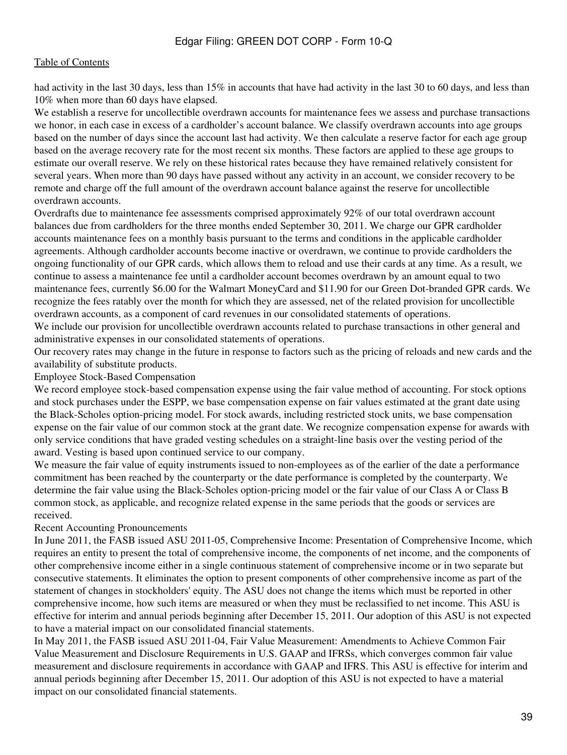had activity in the last 30 days, less than 15% in accounts that have had activity in the last 30 to 60 days, and less than 10% when more than 60 days have elapsed.

We establish a reserve for uncollectible overdrawn accounts for maintenance fees we assess and purchase transactions we honor, in each case in excess of a cardholder's account balance. We classify overdrawn accounts into age groups based on the number of days since the account last had activity. We then calculate a reserve factor for each age group based on the average recovery rate for the most recent six months. These factors are applied to these age groups to estimate our overall reserve. We rely on these historical rates because they have remained relatively consistent for several years. When more than 90 days have passed without any activity in an account, we consider recovery to be remote and charge off the full amount of the overdrawn account balance against the reserve for uncollectible overdrawn accounts.

Overdrafts due to maintenance fee assessments comprised approximately 92% of our total overdrawn account balances due from cardholders for the three months ended September 30, 2011. We charge our GPR cardholder accounts maintenance fees on a monthly basis pursuant to the terms and conditions in the applicable cardholder agreements. Although cardholder accounts become inactive or overdrawn, we continue to provide cardholders the ongoing functionality of our GPR cards, which allows them to reload and use their cards at any time. As a result, we continue to assess a maintenance fee until a cardholder account becomes overdrawn by an amount equal to two maintenance fees, currently \$6.00 for the Walmart MoneyCard and \$11.90 for our Green Dot-branded GPR cards. We recognize the fees ratably over the month for which they are assessed, net of the related provision for uncollectible overdrawn accounts, as a component of card revenues in our consolidated statements of operations.

We include our provision for uncollectible overdrawn accounts related to purchase transactions in other general and administrative expenses in our consolidated statements of operations.

Our recovery rates may change in the future in response to factors such as the pricing of reloads and new cards and the availability of substitute products.

### Employee Stock-Based Compensation

We record employee stock-based compensation expense using the fair value method of accounting. For stock options and stock purchases under the ESPP, we base compensation expense on fair values estimated at the grant date using the Black-Scholes option-pricing model. For stock awards, including restricted stock units, we base compensation expense on the fair value of our common stock at the grant date. We recognize compensation expense for awards with only service conditions that have graded vesting schedules on a straight-line basis over the vesting period of the award. Vesting is based upon continued service to our company.

We measure the fair value of equity instruments issued to non-employees as of the earlier of the date a performance commitment has been reached by the counterparty or the date performance is completed by the counterparty. We determine the fair value using the Black-Scholes option-pricing model or the fair value of our Class A or Class B common stock, as applicable, and recognize related expense in the same periods that the goods or services are received.

#### Recent Accounting Pronouncements

In June 2011, the FASB issued ASU 2011-05, Comprehensive Income: Presentation of Comprehensive Income, which requires an entity to present the total of comprehensive income, the components of net income, and the components of other comprehensive income either in a single continuous statement of comprehensive income or in two separate but consecutive statements. It eliminates the option to present components of other comprehensive income as part of the statement of changes in stockholders' equity. The ASU does not change the items which must be reported in other comprehensive income, how such items are measured or when they must be reclassified to net income. This ASU is effective for interim and annual periods beginning after December 15, 2011. Our adoption of this ASU is not expected to have a material impact on our consolidated financial statements.

In May 2011, the FASB issued ASU 2011-04, Fair Value Measurement: Amendments to Achieve Common Fair Value Measurement and Disclosure Requirements in U.S. GAAP and IFRSs, which converges common fair value measurement and disclosure requirements in accordance with GAAP and IFRS. This ASU is effective for interim and annual periods beginning after December 15, 2011. Our adoption of this ASU is not expected to have a material impact on our consolidated financial statements.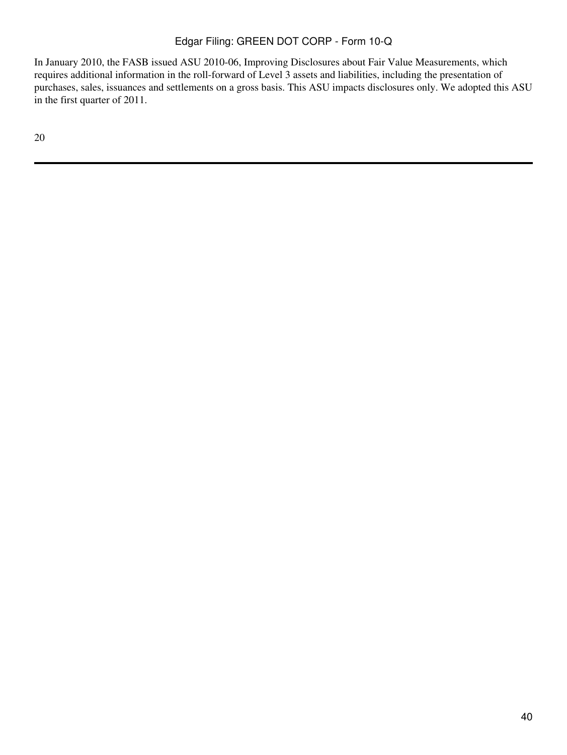In January 2010, the FASB issued ASU 2010-06, Improving Disclosures about Fair Value Measurements, which requires additional information in the roll-forward of Level 3 assets and liabilities, including the presentation of purchases, sales, issuances and settlements on a gross basis. This ASU impacts disclosures only. We adopted this ASU in the first quarter of 2011.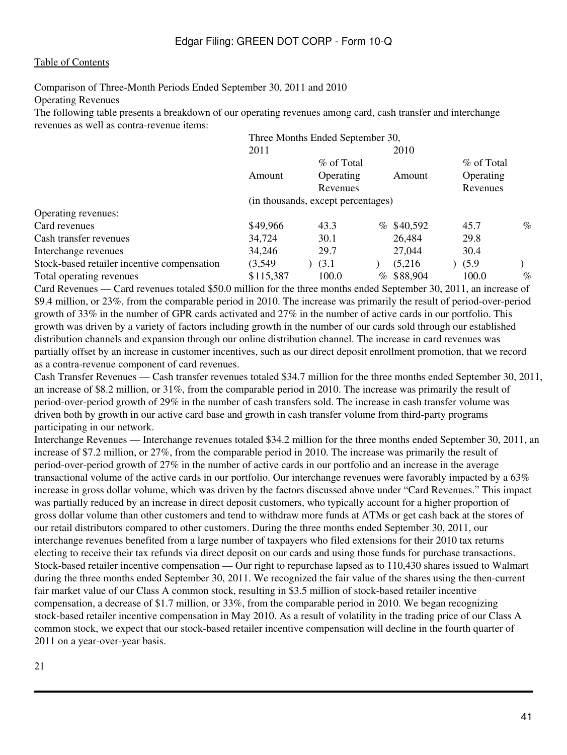Comparison of Three-Month Periods Ended September 30, 2011 and 2010

Operating Revenues

The following table presents a breakdown of our operating revenues among card, cash transfer and interchange revenues as well as contra-revenue items:

|                                             | Three Months Ended September 30,   |            |  |              |  |            |      |
|---------------------------------------------|------------------------------------|------------|--|--------------|--|------------|------|
|                                             | 2011                               |            |  | 2010         |  |            |      |
|                                             |                                    | % of Total |  |              |  | % of Total |      |
|                                             | Amount                             | Operating  |  | Amount       |  | Operating  |      |
|                                             |                                    | Revenues   |  |              |  | Revenues   |      |
|                                             | (in thousands, except percentages) |            |  |              |  |            |      |
| Operating revenues:                         |                                    |            |  |              |  |            |      |
| Card revenues                               | \$49,966                           | 43.3       |  | $%$ \$40,592 |  | 45.7       | $\%$ |
| Cash transfer revenues                      | 34,724                             | 30.1       |  | 26,484       |  | 29.8       |      |
| Interchange revenues                        | 34,246                             | 29.7       |  | 27,044       |  | 30.4       |      |
| Stock-based retailer incentive compensation | (3,549)                            | (3.1)      |  | (5,216)      |  | (5.9)      |      |
| Total operating revenues                    | \$115,387                          | 100.0      |  | $%$ \$88,904 |  | 100.0      | $\%$ |

Card Revenues — Card revenues totaled \$50.0 million for the three months ended September 30, 2011, an increase of \$9.4 million, or 23%, from the comparable period in 2010. The increase was primarily the result of period-over-period growth of 33% in the number of GPR cards activated and 27% in the number of active cards in our portfolio. This growth was driven by a variety of factors including growth in the number of our cards sold through our established distribution channels and expansion through our online distribution channel. The increase in card revenues was partially offset by an increase in customer incentives, such as our direct deposit enrollment promotion, that we record as a contra-revenue component of card revenues.

Cash Transfer Revenues — Cash transfer revenues totaled \$34.7 million for the three months ended September 30, 2011, an increase of \$8.2 million, or 31%, from the comparable period in 2010. The increase was primarily the result of period-over-period growth of 29% in the number of cash transfers sold. The increase in cash transfer volume was driven both by growth in our active card base and growth in cash transfer volume from third-party programs participating in our network.

Interchange Revenues — Interchange revenues totaled \$34.2 million for the three months ended September 30, 2011, an increase of \$7.2 million, or 27%, from the comparable period in 2010. The increase was primarily the result of period-over-period growth of 27% in the number of active cards in our portfolio and an increase in the average transactional volume of the active cards in our portfolio. Our interchange revenues were favorably impacted by a 63% increase in gross dollar volume, which was driven by the factors discussed above under "Card Revenues." This impact was partially reduced by an increase in direct deposit customers, who typically account for a higher proportion of gross dollar volume than other customers and tend to withdraw more funds at ATMs or get cash back at the stores of our retail distributors compared to other customers. During the three months ended September 30, 2011, our interchange revenues benefited from a large number of taxpayers who filed extensions for their 2010 tax returns electing to receive their tax refunds via direct deposit on our cards and using those funds for purchase transactions. Stock-based retailer incentive compensation — Our right to repurchase lapsed as to 110,430 shares issued to Walmart during the three months ended September 30, 2011. We recognized the fair value of the shares using the then-current fair market value of our Class A common stock, resulting in \$3.5 million of stock-based retailer incentive compensation, a decrease of \$1.7 million, or 33%, from the comparable period in 2010. We began recognizing stock-based retailer incentive compensation in May 2010. As a result of volatility in the trading price of our Class A common stock, we expect that our stock-based retailer incentive compensation will decline in the fourth quarter of 2011 on a year-over-year basis.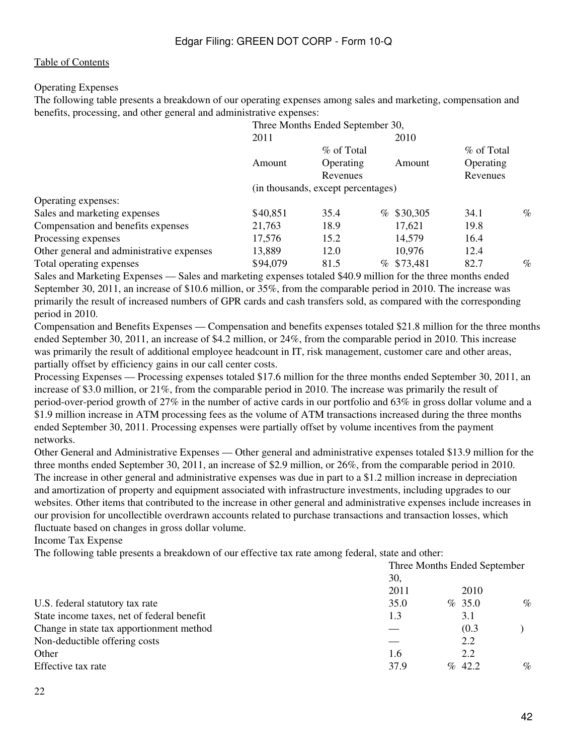# Operating Expenses

The following table presents a breakdown of our operating expenses among sales and marketing, compensation and benefits, processing, and other general and administrative expenses:

|                                           | Three Months Ended September 30,   |            |              |            |      |
|-------------------------------------------|------------------------------------|------------|--------------|------------|------|
|                                           | 2011                               |            | 2010         |            |      |
|                                           |                                    | % of Total |              | % of Total |      |
|                                           | Amount                             | Operating  | Amount       | Operating  |      |
|                                           |                                    | Revenues   |              | Revenues   |      |
|                                           | (in thousands, except percentages) |            |              |            |      |
| Operating expenses:                       |                                    |            |              |            |      |
| Sales and marketing expenses              | \$40,851                           | 35.4       | $%$ \$30,305 | 34.1       | $\%$ |
| Compensation and benefits expenses        | 21,763                             | 18.9       | 17,621       | 19.8       |      |
| Processing expenses                       | 17,576                             | 15.2       | 14,579       | 16.4       |      |
| Other general and administrative expenses | 13,889                             | 12.0       | 10,976       | 12.4       |      |
| Total operating expenses                  | \$94,079                           | 81.5       | % \$73,481   | 82.7       | $\%$ |
|                                           |                                    |            |              |            |      |

Sales and Marketing Expenses — Sales and marketing expenses totaled \$40.9 million for the three months ended September 30, 2011, an increase of \$10.6 million, or 35%, from the comparable period in 2010. The increase was primarily the result of increased numbers of GPR cards and cash transfers sold, as compared with the corresponding period in 2010.

Compensation and Benefits Expenses — Compensation and benefits expenses totaled \$21.8 million for the three months ended September 30, 2011, an increase of \$4.2 million, or 24%, from the comparable period in 2010. This increase was primarily the result of additional employee headcount in IT, risk management, customer care and other areas, partially offset by efficiency gains in our call center costs.

Processing Expenses — Processing expenses totaled \$17.6 million for the three months ended September 30, 2011, an increase of \$3.0 million, or 21%, from the comparable period in 2010. The increase was primarily the result of period-over-period growth of 27% in the number of active cards in our portfolio and 63% in gross dollar volume and a \$1.9 million increase in ATM processing fees as the volume of ATM transactions increased during the three months ended September 30, 2011. Processing expenses were partially offset by volume incentives from the payment networks.

Other General and Administrative Expenses — Other general and administrative expenses totaled \$13.9 million for the three months ended September 30, 2011, an increase of \$2.9 million, or 26%, from the comparable period in 2010. The increase in other general and administrative expenses was due in part to a \$1.2 million increase in depreciation and amortization of property and equipment associated with infrastructure investments, including upgrades to our websites. Other items that contributed to the increase in other general and administrative expenses include increases in our provision for uncollectible overdrawn accounts related to purchase transactions and transaction losses, which fluctuate based on changes in gross dollar volume.

Income Tax Expense

The following table presents a breakdown of our effective tax rate among federal, state and other:

|                                            | Three Months Ended September |           |       |      |  |  |
|--------------------------------------------|------------------------------|-----------|-------|------|--|--|
|                                            | 30,                          |           |       |      |  |  |
|                                            | 2011                         |           | 2010  |      |  |  |
| U.S. federal statutory tax rate            | 35.0                         | % 35.0    |       | $\%$ |  |  |
| State income taxes, net of federal benefit | 1.3                          |           | 3.1   |      |  |  |
| Change in state tax apportionment method   |                              |           | (0.3) |      |  |  |
| Non-deductible offering costs              |                              |           | 2.2   |      |  |  |
| Other                                      | 1.6                          |           | 2.2   |      |  |  |
| Effective tax rate                         | 37.9                         | $\%$ 42.2 |       | $\%$ |  |  |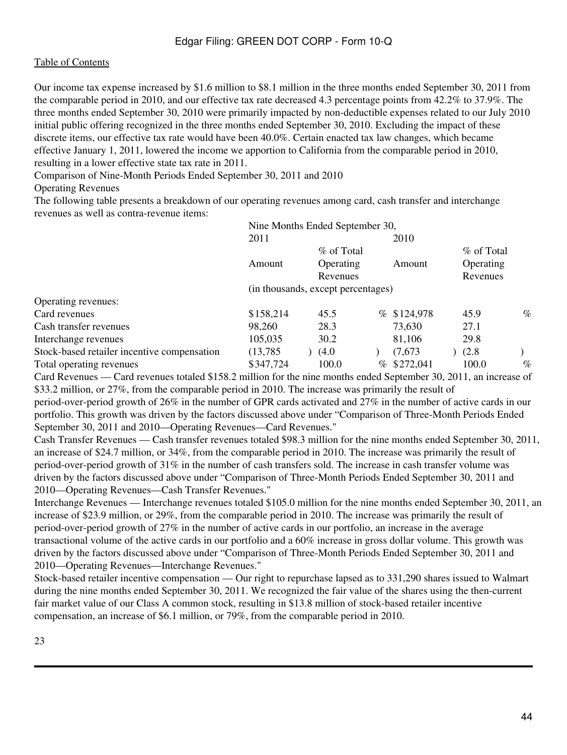Our income tax expense increased by \$1.6 million to \$8.1 million in the three months ended September 30, 2011 from the comparable period in 2010, and our effective tax rate decreased 4.3 percentage points from 42.2% to 37.9%. The three months ended September 30, 2010 were primarily impacted by non-deductible expenses related to our July 2010 initial public offering recognized in the three months ended September 30, 2010. Excluding the impact of these discrete items, our effective tax rate would have been 40.0%. Certain enacted tax law changes, which became effective January 1, 2011, lowered the income we apportion to California from the comparable period in 2010, resulting in a lower effective state tax rate in 2011.

Comparison of Nine-Month Periods Ended September 30, 2011 and 2010

Operating Revenues

The following table presents a breakdown of our operating revenues among card, cash transfer and interchange revenues as well as contra-revenue items:

|                                             |                                    | Nine Months Ended September 30, |      |             |            |      |
|---------------------------------------------|------------------------------------|---------------------------------|------|-------------|------------|------|
|                                             | 2011                               |                                 |      | 2010        |            |      |
|                                             |                                    | % of Total                      |      |             | % of Total |      |
|                                             | Amount                             | Operating                       |      | Amount      | Operating  |      |
|                                             |                                    | Revenues                        |      |             | Revenues   |      |
|                                             | (in thousands, except percentages) |                                 |      |             |            |      |
| Operating revenues:                         |                                    |                                 |      |             |            |      |
| Card revenues                               | \$158,214                          | 45.5                            |      | % \$124,978 | 45.9       | $\%$ |
| Cash transfer revenues                      | 98,260                             | 28.3                            |      | 73,630      | 27.1       |      |
| Interchange revenues                        | 105,035                            | 30.2                            |      | 81,106      | 29.8       |      |
| Stock-based retailer incentive compensation | (13,785)                           | (4.0)                           |      | (7,673)     | (2.8)      |      |
| Total operating revenues                    | \$347,724                          | 100.0                           | $\%$ | \$272,041   | 100.0      | $\%$ |

Card Revenues — Card revenues totaled \$158.2 million for the nine months ended September 30, 2011, an increase of \$33.2 million, or 27%, from the comparable period in 2010. The increase was primarily the result of period-over-period growth of 26% in the number of GPR cards activated and 27% in the number of active cards in our portfolio. This growth was driven by the factors discussed above under "Comparison of Three-Month Periods Ended September 30, 2011 and 2010—Operating Revenues—Card Revenues."

Cash Transfer Revenues — Cash transfer revenues totaled \$98.3 million for the nine months ended September 30, 2011, an increase of \$24.7 million, or 34%, from the comparable period in 2010. The increase was primarily the result of period-over-period growth of 31% in the number of cash transfers sold. The increase in cash transfer volume was driven by the factors discussed above under "Comparison of Three-Month Periods Ended September 30, 2011 and 2010—Operating Revenues—Cash Transfer Revenues."

Interchange Revenues — Interchange revenues totaled \$105.0 million for the nine months ended September 30, 2011, an increase of \$23.9 million, or 29%, from the comparable period in 2010. The increase was primarily the result of period-over-period growth of 27% in the number of active cards in our portfolio, an increase in the average transactional volume of the active cards in our portfolio and a 60% increase in gross dollar volume. This growth was driven by the factors discussed above under "Comparison of Three-Month Periods Ended September 30, 2011 and 2010—Operating Revenues—Interchange Revenues."

Stock-based retailer incentive compensation — Our right to repurchase lapsed as to 331,290 shares issued to Walmart during the nine months ended September 30, 2011. We recognized the fair value of the shares using the then-current fair market value of our Class A common stock, resulting in \$13.8 million of stock-based retailer incentive compensation, an increase of \$6.1 million, or 79%, from the comparable period in 2010.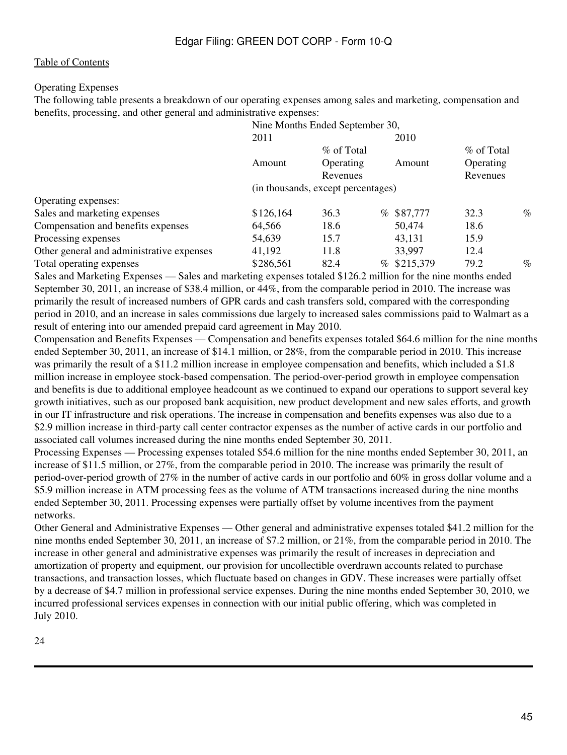# Operating Expenses

The following table presents a breakdown of our operating expenses among sales and marketing, compensation and benefits, processing, and other general and administrative expenses:

|                                           | Nine Months Ended September 30,    |                              |              |                       |      |
|-------------------------------------------|------------------------------------|------------------------------|--------------|-----------------------|------|
|                                           | 2011                               |                              | 2010         |                       |      |
|                                           |                                    | % of Total                   |              | % of Total            |      |
|                                           | Amount                             | <b>Operating</b><br>Revenues | Amount       | Operating<br>Revenues |      |
|                                           | (in thousands, except percentages) |                              |              |                       |      |
| Operating expenses:                       |                                    |                              |              |                       |      |
| Sales and marketing expenses              | \$126,164                          | 36.3                         | $%$ \$87,777 | 32.3                  | $\%$ |
| Compensation and benefits expenses        | 64,566                             | 18.6                         | 50,474       | 18.6                  |      |
| Processing expenses                       | 54,639                             | 15.7                         | 43,131       | 15.9                  |      |
| Other general and administrative expenses | 41,192                             | 11.8                         | 33,997       | 12.4                  |      |
| Total operating expenses                  | \$286,561                          | 82.4                         | % \$215,379  | 79.2                  | $\%$ |
|                                           |                                    | 1.1.01                       | .            |                       |      |

Sales and Marketing Expenses — Sales and marketing expenses totaled \$126.2 million for the nine months ended September 30, 2011, an increase of \$38.4 million, or 44%, from the comparable period in 2010. The increase was primarily the result of increased numbers of GPR cards and cash transfers sold, compared with the corresponding period in 2010, and an increase in sales commissions due largely to increased sales commissions paid to Walmart as a result of entering into our amended prepaid card agreement in May 2010.

Compensation and Benefits Expenses — Compensation and benefits expenses totaled \$64.6 million for the nine months ended September 30, 2011, an increase of \$14.1 million, or 28%, from the comparable period in 2010. This increase was primarily the result of a \$11.2 million increase in employee compensation and benefits, which included a \$1.8 million increase in employee stock-based compensation. The period-over-period growth in employee compensation and benefits is due to additional employee headcount as we continued to expand our operations to support several key growth initiatives, such as our proposed bank acquisition, new product development and new sales efforts, and growth in our IT infrastructure and risk operations. The increase in compensation and benefits expenses was also due to a \$2.9 million increase in third-party call center contractor expenses as the number of active cards in our portfolio and associated call volumes increased during the nine months ended September 30, 2011.

Processing Expenses — Processing expenses totaled \$54.6 million for the nine months ended September 30, 2011, an increase of \$11.5 million, or 27%, from the comparable period in 2010. The increase was primarily the result of period-over-period growth of 27% in the number of active cards in our portfolio and 60% in gross dollar volume and a \$5.9 million increase in ATM processing fees as the volume of ATM transactions increased during the nine months ended September 30, 2011. Processing expenses were partially offset by volume incentives from the payment networks.

Other General and Administrative Expenses — Other general and administrative expenses totaled \$41.2 million for the nine months ended September 30, 2011, an increase of \$7.2 million, or 21%, from the comparable period in 2010. The increase in other general and administrative expenses was primarily the result of increases in depreciation and amortization of property and equipment, our provision for uncollectible overdrawn accounts related to purchase transactions, and transaction losses, which fluctuate based on changes in GDV. These increases were partially offset by a decrease of \$4.7 million in professional service expenses. During the nine months ended September 30, 2010, we incurred professional services expenses in connection with our initial public offering, which was completed in July 2010.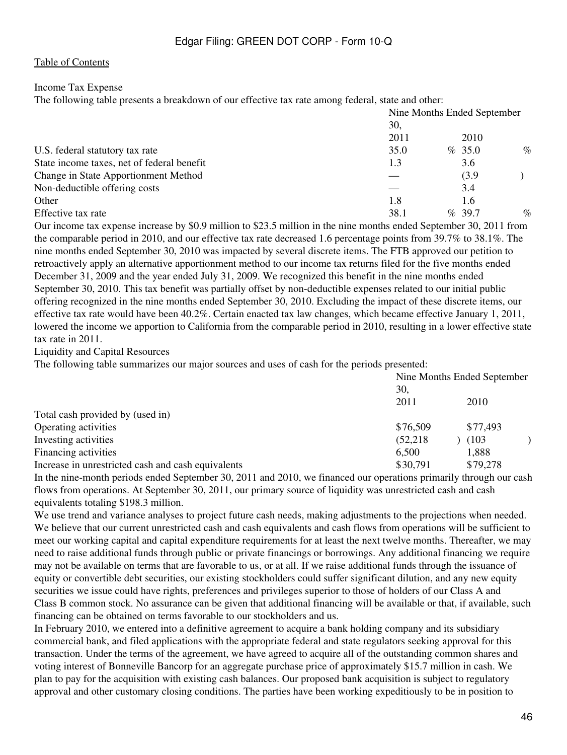### Income Tax Expense

The following table presents a breakdown of our effective tax rate among federal, state and other:

|                                            | Nine Months Ended September |  |           |      |
|--------------------------------------------|-----------------------------|--|-----------|------|
|                                            | 30,                         |  |           |      |
|                                            | 2011                        |  | 2010      |      |
| U.S. federal statutory tax rate            | 35.0                        |  | % 35.0    | $\%$ |
| State income taxes, net of federal benefit | 1.3                         |  | 3.6       |      |
| Change in State Apportionment Method       |                             |  | (3.9)     |      |
| Non-deductible offering costs              |                             |  | 3.4       |      |
| Other                                      | 1.8                         |  | 1.6       |      |
| Effective tax rate                         | 38.1                        |  | $\%$ 39.7 | $\%$ |

Our income tax expense increase by \$0.9 million to \$23.5 million in the nine months ended September 30, 2011 from the comparable period in 2010, and our effective tax rate decreased 1.6 percentage points from 39.7% to 38.1%. The nine months ended September 30, 2010 was impacted by several discrete items. The FTB approved our petition to retroactively apply an alternative apportionment method to our income tax returns filed for the five months ended December 31, 2009 and the year ended July 31, 2009. We recognized this benefit in the nine months ended September 30, 2010. This tax benefit was partially offset by non-deductible expenses related to our initial public offering recognized in the nine months ended September 30, 2010. Excluding the impact of these discrete items, our effective tax rate would have been 40.2%. Certain enacted tax law changes, which became effective January 1, 2011, lowered the income we apportion to California from the comparable period in 2010, resulting in a lower effective state tax rate in 2011.

Liquidity and Capital Resources

The following table summarizes our major sources and uses of cash for the periods presented:

|                                                    | Nine Months Ended September<br>30. |          |  |  |
|----------------------------------------------------|------------------------------------|----------|--|--|
|                                                    | 2011                               | 2010     |  |  |
| Total cash provided by (used in)                   |                                    |          |  |  |
| Operating activities                               | \$76,509                           | \$77,493 |  |  |
| Investing activities                               | (52, 218)                          | (103)    |  |  |
| Financing activities                               | 6,500                              | 1,888    |  |  |
| Increase in unrestricted cash and cash equivalents | \$30,791                           | \$79,278 |  |  |

In the nine-month periods ended September 30, 2011 and 2010, we financed our operations primarily through our cash flows from operations. At September 30, 2011, our primary source of liquidity was unrestricted cash and cash equivalents totaling \$198.3 million.

We use trend and variance analyses to project future cash needs, making adjustments to the projections when needed. We believe that our current unrestricted cash and cash equivalents and cash flows from operations will be sufficient to meet our working capital and capital expenditure requirements for at least the next twelve months. Thereafter, we may need to raise additional funds through public or private financings or borrowings. Any additional financing we require may not be available on terms that are favorable to us, or at all. If we raise additional funds through the issuance of equity or convertible debt securities, our existing stockholders could suffer significant dilution, and any new equity securities we issue could have rights, preferences and privileges superior to those of holders of our Class A and Class B common stock. No assurance can be given that additional financing will be available or that, if available, such financing can be obtained on terms favorable to our stockholders and us.

In February 2010, we entered into a definitive agreement to acquire a bank holding company and its subsidiary commercial bank, and filed applications with the appropriate federal and state regulators seeking approval for this transaction. Under the terms of the agreement, we have agreed to acquire all of the outstanding common shares and voting interest of Bonneville Bancorp for an aggregate purchase price of approximately \$15.7 million in cash. We plan to pay for the acquisition with existing cash balances. Our proposed bank acquisition is subject to regulatory approval and other customary closing conditions. The parties have been working expeditiously to be in position to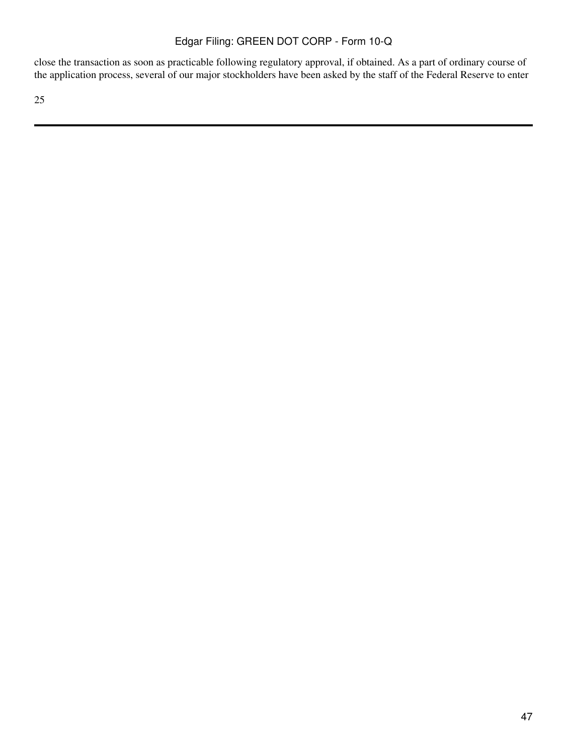close the transaction as soon as practicable following regulatory approval, if obtained. As a part of ordinary course of the application process, several of our major stockholders have been asked by the staff of the Federal Reserve to enter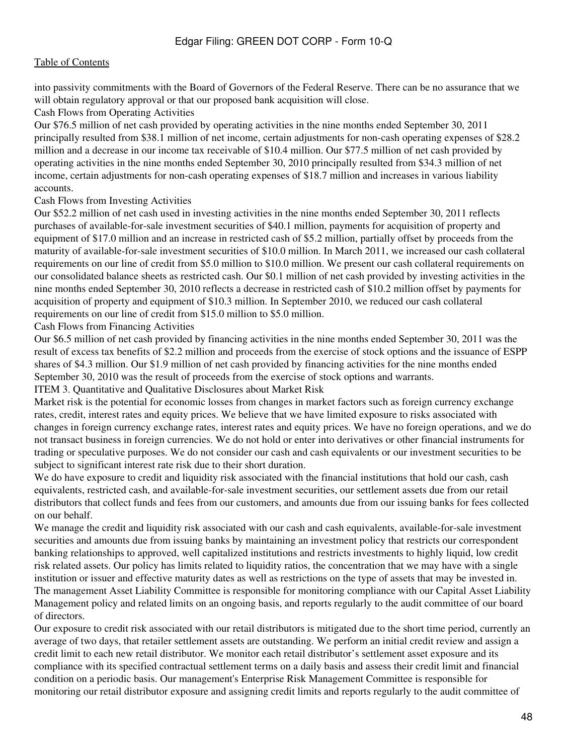into passivity commitments with the Board of Governors of the Federal Reserve. There can be no assurance that we will obtain regulatory approval or that our proposed bank acquisition will close.

#### Cash Flows from Operating Activities

Our \$76.5 million of net cash provided by operating activities in the nine months ended September 30, 2011 principally resulted from \$38.1 million of net income, certain adjustments for non-cash operating expenses of \$28.2 million and a decrease in our income tax receivable of \$10.4 million. Our \$77.5 million of net cash provided by operating activities in the nine months ended September 30, 2010 principally resulted from \$34.3 million of net income, certain adjustments for non-cash operating expenses of \$18.7 million and increases in various liability accounts.

#### Cash Flows from Investing Activities

Our \$52.2 million of net cash used in investing activities in the nine months ended September 30, 2011 reflects purchases of available-for-sale investment securities of \$40.1 million, payments for acquisition of property and equipment of \$17.0 million and an increase in restricted cash of \$5.2 million, partially offset by proceeds from the maturity of available-for-sale investment securities of \$10.0 million. In March 2011, we increased our cash collateral requirements on our line of credit from \$5.0 million to \$10.0 million. We present our cash collateral requirements on our consolidated balance sheets as restricted cash. Our \$0.1 million of net cash provided by investing activities in the nine months ended September 30, 2010 reflects a decrease in restricted cash of \$10.2 million offset by payments for acquisition of property and equipment of \$10.3 million. In September 2010, we reduced our cash collateral requirements on our line of credit from \$15.0 million to \$5.0 million.

#### Cash Flows from Financing Activities

Our \$6.5 million of net cash provided by financing activities in the nine months ended September 30, 2011 was the result of excess tax benefits of \$2.2 million and proceeds from the exercise of stock options and the issuance of ESPP shares of \$4.3 million. Our \$1.9 million of net cash provided by financing activities for the nine months ended September 30, 2010 was the result of proceeds from the exercise of stock options and warrants.

### ITEM 3. Quantitative and Qualitative Disclosures about Market Risk

Market risk is the potential for economic losses from changes in market factors such as foreign currency exchange rates, credit, interest rates and equity prices. We believe that we have limited exposure to risks associated with changes in foreign currency exchange rates, interest rates and equity prices. We have no foreign operations, and we do not transact business in foreign currencies. We do not hold or enter into derivatives or other financial instruments for trading or speculative purposes. We do not consider our cash and cash equivalents or our investment securities to be subject to significant interest rate risk due to their short duration.

We do have exposure to credit and liquidity risk associated with the financial institutions that hold our cash, cash equivalents, restricted cash, and available-for-sale investment securities, our settlement assets due from our retail distributors that collect funds and fees from our customers, and amounts due from our issuing banks for fees collected on our behalf.

We manage the credit and liquidity risk associated with our cash and cash equivalents, available-for-sale investment securities and amounts due from issuing banks by maintaining an investment policy that restricts our correspondent banking relationships to approved, well capitalized institutions and restricts investments to highly liquid, low credit risk related assets. Our policy has limits related to liquidity ratios, the concentration that we may have with a single institution or issuer and effective maturity dates as well as restrictions on the type of assets that may be invested in. The management Asset Liability Committee is responsible for monitoring compliance with our Capital Asset Liability Management policy and related limits on an ongoing basis, and reports regularly to the audit committee of our board of directors.

Our exposure to credit risk associated with our retail distributors is mitigated due to the short time period, currently an average of two days, that retailer settlement assets are outstanding. We perform an initial credit review and assign a credit limit to each new retail distributor. We monitor each retail distributor's settlement asset exposure and its compliance with its specified contractual settlement terms on a daily basis and assess their credit limit and financial condition on a periodic basis. Our management's Enterprise Risk Management Committee is responsible for monitoring our retail distributor exposure and assigning credit limits and reports regularly to the audit committee of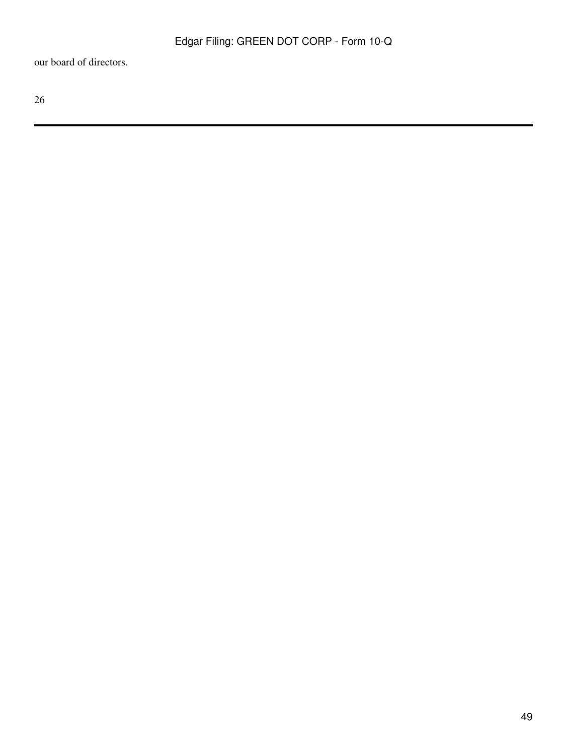our board of directors.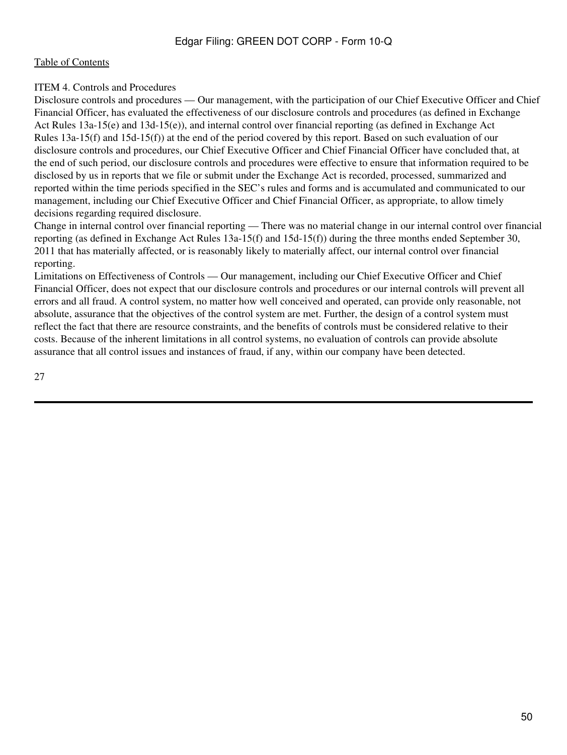### [Table of Contents](#page-2-0)

# ITEM 4. Controls and Procedures

Disclosure controls and procedures — Our management, with the participation of our Chief Executive Officer and Chief Financial Officer, has evaluated the effectiveness of our disclosure controls and procedures (as defined in Exchange Act Rules 13a-15(e) and 13d-15(e)), and internal control over financial reporting (as defined in Exchange Act Rules 13a-15(f) and 15d-15(f)) at the end of the period covered by this report. Based on such evaluation of our disclosure controls and procedures, our Chief Executive Officer and Chief Financial Officer have concluded that, at the end of such period, our disclosure controls and procedures were effective to ensure that information required to be disclosed by us in reports that we file or submit under the Exchange Act is recorded, processed, summarized and reported within the time periods specified in the SEC's rules and forms and is accumulated and communicated to our management, including our Chief Executive Officer and Chief Financial Officer, as appropriate, to allow timely decisions regarding required disclosure.

Change in internal control over financial reporting — There was no material change in our internal control over financial reporting (as defined in Exchange Act Rules 13a-15(f) and 15d-15(f)) during the three months ended September 30, 2011 that has materially affected, or is reasonably likely to materially affect, our internal control over financial reporting.

Limitations on Effectiveness of Controls — Our management, including our Chief Executive Officer and Chief Financial Officer, does not expect that our disclosure controls and procedures or our internal controls will prevent all errors and all fraud. A control system, no matter how well conceived and operated, can provide only reasonable, not absolute, assurance that the objectives of the control system are met. Further, the design of a control system must reflect the fact that there are resource constraints, and the benefits of controls must be considered relative to their costs. Because of the inherent limitations in all control systems, no evaluation of controls can provide absolute assurance that all control issues and instances of fraud, if any, within our company have been detected.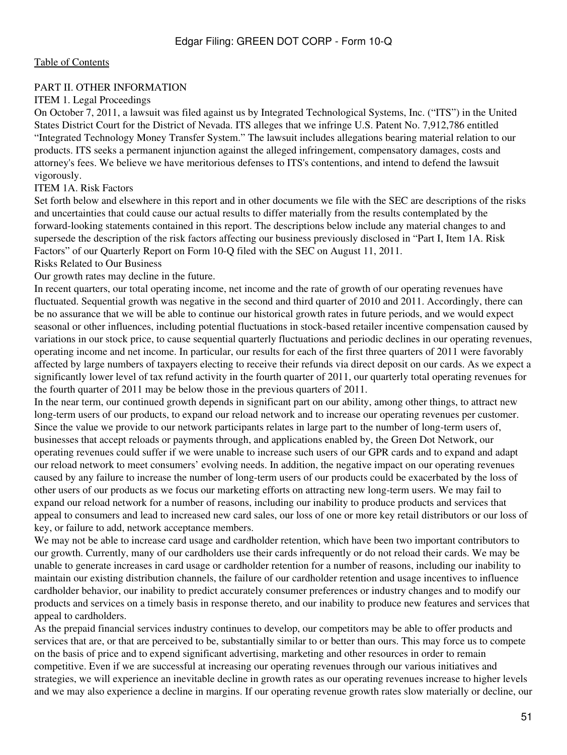### PART II. OTHER INFORMATION

# ITEM 1. Legal Proceedings

On October 7, 2011, a lawsuit was filed against us by Integrated Technological Systems, Inc. ("ITS") in the United States District Court for the District of Nevada. ITS alleges that we infringe U.S. Patent No. 7,912,786 entitled "Integrated Technology Money Transfer System." The lawsuit includes allegations bearing material relation to our products. ITS seeks a permanent injunction against the alleged infringement, compensatory damages, costs and attorney's fees. We believe we have meritorious defenses to ITS's contentions, and intend to defend the lawsuit vigorously.

# ITEM 1A. Risk Factors

Set forth below and elsewhere in this report and in other documents we file with the SEC are descriptions of the risks and uncertainties that could cause our actual results to differ materially from the results contemplated by the forward-looking statements contained in this report. The descriptions below include any material changes to and supersede the description of the risk factors affecting our business previously disclosed in "Part I, Item 1A. Risk Factors" of our Quarterly Report on Form 10-Q filed with the SEC on August 11, 2011.

# Risks Related to Our Business

Our growth rates may decline in the future.

In recent quarters, our total operating income, net income and the rate of growth of our operating revenues have fluctuated. Sequential growth was negative in the second and third quarter of 2010 and 2011. Accordingly, there can be no assurance that we will be able to continue our historical growth rates in future periods, and we would expect seasonal or other influences, including potential fluctuations in stock-based retailer incentive compensation caused by variations in our stock price, to cause sequential quarterly fluctuations and periodic declines in our operating revenues, operating income and net income. In particular, our results for each of the first three quarters of 2011 were favorably affected by large numbers of taxpayers electing to receive their refunds via direct deposit on our cards. As we expect a significantly lower level of tax refund activity in the fourth quarter of 2011, our quarterly total operating revenues for the fourth quarter of 2011 may be below those in the previous quarters of 2011.

In the near term, our continued growth depends in significant part on our ability, among other things, to attract new long-term users of our products, to expand our reload network and to increase our operating revenues per customer. Since the value we provide to our network participants relates in large part to the number of long-term users of, businesses that accept reloads or payments through, and applications enabled by, the Green Dot Network, our operating revenues could suffer if we were unable to increase such users of our GPR cards and to expand and adapt our reload network to meet consumers' evolving needs. In addition, the negative impact on our operating revenues caused by any failure to increase the number of long-term users of our products could be exacerbated by the loss of other users of our products as we focus our marketing efforts on attracting new long-term users. We may fail to expand our reload network for a number of reasons, including our inability to produce products and services that appeal to consumers and lead to increased new card sales, our loss of one or more key retail distributors or our loss of key, or failure to add, network acceptance members.

We may not be able to increase card usage and cardholder retention, which have been two important contributors to our growth. Currently, many of our cardholders use their cards infrequently or do not reload their cards. We may be unable to generate increases in card usage or cardholder retention for a number of reasons, including our inability to maintain our existing distribution channels, the failure of our cardholder retention and usage incentives to influence cardholder behavior, our inability to predict accurately consumer preferences or industry changes and to modify our products and services on a timely basis in response thereto, and our inability to produce new features and services that appeal to cardholders.

As the prepaid financial services industry continues to develop, our competitors may be able to offer products and services that are, or that are perceived to be, substantially similar to or better than ours. This may force us to compete on the basis of price and to expend significant advertising, marketing and other resources in order to remain competitive. Even if we are successful at increasing our operating revenues through our various initiatives and strategies, we will experience an inevitable decline in growth rates as our operating revenues increase to higher levels and we may also experience a decline in margins. If our operating revenue growth rates slow materially or decline, our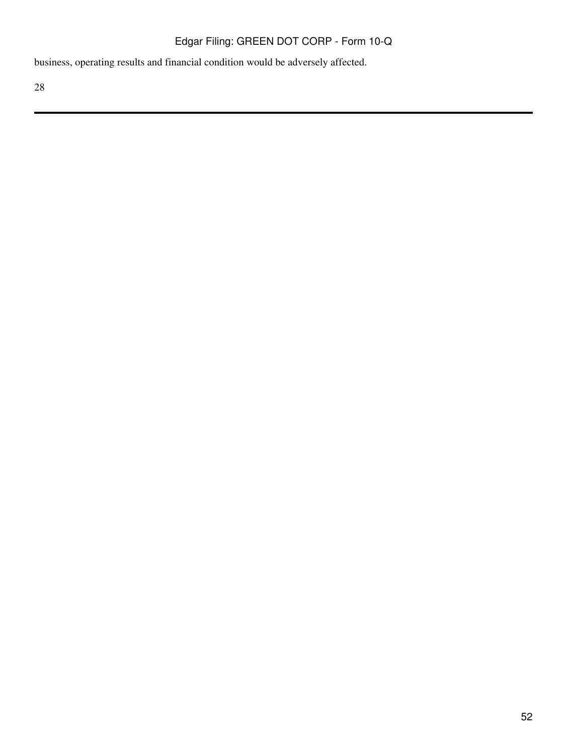business, operating results and financial condition would be adversely affected.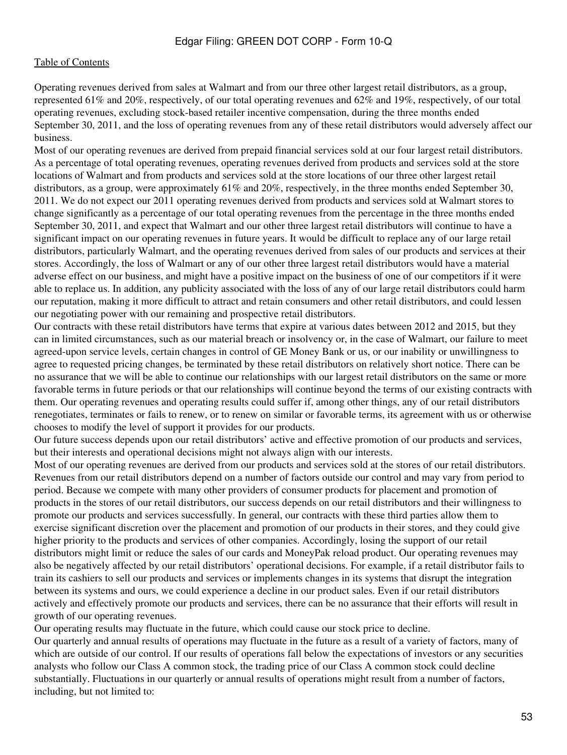Operating revenues derived from sales at Walmart and from our three other largest retail distributors, as a group, represented 61% and 20%, respectively, of our total operating revenues and 62% and 19%, respectively, of our total operating revenues, excluding stock-based retailer incentive compensation, during the three months ended September 30, 2011, and the loss of operating revenues from any of these retail distributors would adversely affect our business.

Most of our operating revenues are derived from prepaid financial services sold at our four largest retail distributors. As a percentage of total operating revenues, operating revenues derived from products and services sold at the store locations of Walmart and from products and services sold at the store locations of our three other largest retail distributors, as a group, were approximately 61% and 20%, respectively, in the three months ended September 30, 2011. We do not expect our 2011 operating revenues derived from products and services sold at Walmart stores to change significantly as a percentage of our total operating revenues from the percentage in the three months ended September 30, 2011, and expect that Walmart and our other three largest retail distributors will continue to have a significant impact on our operating revenues in future years. It would be difficult to replace any of our large retail distributors, particularly Walmart, and the operating revenues derived from sales of our products and services at their stores. Accordingly, the loss of Walmart or any of our other three largest retail distributors would have a material adverse effect on our business, and might have a positive impact on the business of one of our competitors if it were able to replace us. In addition, any publicity associated with the loss of any of our large retail distributors could harm our reputation, making it more difficult to attract and retain consumers and other retail distributors, and could lessen our negotiating power with our remaining and prospective retail distributors.

Our contracts with these retail distributors have terms that expire at various dates between 2012 and 2015, but they can in limited circumstances, such as our material breach or insolvency or, in the case of Walmart, our failure to meet agreed-upon service levels, certain changes in control of GE Money Bank or us, or our inability or unwillingness to agree to requested pricing changes, be terminated by these retail distributors on relatively short notice. There can be no assurance that we will be able to continue our relationships with our largest retail distributors on the same or more favorable terms in future periods or that our relationships will continue beyond the terms of our existing contracts with them. Our operating revenues and operating results could suffer if, among other things, any of our retail distributors renegotiates, terminates or fails to renew, or to renew on similar or favorable terms, its agreement with us or otherwise chooses to modify the level of support it provides for our products.

Our future success depends upon our retail distributors' active and effective promotion of our products and services, but their interests and operational decisions might not always align with our interests.

Most of our operating revenues are derived from our products and services sold at the stores of our retail distributors. Revenues from our retail distributors depend on a number of factors outside our control and may vary from period to period. Because we compete with many other providers of consumer products for placement and promotion of products in the stores of our retail distributors, our success depends on our retail distributors and their willingness to promote our products and services successfully. In general, our contracts with these third parties allow them to exercise significant discretion over the placement and promotion of our products in their stores, and they could give higher priority to the products and services of other companies. Accordingly, losing the support of our retail distributors might limit or reduce the sales of our cards and MoneyPak reload product. Our operating revenues may also be negatively affected by our retail distributors' operational decisions. For example, if a retail distributor fails to train its cashiers to sell our products and services or implements changes in its systems that disrupt the integration between its systems and ours, we could experience a decline in our product sales. Even if our retail distributors actively and effectively promote our products and services, there can be no assurance that their efforts will result in growth of our operating revenues.

Our operating results may fluctuate in the future, which could cause our stock price to decline.

Our quarterly and annual results of operations may fluctuate in the future as a result of a variety of factors, many of which are outside of our control. If our results of operations fall below the expectations of investors or any securities analysts who follow our Class A common stock, the trading price of our Class A common stock could decline substantially. Fluctuations in our quarterly or annual results of operations might result from a number of factors, including, but not limited to: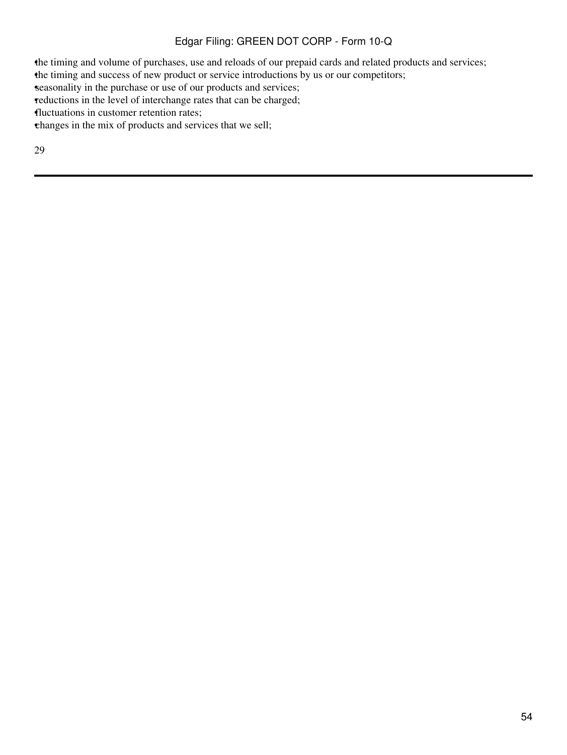•the timing and volume of purchases, use and reloads of our prepaid cards and related products and services;

the timing and success of new product or service introductions by us or our competitors;

seasonality in the purchase or use of our products and services;

reductions in the level of interchange rates that can be charged;

•fluctuations in customer retention rates;

•changes in the mix of products and services that we sell;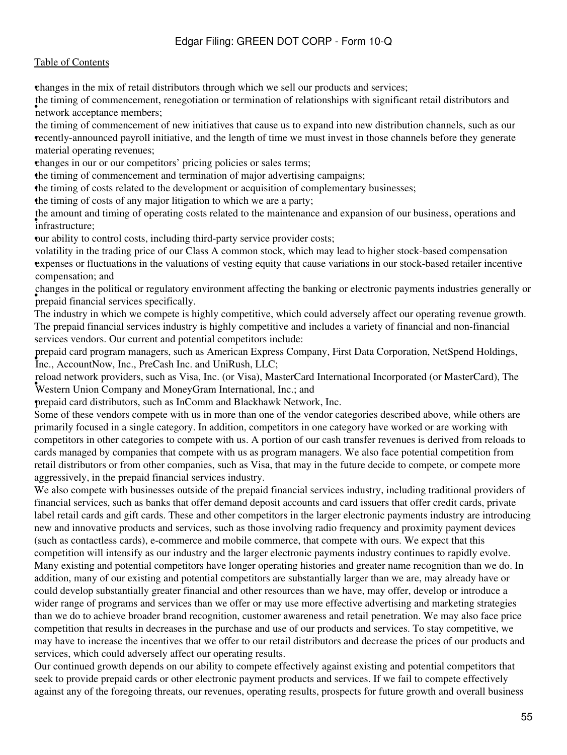### [Table of Contents](#page-2-0)

•changes in the mix of retail distributors through which we sell our products and services;

**The timing of commencement**, the timing of commencement, renegotiation or termination of relationships with significant retail distributors and

• recently-announced payroll initiative, and the length of time we must invest in those channels before they generate the timing of commencement of new initiatives that cause us to expand into new distribution channels, such as our material operating revenues;

•changes in our or our competitors' pricing policies or sales terms;

•the timing of commencement and termination of major advertising campaigns;

•the timing of costs related to the development or acquisition of complementary businesses;

•the timing of costs of any major litigation to which we are a party;

• infrastructure; the amount and timing of operating costs related to the maintenance and expansion of our business, operations and

•our ability to control costs, including third-party service provider costs;

• expenses or fluctuations in the valuations of vesting equity that cause variations in our stock-based retailer incentive volatility in the trading price of our Class A common stock, which may lead to higher stock-based compensation compensation; and

• prepaid financial services specifically. changes in the political or regulatory environment affecting the banking or electronic payments industries generally or

The industry in which we compete is highly competitive, which could adversely affect our operating revenue growth. The prepaid financial services industry is highly competitive and includes a variety of financial and non-financial services vendors. Our current and potential competitors include:

• Inc., AccountNow, Inc., PreCash Inc. and UniRush, LLC; prepaid card program managers, such as American Express Company, First Data Corporation, NetSpend Holdings,

• Western Union Company and MoneyGram International, Inc.; and reload network providers, such as Visa, Inc. (or Visa), MasterCard International Incorporated (or MasterCard), The

•prepaid card distributors, such as InComm and Blackhawk Network, Inc.

Some of these vendors compete with us in more than one of the vendor categories described above, while others are primarily focused in a single category. In addition, competitors in one category have worked or are working with competitors in other categories to compete with us. A portion of our cash transfer revenues is derived from reloads to cards managed by companies that compete with us as program managers. We also face potential competition from retail distributors or from other companies, such as Visa, that may in the future decide to compete, or compete more aggressively, in the prepaid financial services industry.

We also compete with businesses outside of the prepaid financial services industry, including traditional providers of financial services, such as banks that offer demand deposit accounts and card issuers that offer credit cards, private label retail cards and gift cards. These and other competitors in the larger electronic payments industry are introducing new and innovative products and services, such as those involving radio frequency and proximity payment devices (such as contactless cards), e-commerce and mobile commerce, that compete with ours. We expect that this competition will intensify as our industry and the larger electronic payments industry continues to rapidly evolve. Many existing and potential competitors have longer operating histories and greater name recognition than we do. In addition, many of our existing and potential competitors are substantially larger than we are, may already have or could develop substantially greater financial and other resources than we have, may offer, develop or introduce a wider range of programs and services than we offer or may use more effective advertising and marketing strategies than we do to achieve broader brand recognition, customer awareness and retail penetration. We may also face price competition that results in decreases in the purchase and use of our products and services. To stay competitive, we may have to increase the incentives that we offer to our retail distributors and decrease the prices of our products and services, which could adversely affect our operating results.

Our continued growth depends on our ability to compete effectively against existing and potential competitors that seek to provide prepaid cards or other electronic payment products and services. If we fail to compete effectively against any of the foregoing threats, our revenues, operating results, prospects for future growth and overall business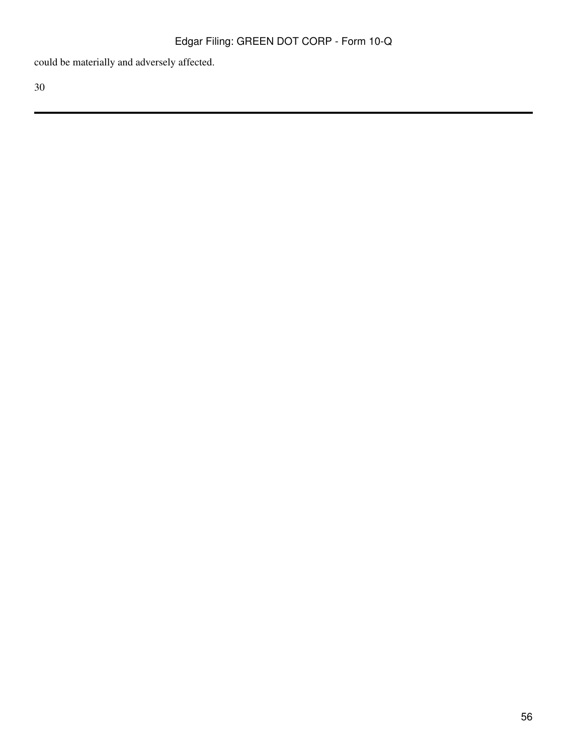could be materially and adversely affected.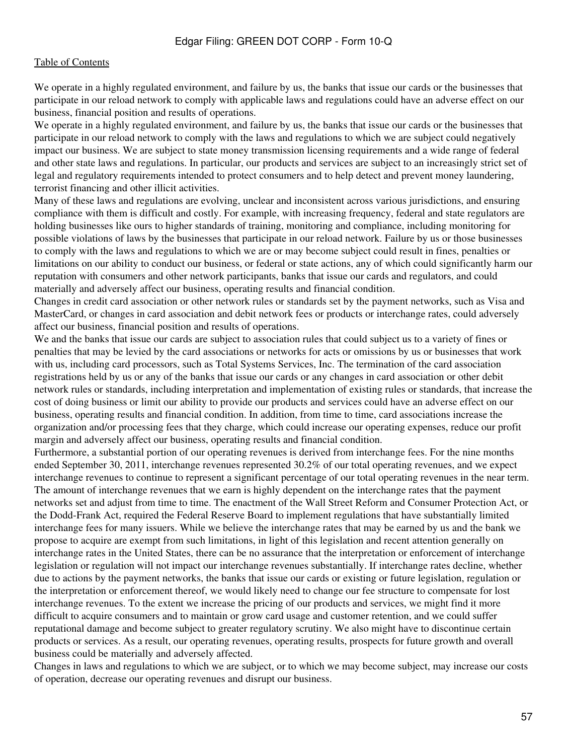We operate in a highly regulated environment, and failure by us, the banks that issue our cards or the businesses that participate in our reload network to comply with applicable laws and regulations could have an adverse effect on our business, financial position and results of operations.

We operate in a highly regulated environment, and failure by us, the banks that issue our cards or the businesses that participate in our reload network to comply with the laws and regulations to which we are subject could negatively impact our business. We are subject to state money transmission licensing requirements and a wide range of federal and other state laws and regulations. In particular, our products and services are subject to an increasingly strict set of legal and regulatory requirements intended to protect consumers and to help detect and prevent money laundering, terrorist financing and other illicit activities.

Many of these laws and regulations are evolving, unclear and inconsistent across various jurisdictions, and ensuring compliance with them is difficult and costly. For example, with increasing frequency, federal and state regulators are holding businesses like ours to higher standards of training, monitoring and compliance, including monitoring for possible violations of laws by the businesses that participate in our reload network. Failure by us or those businesses to comply with the laws and regulations to which we are or may become subject could result in fines, penalties or limitations on our ability to conduct our business, or federal or state actions, any of which could significantly harm our reputation with consumers and other network participants, banks that issue our cards and regulators, and could materially and adversely affect our business, operating results and financial condition.

Changes in credit card association or other network rules or standards set by the payment networks, such as Visa and MasterCard, or changes in card association and debit network fees or products or interchange rates, could adversely affect our business, financial position and results of operations.

We and the banks that issue our cards are subject to association rules that could subject us to a variety of fines or penalties that may be levied by the card associations or networks for acts or omissions by us or businesses that work with us, including card processors, such as Total Systems Services, Inc. The termination of the card association registrations held by us or any of the banks that issue our cards or any changes in card association or other debit network rules or standards, including interpretation and implementation of existing rules or standards, that increase the cost of doing business or limit our ability to provide our products and services could have an adverse effect on our business, operating results and financial condition. In addition, from time to time, card associations increase the organization and/or processing fees that they charge, which could increase our operating expenses, reduce our profit margin and adversely affect our business, operating results and financial condition.

Furthermore, a substantial portion of our operating revenues is derived from interchange fees. For the nine months ended September 30, 2011, interchange revenues represented 30.2% of our total operating revenues, and we expect interchange revenues to continue to represent a significant percentage of our total operating revenues in the near term. The amount of interchange revenues that we earn is highly dependent on the interchange rates that the payment networks set and adjust from time to time. The enactment of the Wall Street Reform and Consumer Protection Act, or the Dodd-Frank Act, required the Federal Reserve Board to implement regulations that have substantially limited interchange fees for many issuers. While we believe the interchange rates that may be earned by us and the bank we propose to acquire are exempt from such limitations, in light of this legislation and recent attention generally on interchange rates in the United States, there can be no assurance that the interpretation or enforcement of interchange legislation or regulation will not impact our interchange revenues substantially. If interchange rates decline, whether due to actions by the payment networks, the banks that issue our cards or existing or future legislation, regulation or the interpretation or enforcement thereof, we would likely need to change our fee structure to compensate for lost interchange revenues. To the extent we increase the pricing of our products and services, we might find it more difficult to acquire consumers and to maintain or grow card usage and customer retention, and we could suffer reputational damage and become subject to greater regulatory scrutiny. We also might have to discontinue certain products or services. As a result, our operating revenues, operating results, prospects for future growth and overall business could be materially and adversely affected.

Changes in laws and regulations to which we are subject, or to which we may become subject, may increase our costs of operation, decrease our operating revenues and disrupt our business.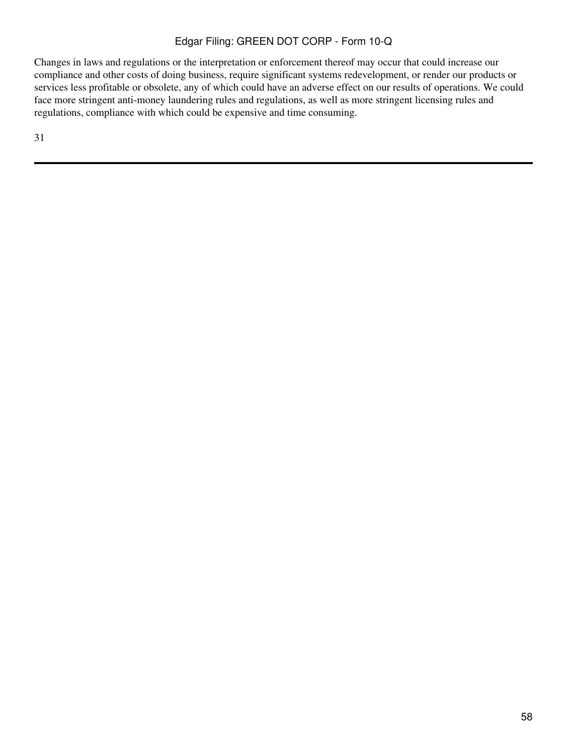Changes in laws and regulations or the interpretation or enforcement thereof may occur that could increase our compliance and other costs of doing business, require significant systems redevelopment, or render our products or services less profitable or obsolete, any of which could have an adverse effect on our results of operations. We could face more stringent anti-money laundering rules and regulations, as well as more stringent licensing rules and regulations, compliance with which could be expensive and time consuming.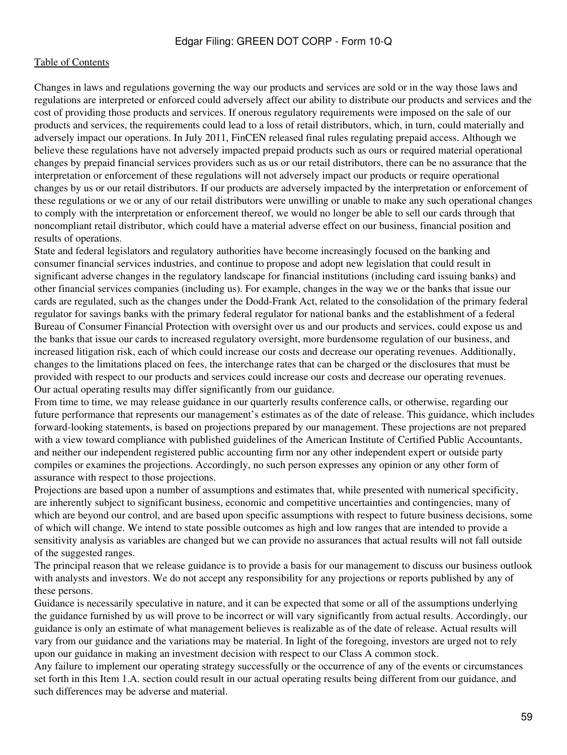Changes in laws and regulations governing the way our products and services are sold or in the way those laws and regulations are interpreted or enforced could adversely affect our ability to distribute our products and services and the cost of providing those products and services. If onerous regulatory requirements were imposed on the sale of our products and services, the requirements could lead to a loss of retail distributors, which, in turn, could materially and adversely impact our operations. In July 2011, FinCEN released final rules regulating prepaid access. Although we believe these regulations have not adversely impacted prepaid products such as ours or required material operational changes by prepaid financial services providers such as us or our retail distributors, there can be no assurance that the interpretation or enforcement of these regulations will not adversely impact our products or require operational changes by us or our retail distributors. If our products are adversely impacted by the interpretation or enforcement of these regulations or we or any of our retail distributors were unwilling or unable to make any such operational changes to comply with the interpretation or enforcement thereof, we would no longer be able to sell our cards through that noncompliant retail distributor, which could have a material adverse effect on our business, financial position and results of operations.

State and federal legislators and regulatory authorities have become increasingly focused on the banking and consumer financial services industries, and continue to propose and adopt new legislation that could result in significant adverse changes in the regulatory landscape for financial institutions (including card issuing banks) and other financial services companies (including us). For example, changes in the way we or the banks that issue our cards are regulated, such as the changes under the Dodd-Frank Act, related to the consolidation of the primary federal regulator for savings banks with the primary federal regulator for national banks and the establishment of a federal Bureau of Consumer Financial Protection with oversight over us and our products and services, could expose us and the banks that issue our cards to increased regulatory oversight, more burdensome regulation of our business, and increased litigation risk, each of which could increase our costs and decrease our operating revenues. Additionally, changes to the limitations placed on fees, the interchange rates that can be charged or the disclosures that must be provided with respect to our products and services could increase our costs and decrease our operating revenues. Our actual operating results may differ significantly from our guidance.

From time to time, we may release guidance in our quarterly results conference calls, or otherwise, regarding our future performance that represents our management's estimates as of the date of release. This guidance, which includes forward-looking statements, is based on projections prepared by our management. These projections are not prepared with a view toward compliance with published guidelines of the American Institute of Certified Public Accountants, and neither our independent registered public accounting firm nor any other independent expert or outside party compiles or examines the projections. Accordingly, no such person expresses any opinion or any other form of assurance with respect to those projections.

Projections are based upon a number of assumptions and estimates that, while presented with numerical specificity, are inherently subject to significant business, economic and competitive uncertainties and contingencies, many of which are beyond our control, and are based upon specific assumptions with respect to future business decisions, some of which will change. We intend to state possible outcomes as high and low ranges that are intended to provide a sensitivity analysis as variables are changed but we can provide no assurances that actual results will not fall outside of the suggested ranges.

The principal reason that we release guidance is to provide a basis for our management to discuss our business outlook with analysts and investors. We do not accept any responsibility for any projections or reports published by any of these persons.

Guidance is necessarily speculative in nature, and it can be expected that some or all of the assumptions underlying the guidance furnished by us will prove to be incorrect or will vary significantly from actual results. Accordingly, our guidance is only an estimate of what management believes is realizable as of the date of release. Actual results will vary from our guidance and the variations may be material. In light of the foregoing, investors are urged not to rely upon our guidance in making an investment decision with respect to our Class A common stock.

Any failure to implement our operating strategy successfully or the occurrence of any of the events or circumstances set forth in this Item 1.A. section could result in our actual operating results being different from our guidance, and such differences may be adverse and material.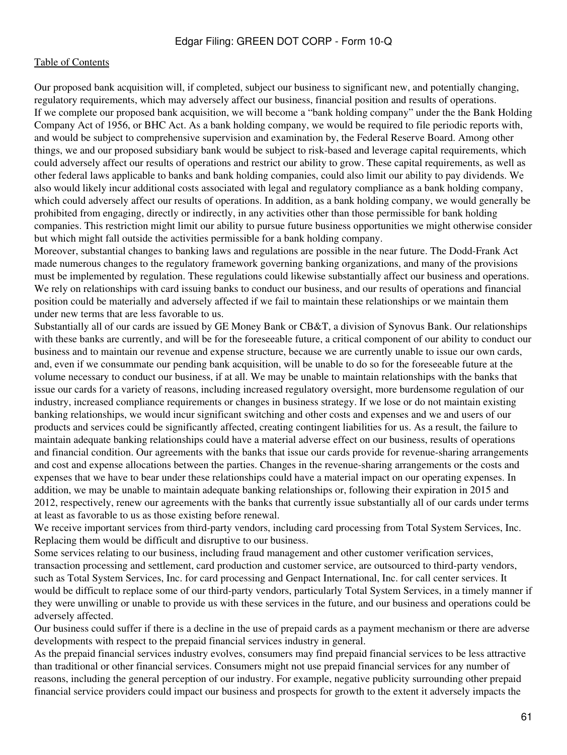Our proposed bank acquisition will, if completed, subject our business to significant new, and potentially changing, regulatory requirements, which may adversely affect our business, financial position and results of operations. If we complete our proposed bank acquisition, we will become a "bank holding company" under the the Bank Holding Company Act of 1956, or BHC Act. As a bank holding company, we would be required to file periodic reports with, and would be subject to comprehensive supervision and examination by, the Federal Reserve Board. Among other things, we and our proposed subsidiary bank would be subject to risk-based and leverage capital requirements, which could adversely affect our results of operations and restrict our ability to grow. These capital requirements, as well as other federal laws applicable to banks and bank holding companies, could also limit our ability to pay dividends. We also would likely incur additional costs associated with legal and regulatory compliance as a bank holding company, which could adversely affect our results of operations. In addition, as a bank holding company, we would generally be prohibited from engaging, directly or indirectly, in any activities other than those permissible for bank holding companies. This restriction might limit our ability to pursue future business opportunities we might otherwise consider but which might fall outside the activities permissible for a bank holding company.

Moreover, substantial changes to banking laws and regulations are possible in the near future. The Dodd-Frank Act made numerous changes to the regulatory framework governing banking organizations, and many of the provisions must be implemented by regulation. These regulations could likewise substantially affect our business and operations. We rely on relationships with card issuing banks to conduct our business, and our results of operations and financial position could be materially and adversely affected if we fail to maintain these relationships or we maintain them under new terms that are less favorable to us.

Substantially all of our cards are issued by GE Money Bank or CB&T, a division of Synovus Bank. Our relationships with these banks are currently, and will be for the foreseeable future, a critical component of our ability to conduct our business and to maintain our revenue and expense structure, because we are currently unable to issue our own cards, and, even if we consummate our pending bank acquisition, will be unable to do so for the foreseeable future at the volume necessary to conduct our business, if at all. We may be unable to maintain relationships with the banks that issue our cards for a variety of reasons, including increased regulatory oversight, more burdensome regulation of our industry, increased compliance requirements or changes in business strategy. If we lose or do not maintain existing banking relationships, we would incur significant switching and other costs and expenses and we and users of our products and services could be significantly affected, creating contingent liabilities for us. As a result, the failure to maintain adequate banking relationships could have a material adverse effect on our business, results of operations and financial condition. Our agreements with the banks that issue our cards provide for revenue-sharing arrangements and cost and expense allocations between the parties. Changes in the revenue-sharing arrangements or the costs and expenses that we have to bear under these relationships could have a material impact on our operating expenses. In addition, we may be unable to maintain adequate banking relationships or, following their expiration in 2015 and 2012, respectively, renew our agreements with the banks that currently issue substantially all of our cards under terms at least as favorable to us as those existing before renewal.

We receive important services from third-party vendors, including card processing from Total System Services, Inc. Replacing them would be difficult and disruptive to our business.

Some services relating to our business, including fraud management and other customer verification services, transaction processing and settlement, card production and customer service, are outsourced to third-party vendors, such as Total System Services, Inc. for card processing and Genpact International, Inc. for call center services. It would be difficult to replace some of our third-party vendors, particularly Total System Services, in a timely manner if they were unwilling or unable to provide us with these services in the future, and our business and operations could be adversely affected.

Our business could suffer if there is a decline in the use of prepaid cards as a payment mechanism or there are adverse developments with respect to the prepaid financial services industry in general.

As the prepaid financial services industry evolves, consumers may find prepaid financial services to be less attractive than traditional or other financial services. Consumers might not use prepaid financial services for any number of reasons, including the general perception of our industry. For example, negative publicity surrounding other prepaid financial service providers could impact our business and prospects for growth to the extent it adversely impacts the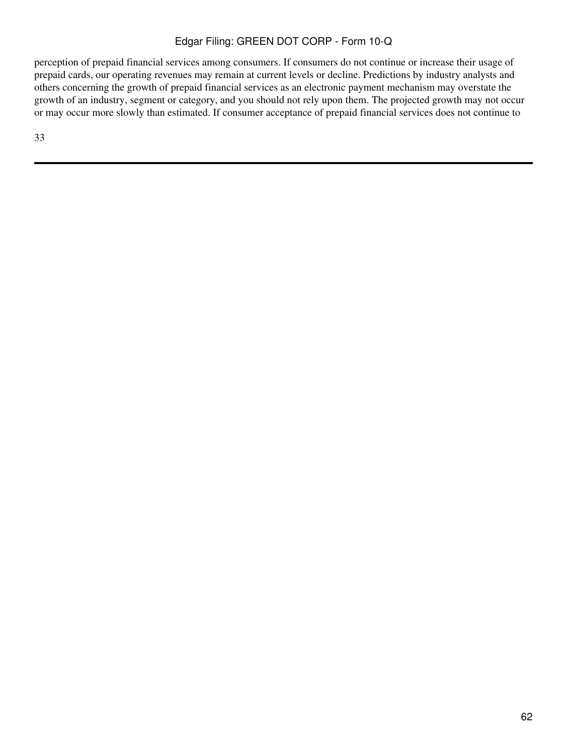perception of prepaid financial services among consumers. If consumers do not continue or increase their usage of prepaid cards, our operating revenues may remain at current levels or decline. Predictions by industry analysts and others concerning the growth of prepaid financial services as an electronic payment mechanism may overstate the growth of an industry, segment or category, and you should not rely upon them. The projected growth may not occur or may occur more slowly than estimated. If consumer acceptance of prepaid financial services does not continue to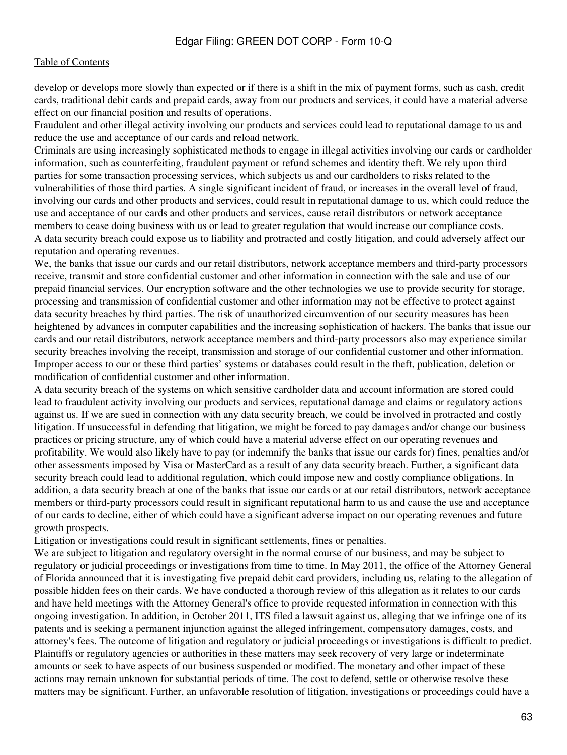develop or develops more slowly than expected or if there is a shift in the mix of payment forms, such as cash, credit cards, traditional debit cards and prepaid cards, away from our products and services, it could have a material adverse effect on our financial position and results of operations.

Fraudulent and other illegal activity involving our products and services could lead to reputational damage to us and reduce the use and acceptance of our cards and reload network.

Criminals are using increasingly sophisticated methods to engage in illegal activities involving our cards or cardholder information, such as counterfeiting, fraudulent payment or refund schemes and identity theft. We rely upon third parties for some transaction processing services, which subjects us and our cardholders to risks related to the vulnerabilities of those third parties. A single significant incident of fraud, or increases in the overall level of fraud, involving our cards and other products and services, could result in reputational damage to us, which could reduce the use and acceptance of our cards and other products and services, cause retail distributors or network acceptance members to cease doing business with us or lead to greater regulation that would increase our compliance costs. A data security breach could expose us to liability and protracted and costly litigation, and could adversely affect our reputation and operating revenues.

We, the banks that issue our cards and our retail distributors, network acceptance members and third-party processors receive, transmit and store confidential customer and other information in connection with the sale and use of our prepaid financial services. Our encryption software and the other technologies we use to provide security for storage, processing and transmission of confidential customer and other information may not be effective to protect against data security breaches by third parties. The risk of unauthorized circumvention of our security measures has been heightened by advances in computer capabilities and the increasing sophistication of hackers. The banks that issue our cards and our retail distributors, network acceptance members and third-party processors also may experience similar security breaches involving the receipt, transmission and storage of our confidential customer and other information. Improper access to our or these third parties' systems or databases could result in the theft, publication, deletion or modification of confidential customer and other information.

A data security breach of the systems on which sensitive cardholder data and account information are stored could lead to fraudulent activity involving our products and services, reputational damage and claims or regulatory actions against us. If we are sued in connection with any data security breach, we could be involved in protracted and costly litigation. If unsuccessful in defending that litigation, we might be forced to pay damages and/or change our business practices or pricing structure, any of which could have a material adverse effect on our operating revenues and profitability. We would also likely have to pay (or indemnify the banks that issue our cards for) fines, penalties and/or other assessments imposed by Visa or MasterCard as a result of any data security breach. Further, a significant data security breach could lead to additional regulation, which could impose new and costly compliance obligations. In addition, a data security breach at one of the banks that issue our cards or at our retail distributors, network acceptance members or third-party processors could result in significant reputational harm to us and cause the use and acceptance of our cards to decline, either of which could have a significant adverse impact on our operating revenues and future growth prospects.

Litigation or investigations could result in significant settlements, fines or penalties.

We are subject to litigation and regulatory oversight in the normal course of our business, and may be subject to regulatory or judicial proceedings or investigations from time to time. In May 2011, the office of the Attorney General of Florida announced that it is investigating five prepaid debit card providers, including us, relating to the allegation of possible hidden fees on their cards. We have conducted a thorough review of this allegation as it relates to our cards and have held meetings with the Attorney General's office to provide requested information in connection with this ongoing investigation. In addition, in October 2011, ITS filed a lawsuit against us, alleging that we infringe one of its patents and is seeking a permanent injunction against the alleged infringement, compensatory damages, costs, and attorney's fees. The outcome of litigation and regulatory or judicial proceedings or investigations is difficult to predict. Plaintiffs or regulatory agencies or authorities in these matters may seek recovery of very large or indeterminate amounts or seek to have aspects of our business suspended or modified. The monetary and other impact of these actions may remain unknown for substantial periods of time. The cost to defend, settle or otherwise resolve these matters may be significant. Further, an unfavorable resolution of litigation, investigations or proceedings could have a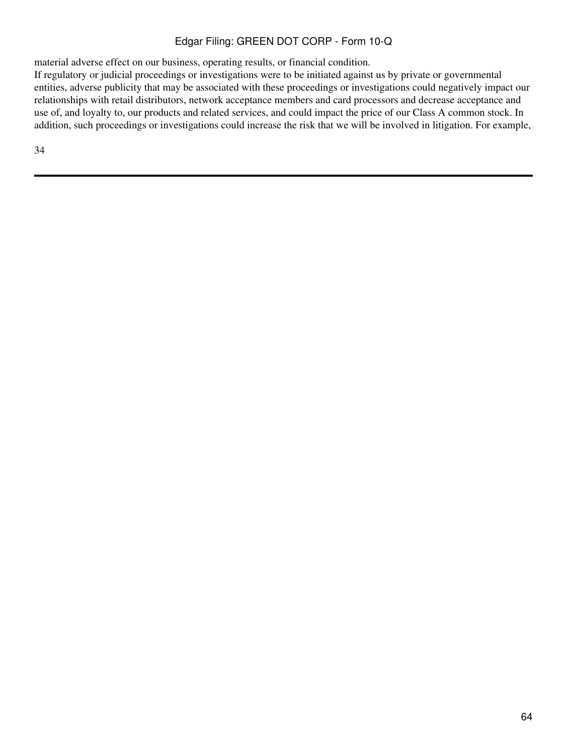material adverse effect on our business, operating results, or financial condition.

If regulatory or judicial proceedings or investigations were to be initiated against us by private or governmental entities, adverse publicity that may be associated with these proceedings or investigations could negatively impact our relationships with retail distributors, network acceptance members and card processors and decrease acceptance and use of, and loyalty to, our products and related services, and could impact the price of our Class A common stock. In addition, such proceedings or investigations could increase the risk that we will be involved in litigation. For example,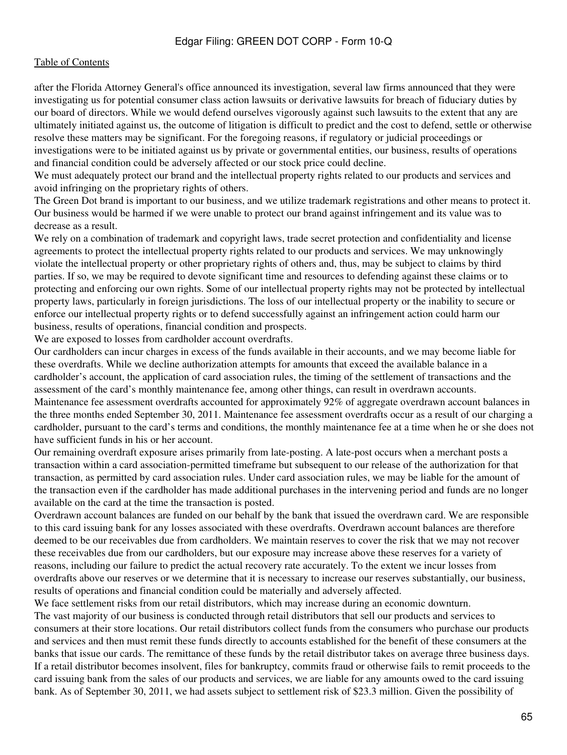#### [Table of Contents](#page-2-0)

after the Florida Attorney General's office announced its investigation, several law firms announced that they were investigating us for potential consumer class action lawsuits or derivative lawsuits for breach of fiduciary duties by our board of directors. While we would defend ourselves vigorously against such lawsuits to the extent that any are ultimately initiated against us, the outcome of litigation is difficult to predict and the cost to defend, settle or otherwise resolve these matters may be significant. For the foregoing reasons, if regulatory or judicial proceedings or investigations were to be initiated against us by private or governmental entities, our business, results of operations and financial condition could be adversely affected or our stock price could decline.

We must adequately protect our brand and the intellectual property rights related to our products and services and avoid infringing on the proprietary rights of others.

The Green Dot brand is important to our business, and we utilize trademark registrations and other means to protect it. Our business would be harmed if we were unable to protect our brand against infringement and its value was to decrease as a result.

We rely on a combination of trademark and copyright laws, trade secret protection and confidentiality and license agreements to protect the intellectual property rights related to our products and services. We may unknowingly violate the intellectual property or other proprietary rights of others and, thus, may be subject to claims by third parties. If so, we may be required to devote significant time and resources to defending against these claims or to protecting and enforcing our own rights. Some of our intellectual property rights may not be protected by intellectual property laws, particularly in foreign jurisdictions. The loss of our intellectual property or the inability to secure or enforce our intellectual property rights or to defend successfully against an infringement action could harm our business, results of operations, financial condition and prospects.

We are exposed to losses from cardholder account overdrafts.

Our cardholders can incur charges in excess of the funds available in their accounts, and we may become liable for these overdrafts. While we decline authorization attempts for amounts that exceed the available balance in a cardholder's account, the application of card association rules, the timing of the settlement of transactions and the assessment of the card's monthly maintenance fee, among other things, can result in overdrawn accounts. Maintenance fee assessment overdrafts accounted for approximately 92% of aggregate overdrawn account balances in the three months ended September 30, 2011. Maintenance fee assessment overdrafts occur as a result of our charging a cardholder, pursuant to the card's terms and conditions, the monthly maintenance fee at a time when he or she does not have sufficient funds in his or her account.

Our remaining overdraft exposure arises primarily from late-posting. A late-post occurs when a merchant posts a transaction within a card association-permitted timeframe but subsequent to our release of the authorization for that transaction, as permitted by card association rules. Under card association rules, we may be liable for the amount of the transaction even if the cardholder has made additional purchases in the intervening period and funds are no longer available on the card at the time the transaction is posted.

Overdrawn account balances are funded on our behalf by the bank that issued the overdrawn card. We are responsible to this card issuing bank for any losses associated with these overdrafts. Overdrawn account balances are therefore deemed to be our receivables due from cardholders. We maintain reserves to cover the risk that we may not recover these receivables due from our cardholders, but our exposure may increase above these reserves for a variety of reasons, including our failure to predict the actual recovery rate accurately. To the extent we incur losses from overdrafts above our reserves or we determine that it is necessary to increase our reserves substantially, our business, results of operations and financial condition could be materially and adversely affected.

We face settlement risks from our retail distributors, which may increase during an economic downturn. The vast majority of our business is conducted through retail distributors that sell our products and services to consumers at their store locations. Our retail distributors collect funds from the consumers who purchase our products and services and then must remit these funds directly to accounts established for the benefit of these consumers at the banks that issue our cards. The remittance of these funds by the retail distributor takes on average three business days. If a retail distributor becomes insolvent, files for bankruptcy, commits fraud or otherwise fails to remit proceeds to the card issuing bank from the sales of our products and services, we are liable for any amounts owed to the card issuing bank. As of September 30, 2011, we had assets subject to settlement risk of \$23.3 million. Given the possibility of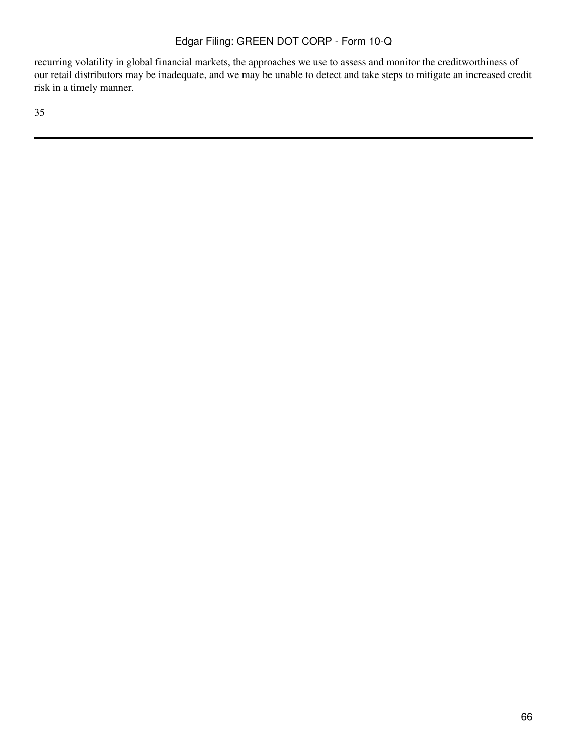recurring volatility in global financial markets, the approaches we use to assess and monitor the creditworthiness of our retail distributors may be inadequate, and we may be unable to detect and take steps to mitigate an increased credit risk in a timely manner.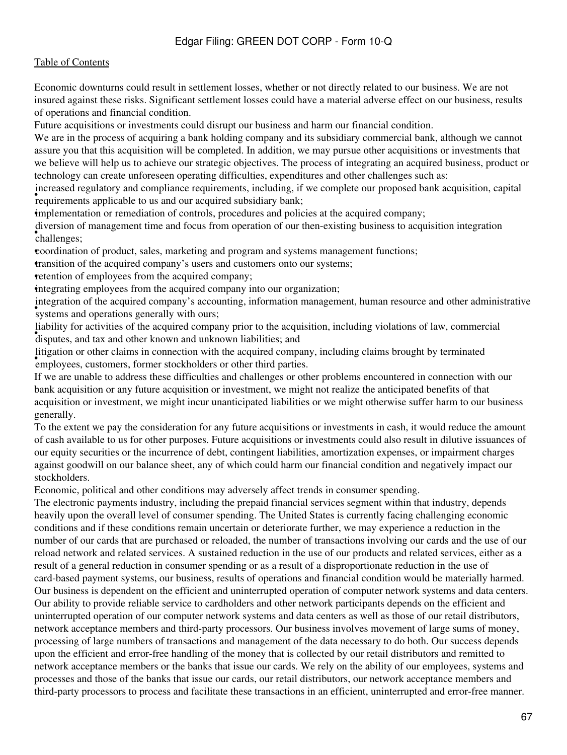# [Table of Contents](#page-2-0)

Economic downturns could result in settlement losses, whether or not directly related to our business. We are not insured against these risks. Significant settlement losses could have a material adverse effect on our business, results of operations and financial condition.

Future acquisitions or investments could disrupt our business and harm our financial condition.

We are in the process of acquiring a bank holding company and its subsidiary commercial bank, although we cannot assure you that this acquisition will be completed. In addition, we may pursue other acquisitions or investments that we believe will help us to achieve our strategic objectives. The process of integrating an acquired business, product or technology can create unforeseen operating difficulties, expenditures and other challenges such as:

recussed regulatory and compilance requirements, medding, in requirements applicable to us and our acquired subsidiary bank; increased regulatory and compliance requirements, including, if we complete our proposed bank acquisition, capital

•implementation or remediation of controls, procedures and policies at the acquired company;

• challenges; diversion of management time and focus from operation of our then-existing business to acquisition integration

•coordination of product, sales, marketing and program and systems management functions;

•transition of the acquired company's users and customers onto our systems;

retention of employees from the acquired company;

•integrating employees from the acquired company into our organization;

systems and operations generally with ours; integration of the acquired company's accounting, information management, human resource and other administrative

• disputes, and tax and other known and unknown liabilities; and liability for activities of the acquired company prior to the acquisition, including violations of law, commercial

**Figuron** of other claims in connection with the acquired companiemployees, customers, former stockholders or other third parties. litigation or other claims in connection with the acquired company, including claims brought by terminated

If we are unable to address these difficulties and challenges or other problems encountered in connection with our bank acquisition or any future acquisition or investment, we might not realize the anticipated benefits of that acquisition or investment, we might incur unanticipated liabilities or we might otherwise suffer harm to our business generally.

To the extent we pay the consideration for any future acquisitions or investments in cash, it would reduce the amount of cash available to us for other purposes. Future acquisitions or investments could also result in dilutive issuances of our equity securities or the incurrence of debt, contingent liabilities, amortization expenses, or impairment charges against goodwill on our balance sheet, any of which could harm our financial condition and negatively impact our stockholders.

Economic, political and other conditions may adversely affect trends in consumer spending.

The electronic payments industry, including the prepaid financial services segment within that industry, depends heavily upon the overall level of consumer spending. The United States is currently facing challenging economic conditions and if these conditions remain uncertain or deteriorate further, we may experience a reduction in the number of our cards that are purchased or reloaded, the number of transactions involving our cards and the use of our reload network and related services. A sustained reduction in the use of our products and related services, either as a result of a general reduction in consumer spending or as a result of a disproportionate reduction in the use of card-based payment systems, our business, results of operations and financial condition would be materially harmed. Our business is dependent on the efficient and uninterrupted operation of computer network systems and data centers. Our ability to provide reliable service to cardholders and other network participants depends on the efficient and uninterrupted operation of our computer network systems and data centers as well as those of our retail distributors, network acceptance members and third-party processors. Our business involves movement of large sums of money, processing of large numbers of transactions and management of the data necessary to do both. Our success depends upon the efficient and error-free handling of the money that is collected by our retail distributors and remitted to network acceptance members or the banks that issue our cards. We rely on the ability of our employees, systems and processes and those of the banks that issue our cards, our retail distributors, our network acceptance members and third-party processors to process and facilitate these transactions in an efficient, uninterrupted and error-free manner.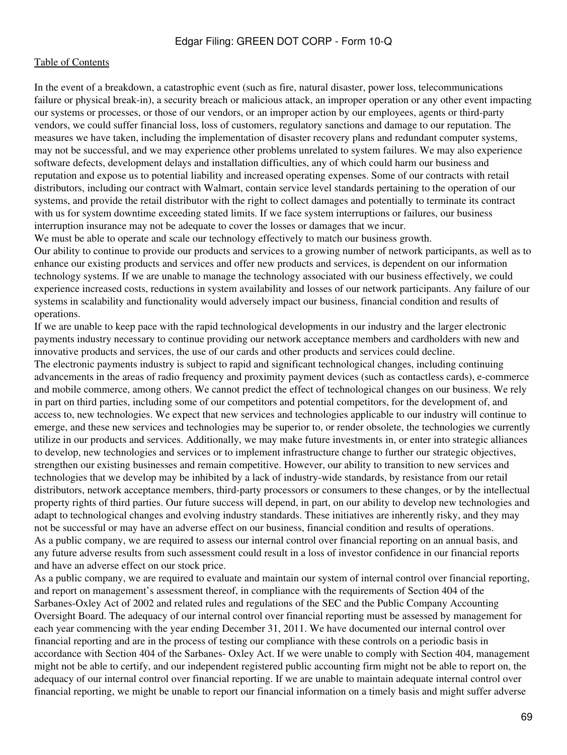In the event of a breakdown, a catastrophic event (such as fire, natural disaster, power loss, telecommunications failure or physical break-in), a security breach or malicious attack, an improper operation or any other event impacting our systems or processes, or those of our vendors, or an improper action by our employees, agents or third-party vendors, we could suffer financial loss, loss of customers, regulatory sanctions and damage to our reputation. The measures we have taken, including the implementation of disaster recovery plans and redundant computer systems, may not be successful, and we may experience other problems unrelated to system failures. We may also experience software defects, development delays and installation difficulties, any of which could harm our business and reputation and expose us to potential liability and increased operating expenses. Some of our contracts with retail distributors, including our contract with Walmart, contain service level standards pertaining to the operation of our systems, and provide the retail distributor with the right to collect damages and potentially to terminate its contract with us for system downtime exceeding stated limits. If we face system interruptions or failures, our business interruption insurance may not be adequate to cover the losses or damages that we incur.

We must be able to operate and scale our technology effectively to match our business growth. Our ability to continue to provide our products and services to a growing number of network participants, as well as to enhance our existing products and services and offer new products and services, is dependent on our information technology systems. If we are unable to manage the technology associated with our business effectively, we could experience increased costs, reductions in system availability and losses of our network participants. Any failure of our systems in scalability and functionality would adversely impact our business, financial condition and results of operations.

If we are unable to keep pace with the rapid technological developments in our industry and the larger electronic payments industry necessary to continue providing our network acceptance members and cardholders with new and innovative products and services, the use of our cards and other products and services could decline. The electronic payments industry is subject to rapid and significant technological changes, including continuing advancements in the areas of radio frequency and proximity payment devices (such as contactless cards), e-commerce and mobile commerce, among others. We cannot predict the effect of technological changes on our business. We rely in part on third parties, including some of our competitors and potential competitors, for the development of, and access to, new technologies. We expect that new services and technologies applicable to our industry will continue to emerge, and these new services and technologies may be superior to, or render obsolete, the technologies we currently utilize in our products and services. Additionally, we may make future investments in, or enter into strategic alliances to develop, new technologies and services or to implement infrastructure change to further our strategic objectives, strengthen our existing businesses and remain competitive. However, our ability to transition to new services and technologies that we develop may be inhibited by a lack of industry-wide standards, by resistance from our retail distributors, network acceptance members, third-party processors or consumers to these changes, or by the intellectual property rights of third parties. Our future success will depend, in part, on our ability to develop new technologies and adapt to technological changes and evolving industry standards. These initiatives are inherently risky, and they may not be successful or may have an adverse effect on our business, financial condition and results of operations. As a public company, we are required to assess our internal control over financial reporting on an annual basis, and any future adverse results from such assessment could result in a loss of investor confidence in our financial reports and have an adverse effect on our stock price.

As a public company, we are required to evaluate and maintain our system of internal control over financial reporting, and report on management's assessment thereof, in compliance with the requirements of Section 404 of the Sarbanes-Oxley Act of 2002 and related rules and regulations of the SEC and the Public Company Accounting Oversight Board. The adequacy of our internal control over financial reporting must be assessed by management for each year commencing with the year ending December 31, 2011. We have documented our internal control over financial reporting and are in the process of testing our compliance with these controls on a periodic basis in accordance with Section 404 of the Sarbanes- Oxley Act. If we were unable to comply with Section 404, management might not be able to certify, and our independent registered public accounting firm might not be able to report on, the adequacy of our internal control over financial reporting. If we are unable to maintain adequate internal control over financial reporting, we might be unable to report our financial information on a timely basis and might suffer adverse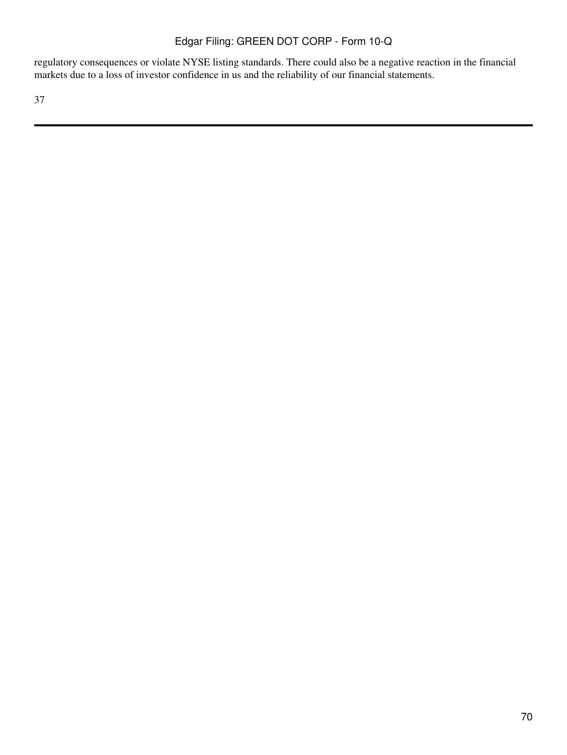regulatory consequences or violate NYSE listing standards. There could also be a negative reaction in the financial markets due to a loss of investor confidence in us and the reliability of our financial statements.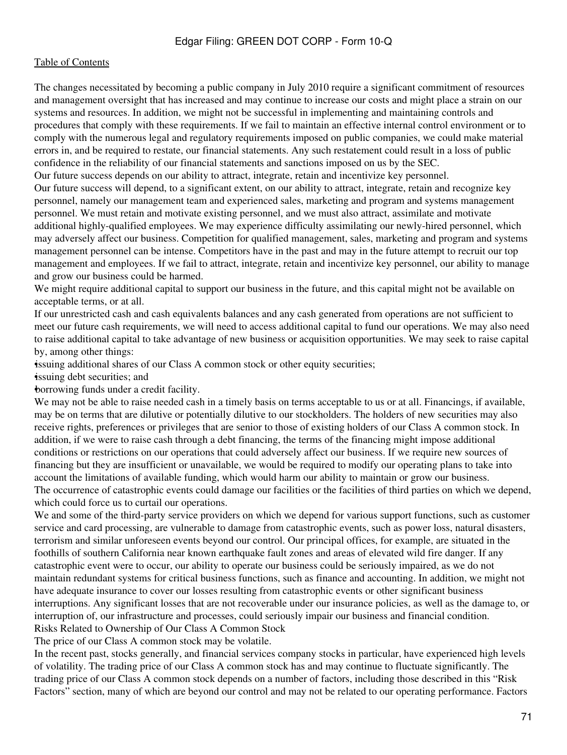The changes necessitated by becoming a public company in July 2010 require a significant commitment of resources and management oversight that has increased and may continue to increase our costs and might place a strain on our systems and resources. In addition, we might not be successful in implementing and maintaining controls and procedures that comply with these requirements. If we fail to maintain an effective internal control environment or to comply with the numerous legal and regulatory requirements imposed on public companies, we could make material errors in, and be required to restate, our financial statements. Any such restatement could result in a loss of public confidence in the reliability of our financial statements and sanctions imposed on us by the SEC.

Our future success depends on our ability to attract, integrate, retain and incentivize key personnel.

Our future success will depend, to a significant extent, on our ability to attract, integrate, retain and recognize key personnel, namely our management team and experienced sales, marketing and program and systems management personnel. We must retain and motivate existing personnel, and we must also attract, assimilate and motivate additional highly-qualified employees. We may experience difficulty assimilating our newly-hired personnel, which may adversely affect our business. Competition for qualified management, sales, marketing and program and systems management personnel can be intense. Competitors have in the past and may in the future attempt to recruit our top management and employees. If we fail to attract, integrate, retain and incentivize key personnel, our ability to manage and grow our business could be harmed.

We might require additional capital to support our business in the future, and this capital might not be available on acceptable terms, or at all.

If our unrestricted cash and cash equivalents balances and any cash generated from operations are not sufficient to meet our future cash requirements, we will need to access additional capital to fund our operations. We may also need to raise additional capital to take advantage of new business or acquisition opportunities. We may seek to raise capital by, among other things:

•issuing additional shares of our Class A common stock or other equity securities;

•issuing debt securities; and

•borrowing funds under a credit facility.

We may not be able to raise needed cash in a timely basis on terms acceptable to us or at all. Financings, if available, may be on terms that are dilutive or potentially dilutive to our stockholders. The holders of new securities may also receive rights, preferences or privileges that are senior to those of existing holders of our Class A common stock. In addition, if we were to raise cash through a debt financing, the terms of the financing might impose additional conditions or restrictions on our operations that could adversely affect our business. If we require new sources of financing but they are insufficient or unavailable, we would be required to modify our operating plans to take into account the limitations of available funding, which would harm our ability to maintain or grow our business. The occurrence of catastrophic events could damage our facilities or the facilities of third parties on which we depend, which could force us to curtail our operations.

We and some of the third-party service providers on which we depend for various support functions, such as customer service and card processing, are vulnerable to damage from catastrophic events, such as power loss, natural disasters, terrorism and similar unforeseen events beyond our control. Our principal offices, for example, are situated in the foothills of southern California near known earthquake fault zones and areas of elevated wild fire danger. If any catastrophic event were to occur, our ability to operate our business could be seriously impaired, as we do not maintain redundant systems for critical business functions, such as finance and accounting. In addition, we might not have adequate insurance to cover our losses resulting from catastrophic events or other significant business interruptions. Any significant losses that are not recoverable under our insurance policies, as well as the damage to, or interruption of, our infrastructure and processes, could seriously impair our business and financial condition. Risks Related to Ownership of Our Class A Common Stock

The price of our Class A common stock may be volatile.

In the recent past, stocks generally, and financial services company stocks in particular, have experienced high levels of volatility. The trading price of our Class A common stock has and may continue to fluctuate significantly. The trading price of our Class A common stock depends on a number of factors, including those described in this "Risk Factors" section, many of which are beyond our control and may not be related to our operating performance. Factors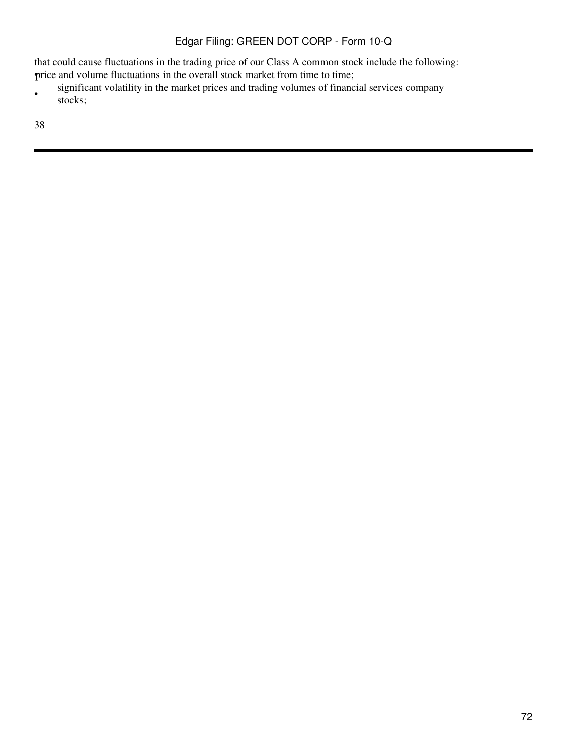that could cause fluctuations in the trading price of our Class A common stock include the following: •price and volume fluctuations in the overall stock market from time to time;

• significant volatility in the market prices and trading volumes of financial services company stocks;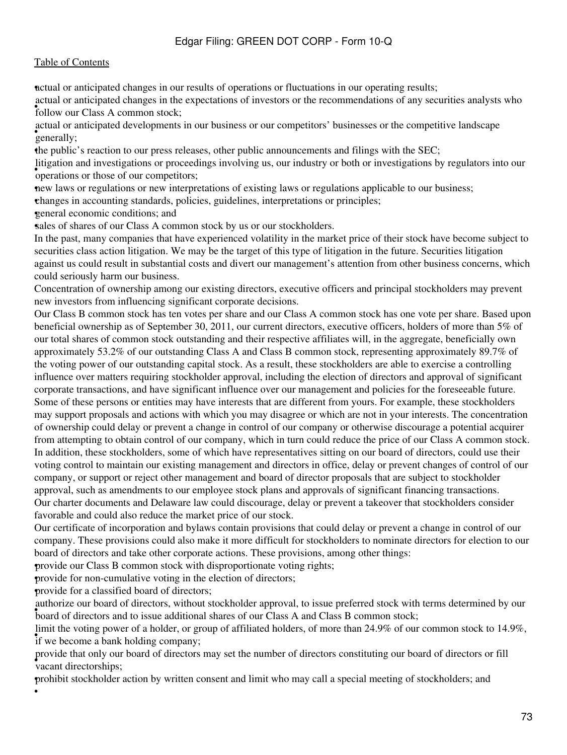#### [Table of Contents](#page-2-0)

•actual or anticipated changes in our results of operations or fluctuations in our operating results;

**Follow our Class A common stock;** actual or anticipated changes in the expectations of investors or the recommendations of any securities analysts who

settled of contain the contact of the contact of the contact of the contact of the contact of the contact of the contact of the contact of the contact of the contact of the contact of the contact of the contact of the cont actual or anticipated developments in our business or our competitors' businesses or the competitive landscape

•the public's reaction to our press releases, other public announcements and filings with the SEC;

*sugation* and *investigations* or proceed litigation and investigations or proceedings involving us, our industry or both or investigations by regulators into our

•new laws or regulations or new interpretations of existing laws or regulations applicable to our business;

•changes in accounting standards, policies, guidelines, interpretations or principles;

•general economic conditions; and

sales of shares of our Class A common stock by us or our stockholders.

In the past, many companies that have experienced volatility in the market price of their stock have become subject to securities class action litigation. We may be the target of this type of litigation in the future. Securities litigation against us could result in substantial costs and divert our management's attention from other business concerns, which could seriously harm our business.

Concentration of ownership among our existing directors, executive officers and principal stockholders may prevent new investors from influencing significant corporate decisions.

Our Class B common stock has ten votes per share and our Class A common stock has one vote per share. Based upon beneficial ownership as of September 30, 2011, our current directors, executive officers, holders of more than 5% of our total shares of common stock outstanding and their respective affiliates will, in the aggregate, beneficially own approximately 53.2% of our outstanding Class A and Class B common stock, representing approximately 89.7% of the voting power of our outstanding capital stock. As a result, these stockholders are able to exercise a controlling influence over matters requiring stockholder approval, including the election of directors and approval of significant corporate transactions, and have significant influence over our management and policies for the foreseeable future. Some of these persons or entities may have interests that are different from yours. For example, these stockholders may support proposals and actions with which you may disagree or which are not in your interests. The concentration of ownership could delay or prevent a change in control of our company or otherwise discourage a potential acquirer from attempting to obtain control of our company, which in turn could reduce the price of our Class A common stock. In addition, these stockholders, some of which have representatives sitting on our board of directors, could use their voting control to maintain our existing management and directors in office, delay or prevent changes of control of our company, or support or reject other management and board of director proposals that are subject to stockholder approval, such as amendments to our employee stock plans and approvals of significant financing transactions. Our charter documents and Delaware law could discourage, delay or prevent a takeover that stockholders consider favorable and could also reduce the market price of our stock.

Our certificate of incorporation and bylaws contain provisions that could delay or prevent a change in control of our company. These provisions could also make it more difficult for stockholders to nominate directors for election to our board of directors and take other corporate actions. These provisions, among other things:

•provide our Class B common stock with disproportionate voting rights;

•provide for non-cumulative voting in the election of directors;

•provide for a classified board of directors;

•

**EQUARTER COLORED STATES CONTROLLER STATES AND STATES SUPPLY AT A STATE OF SIDEN STATES SOLE** with board of directors and to issue additional shares of our Class A and Class B common stock; authorize our board of directors, without stockholder approval, to issue preferred stock with terms determined by our

if we become a bank holding company; limit the voting power of a holder, or group of affiliated holders, of more than 24.9% of our common stock to 14.9%,

• vacant directorships; provide that only our board of directors may set the number of directors constituting our board of directors or fill

•prohibit stockholder action by written consent and limit who may call a special meeting of stockholders; and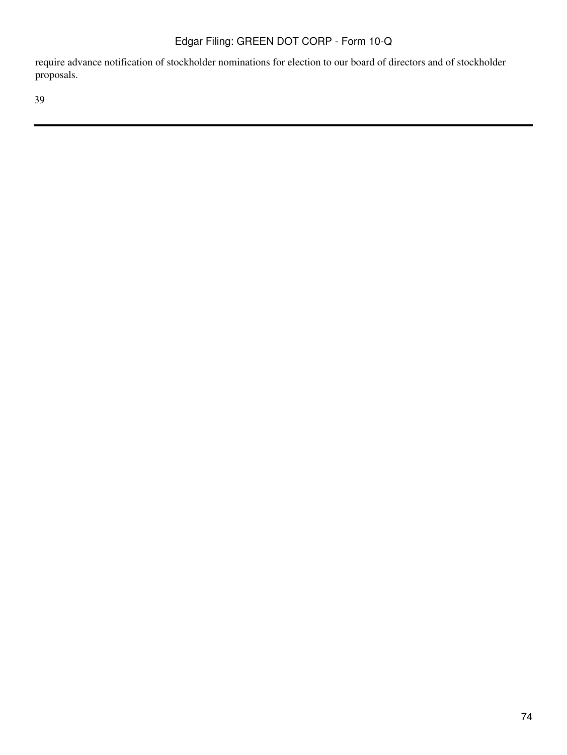require advance notification of stockholder nominations for election to our board of directors and of stockholder proposals.

39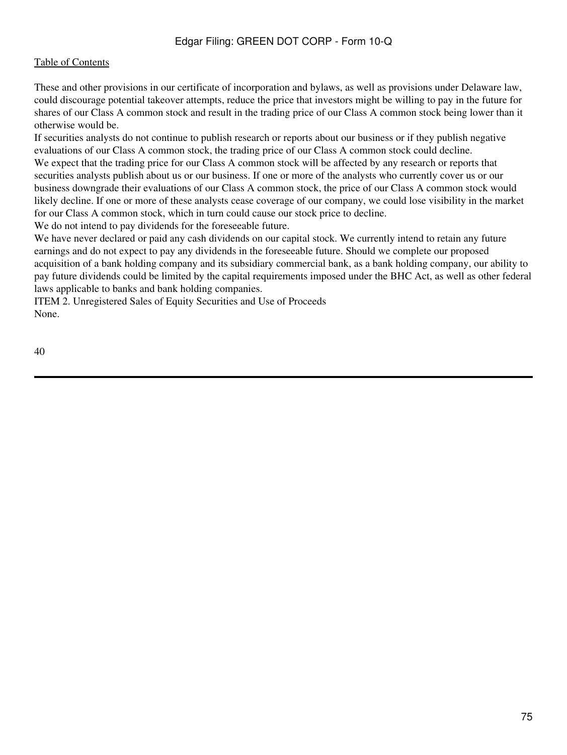#### [Table of Contents](#page-2-0)

These and other provisions in our certificate of incorporation and bylaws, as well as provisions under Delaware law, could discourage potential takeover attempts, reduce the price that investors might be willing to pay in the future for shares of our Class A common stock and result in the trading price of our Class A common stock being lower than it otherwise would be.

If securities analysts do not continue to publish research or reports about our business or if they publish negative evaluations of our Class A common stock, the trading price of our Class A common stock could decline.

We expect that the trading price for our Class A common stock will be affected by any research or reports that securities analysts publish about us or our business. If one or more of the analysts who currently cover us or our business downgrade their evaluations of our Class A common stock, the price of our Class A common stock would likely decline. If one or more of these analysts cease coverage of our company, we could lose visibility in the market for our Class A common stock, which in turn could cause our stock price to decline.

We do not intend to pay dividends for the foreseeable future.

We have never declared or paid any cash dividends on our capital stock. We currently intend to retain any future earnings and do not expect to pay any dividends in the foreseeable future. Should we complete our proposed acquisition of a bank holding company and its subsidiary commercial bank, as a bank holding company, our ability to pay future dividends could be limited by the capital requirements imposed under the BHC Act, as well as other federal laws applicable to banks and bank holding companies.

ITEM 2. Unregistered Sales of Equity Securities and Use of Proceeds None.

40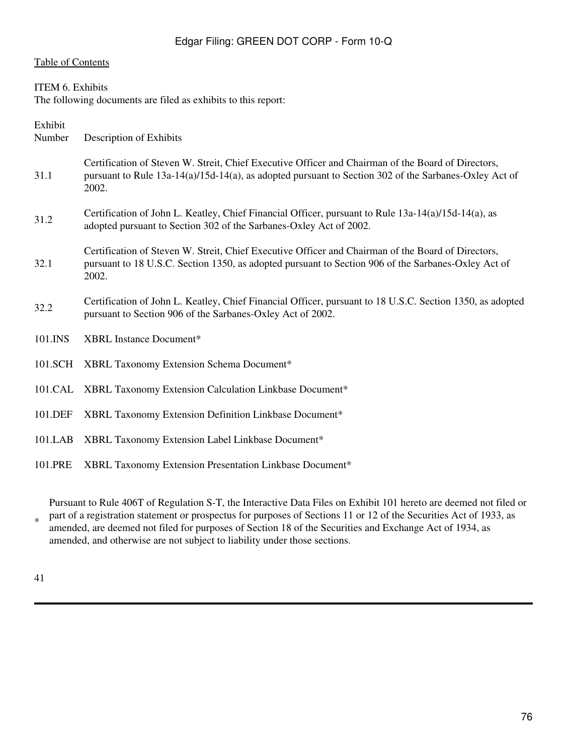#### [Table of Contents](#page-2-0)

#### ITEM 6. Exhibits

The following documents are filed as exhibits to this report:

Exhibit Number Description of Exhibits

- 31.1 Certification of Steven W. Streit, Chief Executive Officer and Chairman of the Board of Directors, pursuant to Rule 13a-14(a)/15d-14(a), as adopted pursuant to Section 302 of the Sarbanes-Oxley Act of 2002.
- 31.2 Certification of John L. Keatley, Chief Financial Officer, pursuant to Rule 13a-14(a)/15d-14(a), as adopted pursuant to Section 302 of the Sarbanes-Oxley Act of 2002.
- 32.1 Certification of Steven W. Streit, Chief Executive Officer and Chairman of the Board of Directors, pursuant to 18 U.S.C. Section 1350, as adopted pursuant to Section 906 of the Sarbanes-Oxley Act of 2002.
- 32.2 Certification of John L. Keatley, Chief Financial Officer, pursuant to 18 U.S.C. Section 1350, as adopted pursuant to Section 906 of the Sarbanes-Oxley Act of 2002.
- 101.INS XBRL Instance Document\*
- 101.SCH XBRL Taxonomy Extension Schema Document\*
- 101.CAL XBRL Taxonomy Extension Calculation Linkbase Document\*
- 101.DEF XBRL Taxonomy Extension Definition Linkbase Document\*
- 101.LAB XBRL Taxonomy Extension Label Linkbase Document\*
- 101.PRE XBRL Taxonomy Extension Presentation Linkbase Document\*

\* Pursuant to Rule 406T of Regulation S-T, the Interactive Data Files on Exhibit 101 hereto are deemed not filed or part of a registration statement or prospectus for purposes of Sections 11 or 12 of the Securities Act of 1933, as amended, are deemed not filed for purposes of Section 18 of the Securities and Exchange Act of 1934, as amended, and otherwise are not subject to liability under those sections.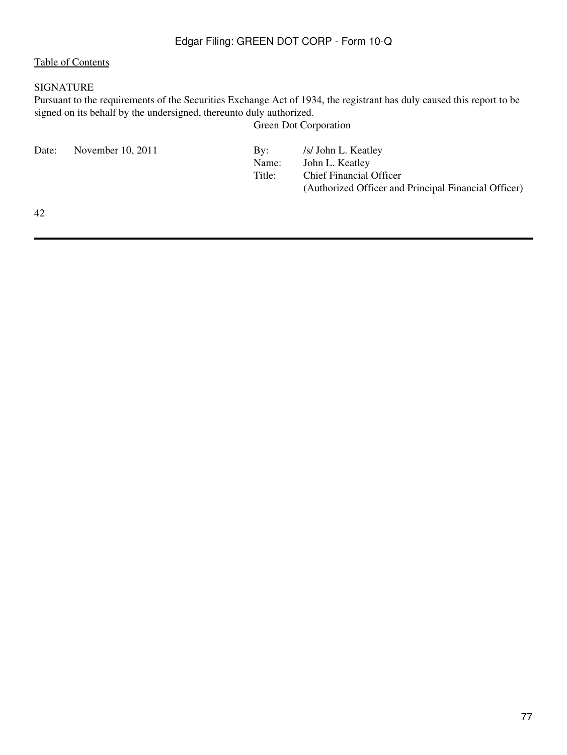## [Table of Contents](#page-2-0)

### SIGNATURE

Pursuant to the requirements of the Securities Exchange Act of 1934, the registrant has duly caused this report to be signed on its behalf by the undersigned, thereunto duly authorized.

Green Dot Corporation

| November 10, 2011<br>Date:<br>Bv:<br>Name:<br>Title: | /s/ John L. Keatley<br>John L. Keatley<br><b>Chief Financial Officer</b><br>(Authorized Officer and Principal Financial Officer) |
|------------------------------------------------------|----------------------------------------------------------------------------------------------------------------------------------|
|------------------------------------------------------|----------------------------------------------------------------------------------------------------------------------------------|

42